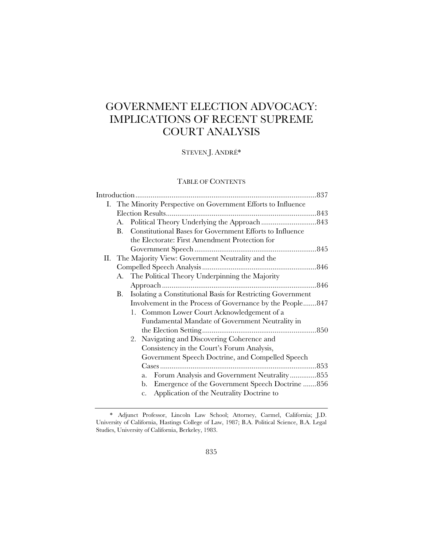# GOVERNMENT ELECTION ADVOCACY: IMPLICATIONS OF RECENT SUPREME COURT ANALYSIS

## STEVEN J. ANDRÉ\*

## TABLE OF CONTENTS

| В. | Constitutional Bases for Government Efforts to Influence  |                                                                                                                                                                                             |
|----|-----------------------------------------------------------|---------------------------------------------------------------------------------------------------------------------------------------------------------------------------------------------|
|    | the Electorate: First Amendment Protection for            |                                                                                                                                                                                             |
|    |                                                           |                                                                                                                                                                                             |
|    |                                                           |                                                                                                                                                                                             |
|    |                                                           |                                                                                                                                                                                             |
| А. | The Political Theory Underpinning the Majority            |                                                                                                                                                                                             |
|    |                                                           |                                                                                                                                                                                             |
| В. |                                                           |                                                                                                                                                                                             |
|    | Involvement in the Process of Governance by the People847 |                                                                                                                                                                                             |
|    | 1. Common Lower Court Acknowledgement of a                |                                                                                                                                                                                             |
|    | Fundamental Mandate of Government Neutrality in           |                                                                                                                                                                                             |
|    |                                                           |                                                                                                                                                                                             |
|    | 2. Navigating and Discovering Coherence and               |                                                                                                                                                                                             |
|    | Consistency in the Court's Forum Analysis,                |                                                                                                                                                                                             |
|    | Government Speech Doctrine, and Compelled Speech          |                                                                                                                                                                                             |
|    |                                                           |                                                                                                                                                                                             |
|    | Forum Analysis and Government Neutrality855<br>a.         |                                                                                                                                                                                             |
|    | b. Emergence of the Government Speech Doctrine 856        |                                                                                                                                                                                             |
|    | Application of the Neutrality Doctrine to<br>c.           |                                                                                                                                                                                             |
|    |                                                           | I. The Minority Perspective on Government Efforts to Influence<br>A.<br>II. The Majority View: Government Neutrality and the<br>Isolating a Constitutional Basis for Restricting Government |

 <sup>\*</sup> Adjunct Professor, Lincoln Law School; Attorney, Carmel, California; J.D. University of California, Hastings College of Law, 1987; B.A. Political Science, B.A. Legal Studies, University of California, Berkeley, 1983.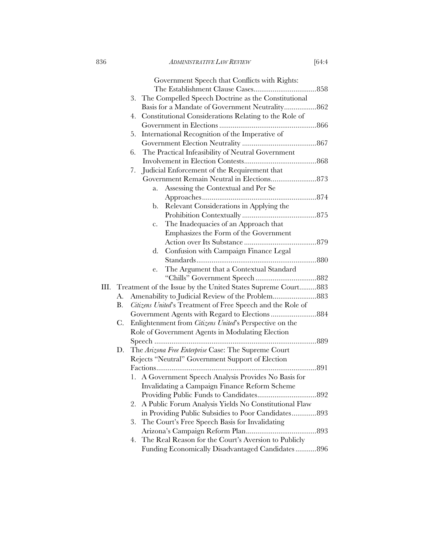|      |    | Government Speech that Conflicts with Rights:                                                                                              |  |
|------|----|--------------------------------------------------------------------------------------------------------------------------------------------|--|
|      |    |                                                                                                                                            |  |
|      |    | 3. The Compelled Speech Doctrine as the Constitutional                                                                                     |  |
|      |    |                                                                                                                                            |  |
|      |    | Constitutional Considerations Relating to the Role of<br>4.                                                                                |  |
|      |    |                                                                                                                                            |  |
|      |    | International Recognition of the Imperative of<br>5.                                                                                       |  |
|      |    |                                                                                                                                            |  |
|      |    | The Practical Infeasibility of Neutral Government<br>6.                                                                                    |  |
|      |    |                                                                                                                                            |  |
|      |    | Judicial Enforcement of the Requirement that<br>7.                                                                                         |  |
|      |    | Government Remain Neutral in Elections 873                                                                                                 |  |
|      |    | Assessing the Contextual and Per Se<br>a.                                                                                                  |  |
|      |    |                                                                                                                                            |  |
|      |    | Relevant Considerations in Applying the<br>b.                                                                                              |  |
|      |    |                                                                                                                                            |  |
|      |    | The Inadequacies of an Approach that<br>$\mathbf{c}$ .                                                                                     |  |
|      |    | Emphasizes the Form of the Government                                                                                                      |  |
|      |    |                                                                                                                                            |  |
|      |    | Confusion with Campaign Finance Legal<br>d.                                                                                                |  |
|      |    |                                                                                                                                            |  |
|      |    | The Argument that a Contextual Standard<br>e.                                                                                              |  |
|      |    |                                                                                                                                            |  |
| III. |    | Treatment of the Issue by the United States Supreme Court883                                                                               |  |
|      | А. | Amenability to Judicial Review of the Problem883                                                                                           |  |
|      | В. | Citizens United's Treatment of Free Speech and the Role of                                                                                 |  |
|      |    |                                                                                                                                            |  |
|      | C. | Enlightenment from Citizens United's Perspective on the                                                                                    |  |
|      |    | Role of Government Agents in Modulating Election                                                                                           |  |
|      |    |                                                                                                                                            |  |
|      | D. | The Arizona Free Enterprise Case: The Supreme Court<br>$\sim$ 122 $\alpha$ $\sim$ $\alpha$ $\sim$ $\alpha$ $\sim$ $\alpha$ $\sim$ $\alpha$ |  |
|      |    |                                                                                                                                            |  |

| C. | Enlightenment from <i>Citizens United</i> 's Perspective on the |
|----|-----------------------------------------------------------------|
|    | Role of Government Agents in Modulating Election                |
|    |                                                                 |
| D. | The Arizona Free Enterprise Case: The Supreme Court             |
|    | Rejects "Neutral" Government Support of Election                |
|    |                                                                 |
|    | 1. A Government Speech Analysis Provides No Basis for           |
|    | Invalidating a Campaign Finance Reform Scheme                   |
|    |                                                                 |
|    | 2. A Public Forum Analysis Yields No Constitutional Flaw        |
|    |                                                                 |
|    | 3. The Court's Free Speech Basis for Invalidating               |
|    |                                                                 |
|    | 4. The Real Reason for the Court's Aversion to Publicly         |

Funding Economically Disadvantaged Candidates ........... 896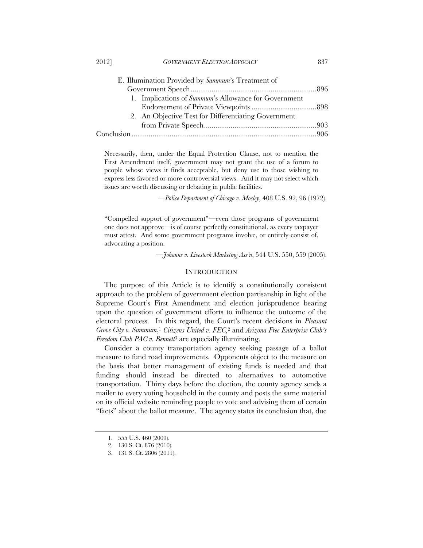| E. Illumination Provided by Summum's Treatment of    |  |
|------------------------------------------------------|--|
|                                                      |  |
| 1. Implications of Summum's Allowance for Government |  |
|                                                      |  |
| 2. An Objective Test for Differentiating Government  |  |
|                                                      |  |
|                                                      |  |

Necessarily, then, under the Equal Protection Clause, not to mention the First Amendment itself, government may not grant the use of a forum to people whose views it finds acceptable, but deny use to those wishing to express less favored or more controversial views. And it may not select which issues are worth discussing or debating in public facilities.

—*Police Department of Chicago v. Mosley*, 408 U.S. 92, 96 (1972).

"Compelled support of government"—even those programs of government one does not approve—is of course perfectly constitutional, as every taxpayer must attest. And some government programs involve, or entirely consist of, advocating a position.

—*Johanns v. Livestock Marketing Ass'n*, 544 U.S. 550, 559 (2005).

#### **INTRODUCTION**

The purpose of this Article is to identify a constitutionally consistent approach to the problem of government election partisanship in light of the Supreme Court's First Amendment and election jurisprudence bearing upon the question of government efforts to influence the outcome of the electoral process. In this regard, the Court's recent decisions in *Pleasant Grove City v. Summum*,1 *Citizens United v. FEC,*2 and *Arizona Free Enterprise Club's Freedom Club PAC v. Bennett*3 are especially illuminating.

Consider a county transportation agency seeking passage of a ballot measure to fund road improvements. Opponents object to the measure on the basis that better management of existing funds is needed and that funding should instead be directed to alternatives to automotive transportation. Thirty days before the election, the county agency sends a mailer to every voting household in the county and posts the same material on its official website reminding people to vote and advising them of certain "facts" about the ballot measure. The agency states its conclusion that, due

 <sup>1. 555</sup> U.S. 460 (2009).

 <sup>2. 130</sup> S. Ct. 876 (2010).

 <sup>3. 131</sup> S. Ct. 2806 (2011).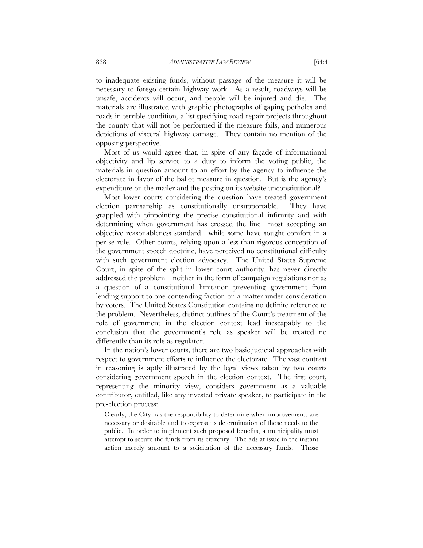to inadequate existing funds, without passage of the measure it will be necessary to forego certain highway work. As a result, roadways will be unsafe, accidents will occur, and people will be injured and die. The materials are illustrated with graphic photographs of gaping potholes and roads in terrible condition, a list specifying road repair projects throughout the county that will not be performed if the measure fails, and numerous depictions of visceral highway carnage. They contain no mention of the opposing perspective.

Most of us would agree that, in spite of any façade of informational objectivity and lip service to a duty to inform the voting public, the materials in question amount to an effort by the agency to influence the electorate in favor of the ballot measure in question. But is the agency's expenditure on the mailer and the posting on its website unconstitutional?

Most lower courts considering the question have treated government election partisanship as constitutionally unsupportable. They have grappled with pinpointing the precise constitutional infirmity and with determining when government has crossed the line—most accepting an objective reasonableness standard—while some have sought comfort in a per se rule. Other courts, relying upon a less-than-rigorous conception of the government speech doctrine, have perceived no constitutional difficulty with such government election advocacy. The United States Supreme Court, in spite of the split in lower court authority, has never directly addressed the problem—neither in the form of campaign regulations nor as a question of a constitutional limitation preventing government from lending support to one contending faction on a matter under consideration by voters. The United States Constitution contains no definite reference to the problem. Nevertheless, distinct outlines of the Court's treatment of the role of government in the election context lead inescapably to the conclusion that the government's role as speaker will be treated no differently than its role as regulator.

In the nation's lower courts, there are two basic judicial approaches with respect to government efforts to influence the electorate. The vast contrast in reasoning is aptly illustrated by the legal views taken by two courts considering government speech in the election context. The first court, representing the minority view, considers government as a valuable contributor, entitled, like any invested private speaker, to participate in the pre-election process:

Clearly, the City has the responsibility to determine when improvements are necessary or desirable and to express its determination of those needs to the public. In order to implement such proposed benefits, a municipality must attempt to secure the funds from its citizenry. The ads at issue in the instant action merely amount to a solicitation of the necessary funds. Those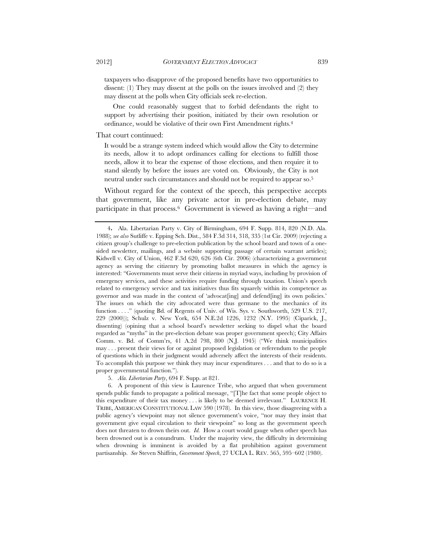taxpayers who disapprove of the proposed benefits have two opportunities to dissent: (1) They may dissent at the polls on the issues involved and (2) they may dissent at the polls when City officials seek re-election.

One could reasonably suggest that to forbid defendants the right to support by advertising their position, initiated by their own resolution or ordinance, would be violative of their own First Amendment rights.4

#### That court continued:

It would be a strange system indeed which would allow the City to determine its needs, allow it to adopt ordinances calling for elections to fulfill those needs, allow it to bear the expense of those elections, and then require it to stand silently by before the issues are voted on. Obviously, the City is not neutral under such circumstances and should not be required to appear so.5

Without regard for the context of the speech, this perspective accepts that government, like any private actor in pre-election debate, may participate in that process.6 Government is viewed as having a right—and

5. *Ala. Libertarian Party*, 694 F. Supp. at 821.

 6. A proponent of this view is Laurence Tribe, who argued that when government spends public funds to propagate a political message, "[T]he fact that some people object to this expenditure of their tax money . . . is likely to be deemed irrelevant." LAURENCE H. TRIBE, AMERICAN CONSTITUTIONAL LAW 590 (1978). In this view, those disagreeing with a public agency's viewpoint may not silence government's voice, "nor may they insist that government give equal circulation to their viewpoint" so long as the government speech does not threaten to drown theirs out. *Id.* How a court would gauge when other speech has been drowned out is a conundrum. Under the majority view, the difficulty in determining when drowning is imminent is avoided by a flat prohibition against government partisanship. *See* Steven Shiffrin, *Government Speech*, 27 UCLA L. REV. 565, 595–602 (1980).

<sup>4</sup>**.** Ala. Libertarian Party v. City of Birmingham, 694 F. Supp. 814, 820 (N.D. Ala. 1988); *see also* Sutliffe v. Epping Sch. Dist., 584 F.3d 314, 318, 335 (1st Cir. 2009) (rejecting a citizen group's challenge to pre-election publication by the school board and town of a onesided newsletter, mailings, and a website supporting passage of certain warrant articles); Kidwell v. City of Union, 462 F.3d 620, 626 (6th Cir. 2006) (characterizing a government agency as serving the citizenry by promoting ballot measures in which the agency is interested: "Governments must serve their citizens in myriad ways, including by provision of emergency services, and these activities require funding through taxation. Union's speech related to emergency service and tax initiatives thus fits squarely within its competence as governor and was made in the context of 'advocat[ing] and defend[ing] its own policies.' The issues on which the city advocated were thus germane to the mechanics of its function . . . ." (quoting Bd. of Regents of Univ. of Wis. Sys. v. Southworth, 529 U.S. 217, 229 (2000))); Schulz v. New York, 654 N.E.2d 1226, 1232 (N.Y. 1995) (Ciparick, J., dissenting) (opining that a school board's newsletter seeking to dispel what the board regarded as "myths" in the pre-election debate was proper government speech); City Affairs Comm. v. Bd. of Comm'rs, 41 A.2d 798, 800 (N.J. 1945) ("We think municipalities may . . . present their views for or against proposed legislation or referendum to the people of questions which in their judgment would adversely affect the interests of their residents. To accomplish this purpose we think they may incur expenditures . . . and that to do so is a proper governmental function.").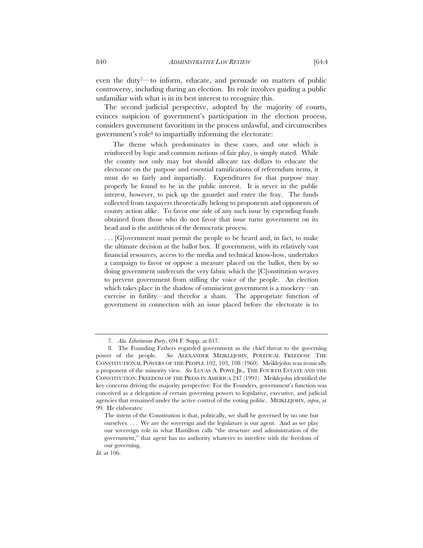even the duty7—to inform, educate, and persuade on matters of public controversy, including during an election. Its role involves guiding a public unfamiliar with what is in its best interest to recognize this.

The second judicial perspective, adopted by the majority of courts, evinces suspicion of government's participation in the election process, considers government favoritism in the process unlawful, and circumscribes government's role8 to impartially informing the electorate:

The theme which predominates in these cases, and one which is reinforced by logic and common notions of fair play, is simply stated. While the county not only may but should allocate tax dollars to educate the electorate on the purpose and essential ramifications of referendum items, it must do so fairly and impartially. Expenditures for that purpose may properly be found to be in the public interest. It is never in the public interest, however, to pick up the gauntlet and enter the fray. The funds collected from taxpayers theoretically belong to proponents and opponents of county action alike. To favor one side of any such issue by expending funds obtained from those who do not favor that issue turns government on its head and is the antithesis of the democratic process.

. . . [G]overnment must permit the people to be heard and, in fact, to make the ultimate decision at the ballot box. If government, with its relatively vast financial resources, access to the media and technical know-how, undertakes a campaign to favor or oppose a measure placed on the ballot, then by so doing government undercuts the very fabric which the [C]onstitution weaves to prevent government from stifling the voice of the people. An election which takes place in the shadow of omniscient government is a mockery—an exercise in futility—and therefor a sham. The appropriate function of government in connection with an issue placed before the electorate is to

 <sup>7.</sup> *Ala. Libertarian Party*, 694 F. Supp. at 817.

 <sup>8.</sup> The Founding Fathers regarded government as the chief threat to the governing power of the people. *See* ALEXANDER MEIKLEJOHN, POLITICAL FREEDOM: THE CONSTITUTIONAL POWERS OF THE PEOPLE 102, 103, 108 (1960). Meiklejohn was ironically a proponent of the minority view. *See* LUCAS A. POWE JR.*,* THE FOURTH ESTATE AND THE CONSTITUTION: FREEDOM OF THE PRESS IN AMERICA 247 (1991). Meiklejohn identified the key concerns driving the majority perspective: For the Founders, government's function was conceived as a delegation of certain governing powers to legislative, executive, and judicial agencies that remained under the active control of the voting politic. MEIKLEJOHN, *supra*, at 99. He elaborates:

The intent of the Constitution is that, politically, we shall be governed by no one but ourselves. . . . We are the sovereign and the legislature is our agent. And as we play our sovereign role in what Hamilton calls "the structure and administration of the government," that agent has no authority whatever to interfere with the freedom of our governing.

*Id.* at 106.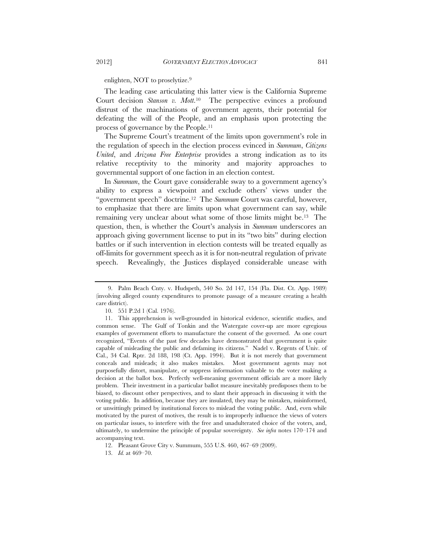enlighten, NOT to proselytize.9

The leading case articulating this latter view is the California Supreme Court decision *Stanson v. Mott*.10 The perspective evinces a profound distrust of the machinations of government agents, their potential for defeating the will of the People, and an emphasis upon protecting the process of governance by the People.11

The Supreme Court's treatment of the limits upon government's role in the regulation of speech in the election process evinced in *Summum*, *Citizens United*, and *Arizona Free Enterprise* provides a strong indication as to its relative receptivity to the minority and majority approaches to governmental support of one faction in an election contest.

In *Summum*, the Court gave considerable sway to a government agency's ability to express a viewpoint and exclude others' views under the "government speech" doctrine.12 The *Summum* Court was careful, however, to emphasize that there are limits upon what government can say, while remaining very unclear about what some of those limits might be.13 The question, then, is whether the Court's analysis in *Summum* underscores an approach giving government license to put in its "two bits" during election battles or if such intervention in election contests will be treated equally as off-limits for government speech as it is for non-neutral regulation of private speech. Revealingly, the Justices displayed considerable unease with

 <sup>9.</sup> Palm Beach Cnty. v. Hudspeth, 540 So. 2d 147, 154 (Fla. Dist. Ct. App. 1989) (involving alleged county expenditures to promote passage of a measure creating a health care district).

 <sup>10. 551</sup> P.2d 1 (Cal. 1976).

 <sup>11.</sup> This apprehension is well-grounded in historical evidence, scientific studies, and common sense. The Gulf of Tonkin and the Watergate cover-up are more egregious examples of government efforts to manufacture the consent of the governed. As one court recognized, "Events of the past few decades have demonstrated that government is quite capable of misleading the public and defaming its citizens." Nadel v. Regents of Univ. of Cal., 34 Cal. Rptr. 2d 188, 198 (Ct. App. 1994). But it is not merely that government conceals and misleads; it also makes mistakes. Most government agents may not purposefully distort, manipulate, or suppress information valuable to the voter making a decision at the ballot box. Perfectly well-meaning government officials are a more likely problem. Their investment in a particular ballot measure inevitably predisposes them to be biased, to discount other perspectives, and to slant their approach in discussing it with the voting public. In addition, because they are insulated, they may be mistaken, misinformed, or unwittingly primed by institutional forces to mislead the voting public. And, even while motivated by the purest of motives, the result is to improperly influence the views of voters on particular issues, to interfere with the free and unadulterated choice of the voters, and, ultimately, to undermine the principle of popular sovereignty. *See infra* notes 170–174 and accompanying text.

 <sup>12.</sup> Pleasant Grove City v. Summum, 555 U.S. 460, 467–69 (2009).

 <sup>13.</sup> *Id.* at 469–70.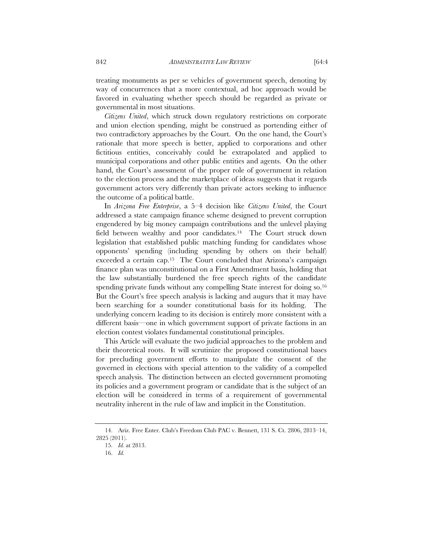treating monuments as per se vehicles of government speech, denoting by way of concurrences that a more contextual, ad hoc approach would be favored in evaluating whether speech should be regarded as private or governmental in most situations.

*Citizens United*, which struck down regulatory restrictions on corporate and union election spending, might be construed as portending either of two contradictory approaches by the Court. On the one hand, the Court's rationale that more speech is better, applied to corporations and other fictitious entities, conceivably could be extrapolated and applied to municipal corporations and other public entities and agents. On the other hand, the Court's assessment of the proper role of government in relation to the election process and the marketplace of ideas suggests that it regards government actors very differently than private actors seeking to influence the outcome of a political battle.

In *Arizona Free Enterprise*, a 5–4 decision like *Citizens United*, the Court addressed a state campaign finance scheme designed to prevent corruption engendered by big money campaign contributions and the unlevel playing field between wealthy and poor candidates.<sup>14</sup> The Court struck down legislation that established public matching funding for candidates whose opponents' spending (including spending by others on their behalf) exceeded a certain cap.15 The Court concluded that Arizona's campaign finance plan was unconstitutional on a First Amendment basis, holding that the law substantially burdened the free speech rights of the candidate spending private funds without any compelling State interest for doing so.<sup>16</sup> But the Court's free speech analysis is lacking and augurs that it may have been searching for a sounder constitutional basis for its holding. The underlying concern leading to its decision is entirely more consistent with a different basis—one in which government support of private factions in an election contest violates fundamental constitutional principles.

This Article will evaluate the two judicial approaches to the problem and their theoretical roots. It will scrutinize the proposed constitutional bases for precluding government efforts to manipulate the consent of the governed in elections with special attention to the validity of a compelled speech analysis. The distinction between an elected government promoting its policies and a government program or candidate that is the subject of an election will be considered in terms of a requirement of governmental neutrality inherent in the rule of law and implicit in the Constitution.

 <sup>14.</sup> Ariz. Free Enter. Club's Freedom Club PAC v. Bennett, 131 S. Ct. 2806, 2813–14, 2825 (2011).

 <sup>15.</sup> *Id.* at 2813.

 <sup>16.</sup> *Id.*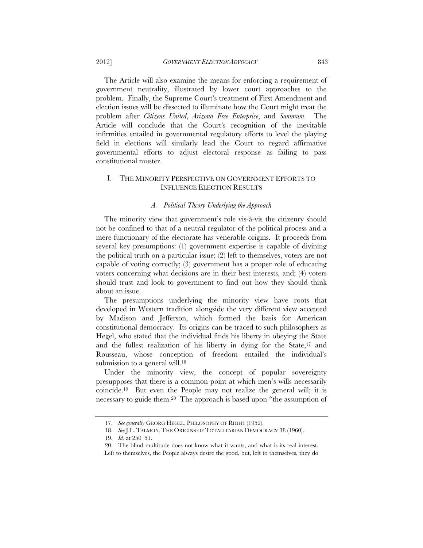The Article will also examine the means for enforcing a requirement of government neutrality, illustrated by lower court approaches to the problem. Finally, the Supreme Court's treatment of First Amendment and election issues will be dissected to illuminate how the Court might treat the problem after *Citizens United*, *Arizona Free Enterprise*, and *Summum*. The Article will conclude that the Court's recognition of the inevitable infirmities entailed in governmental regulatory efforts to level the playing field in elections will similarly lead the Court to regard affirmative governmental efforts to adjust electoral response as failing to pass constitutional muster.

## I. THE MINORITY PERSPECTIVE ON GOVERNMENT EFFORTS TO INFLUENCE ELECTION RESULTS

#### *A. Political Theory Underlying the Approach*

The minority view that government's role vis-à-vis the citizenry should not be confined to that of a neutral regulator of the political process and a mere functionary of the electorate has venerable origins. It proceeds from several key presumptions: (1) government expertise is capable of divining the political truth on a particular issue; (2) left to themselves, voters are not capable of voting correctly; (3) government has a proper role of educating voters concerning what decisions are in their best interests, and; (4) voters should trust and look to government to find out how they should think about an issue.

The presumptions underlying the minority view have roots that developed in Western tradition alongside the very different view accepted by Madison and Jefferson, which formed the basis for American constitutional democracy. Its origins can be traced to such philosophers as Hegel, who stated that the individual finds his liberty in obeying the State and the fullest realization of his liberty in dying for the State,17 and Rousseau, whose conception of freedom entailed the individual's submission to a general will.<sup>18</sup>

Under the minority view, the concept of popular sovereignty presupposes that there is a common point at which men's wills necessarily coincide.19 But even the People may not realize the general will; it is necessary to guide them.20 The approach is based upon "the assumption of

 <sup>17.</sup> *See generally* GEORG HEGEL, PHILOSOPHY OF RIGHT (1952).

 <sup>18.</sup> *See* J.L. TALMON, THE ORIGINS OF TOTALITARIAN DEMOCRACY 38 (1960).

 <sup>19.</sup> *Id.* at 250–51.

 <sup>20.</sup> The blind multitude does not know what it wants, and what is its real interest. Left to themselves, the People always desire the good, but, left to themselves, they do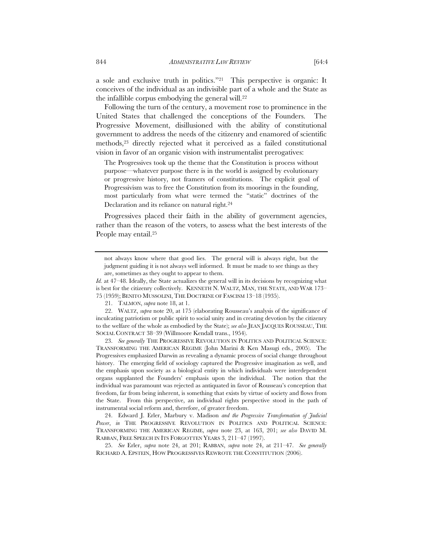a sole and exclusive truth in politics."21 This perspective is organic: It conceives of the individual as an indivisible part of a whole and the State as the infallible corpus embodying the general will.22

Following the turn of the century, a movement rose to prominence in the United States that challenged the conceptions of the Founders. The Progressive Movement, disillusioned with the ability of constitutional government to address the needs of the citizenry and enamored of scientific methods,23 directly rejected what it perceived as a failed constitutional vision in favor of an organic vision with instrumentalist prerogatives:

The Progressives took up the theme that the Constitution is process without purpose—whatever purpose there is in the world is assigned by evolutionary or progressive history, not framers of constitutions. The explicit goal of Progressivism was to free the Constitution from its moorings in the founding, most particularly from what were termed the "static" doctrines of the Declaration and its reliance on natural right.24

Progressives placed their faith in the ability of government agencies, rather than the reason of the voters, to assess what the best interests of the People may entail.25

 23. *See generally* THE PROGRESSIVE REVOLUTION IN POLITICS AND POLITICAL SCIENCE: TRANSFORMING THE AMERICAN REGIME (John Marini & Ken Masugi eds., 2005). The Progressives emphasized Darwin as revealing a dynamic process of social change throughout history. The emerging field of sociology captured the Progressive imagination as well, and the emphasis upon society as a biological entity in which individuals were interdependent organs supplanted the Founders' emphasis upon the individual. The notion that the individual was paramount was rejected as antiquated in favor of Rousseau's conception that freedom, far from being inherent, is something that exists by virtue of society and flows from the State. From this perspective, an individual rights perspective stood in the path of instrumental social reform and, therefore, of greater freedom.

 24. Edward J. Erler, Marbury v. Madison *and the Progressive Transformation of Judicial*  Power, in THE PROGRESSIVE REVOLUTION IN POLITICS AND POLITICAL SCIENCE: TRANSFORMING THE AMERICAN REGIME, *supra* note 23, at 163, 201; *see also* DAVID M. RABBAN, FREE SPEECH IN ITS FORGOTTEN YEARS 3, 211–47 (1997).

 25. *See* Erler, *supra* note 24, at 201; RABBAN, *supra* note 24, at 211–47. *See generally* RICHARD A. EPSTEIN, HOW PROGRESSIVES REWROTE THE CONSTITUTION (2006).

not always know where that good lies. The general will is always right, but the judgment guiding it is not always well informed. It must be made to see things as they are, sometimes as they ought to appear to them.

*Id.* at 47–48. Ideally, the State actualizes the general will in its decisions by recognizing what is best for the citizenry collectively. KENNETH N. WALTZ, MAN, THE STATE, AND WAR 173– 75 (1959); BENITO MUSSOLINI, THE DOCTRINE OF FASCISM 13–18 (1935).

 <sup>21.</sup> TALMON, *supra* note 18, at 1.

 <sup>22.</sup> WALTZ, *supra* note 20, at 175 (elaborating Rousseau's analysis of the significance of inculcating patriotism or public spirit to social unity and in creating devotion by the citizenry to the welfare of the whole as embodied by the State); *see also* JEAN JACQUES ROUSSEAU, THE SOCIAL CONTRACT 38–39 (Willmoore Kendall trans., 1954).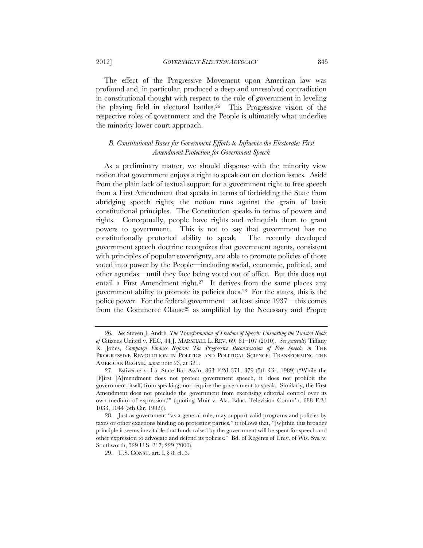The effect of the Progressive Movement upon American law was profound and, in particular, produced a deep and unresolved contradiction in constitutional thought with respect to the role of government in leveling the playing field in electoral battles.26 This Progressive vision of the respective roles of government and the People is ultimately what underlies the minority lower court approach.

## *B. Constitutional Bases for Government Efforts to Influence the Electorate: First Amendment Protection for Government Speech*

As a preliminary matter, we should dispense with the minority view notion that government enjoys a right to speak out on election issues. Aside from the plain lack of textual support for a government right to free speech from a First Amendment that speaks in terms of forbidding the State from abridging speech rights, the notion runs against the grain of basic constitutional principles. The Constitution speaks in terms of powers and rights. Conceptually, people have rights and relinquish them to grant powers to government. This is not to say that government has no constitutionally protected ability to speak. The recently developed government speech doctrine recognizes that government agents, consistent with principles of popular sovereignty, are able to promote policies of those voted into power by the People—including social, economic, political, and other agendas—until they face being voted out of office. But this does not entail a First Amendment right.27 It derives from the same places any government ability to promote its policies does.28 For the states, this is the police power. For the federal government—at least since 1937—this comes from the Commerce Clause29 as amplified by the Necessary and Proper

<sup>26</sup>*. See* Steven J. André, *The Transformation of Freedom of Speech: Unsnarling the Twisted Roots of* Citizens United v. FEC, 44 J. MARSHALL L. REV. 69, 81–107 (2010). *See generally* Tiffany R. Jones, *Campaign Finance Reform: The Progressive Reconstruction of Free Speech, in* THE PROGRESSIVE REVOLUTION IN POLITICS AND POLITICAL SCIENCE: TRANSFORMING THE AMERICAN REGIME, *supra* note 23, at 321.

 <sup>27.</sup> Estiverne v. La. State Bar Ass'n, 863 F.2d 371, 379 (5th Cir. 1989) ("While the [F]irst [A]mendment does not protect government speech, it 'does not prohibit the government, itself, from speaking, nor require the government to speak. Similarly, the First Amendment does not preclude the government from exercising editorial control over its own medium of expression.'" (quoting Muir v. Ala. Educ. Television Comm'n, 688 F.2d 1033, 1044 (5th Cir. 1982))).

 <sup>28.</sup> Just as government "as a general rule, may support valid programs and policies by taxes or other exactions binding on protesting parties," it follows that, "[w]ithin this broader principle it seems inevitable that funds raised by the government will be spent for speech and other expression to advocate and defend its policies." Bd. of Regents of Univ. of Wis. Sys. v. Southworth, 529 U.S. 217, 229 (2000).

 <sup>29.</sup> U.S. CONST. art. I, § 8, cl. 3.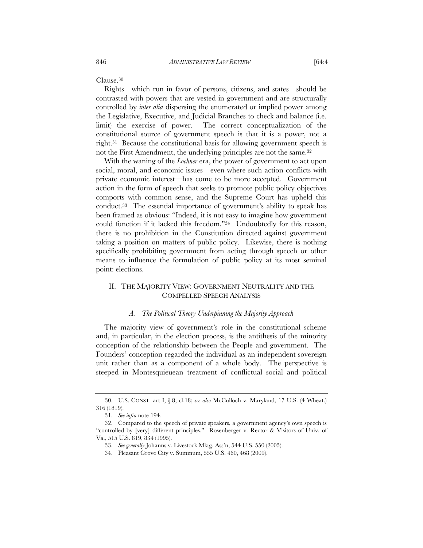Clause.30

Rights—which run in favor of persons, citizens, and states—should be contrasted with powers that are vested in government and are structurally controlled by *inter alia* dispersing the enumerated or implied power among the Legislative, Executive, and Judicial Branches to check and balance (i.e. limit) the exercise of power. The correct conceptualization of the constitutional source of government speech is that it is a power, not a right.31 Because the constitutional basis for allowing government speech is not the First Amendment, the underlying principles are not the same.32

With the waning of the *Lochner* era, the power of government to act upon social, moral, and economic issues—even where such action conflicts with private economic interest—has come to be more accepted. Government action in the form of speech that seeks to promote public policy objectives comports with common sense, and the Supreme Court has upheld this conduct.33 The essential importance of government's ability to speak has been framed as obvious: "Indeed, it is not easy to imagine how government could function if it lacked this freedom."34 Undoubtedly for this reason, there is no prohibition in the Constitution directed against government taking a position on matters of public policy. Likewise, there is nothing specifically prohibiting government from acting through speech or other means to influence the formulation of public policy at its most seminal point: elections.

## II. THE MAJORITY VIEW: GOVERNMENT NEUTRALITY AND THE COMPELLED SPEECH ANALYSIS

#### *A. The Political Theory Underpinning the Majority Approach*

The majority view of government's role in the constitutional scheme and, in particular, in the election process, is the antithesis of the minority conception of the relationship between the People and government. The Founders' conception regarded the individual as an independent sovereign unit rather than as a component of a whole body. The perspective is steeped in Montesquieuean treatment of conflictual social and political

 <sup>30.</sup> U.S. CONST. art I, § 8, cl.18; *see also* McCulloch v. Maryland, 17 U.S. (4 Wheat.) 316 (1819).

 <sup>31.</sup> *See infra* note 194*.* 

 <sup>32.</sup> Compared to the speech of private speakers, a government agency's own speech is "controlled by [very] different principles." Rosenberger v. Rector & Visitors of Univ. of Va., 515 U.S. 819, 834 (1995).

 <sup>33.</sup> *See generally* Johanns v. Livestock Mktg. Ass'n, 544 U.S. 550 (2005).

 <sup>34.</sup> Pleasant Grove City v. Summum, 555 U.S. 460, 468 (2009).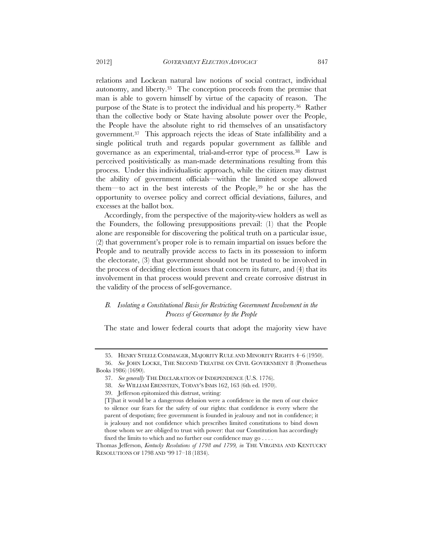relations and Lockean natural law notions of social contract, individual autonomy, and liberty.<sup>35</sup> The conception proceeds from the premise that man is able to govern himself by virtue of the capacity of reason. The purpose of the State is to protect the individual and his property.36 Rather than the collective body or State having absolute power over the People, the People have the absolute right to rid themselves of an unsatisfactory government.37 This approach rejects the ideas of State infallibility and a single political truth and regards popular government as fallible and governance as an experimental, trial-and-error type of process.38 Law is perceived positivistically as man-made determinations resulting from this process. Under this individualistic approach, while the citizen may distrust the ability of government officials—within the limited scope allowed them—to act in the best interests of the People,39 he or she has the opportunity to oversee policy and correct official deviations, failures, and excesses at the ballot box.

Accordingly, from the perspective of the majority-view holders as well as the Founders, the following presuppositions prevail: (1) that the People alone are responsible for discovering the political truth on a particular issue, (2) that government's proper role is to remain impartial on issues before the People and to neutrally provide access to facts in its possession to inform the electorate, (3) that government should not be trusted to be involved in the process of deciding election issues that concern its future, and (4) that its involvement in that process would prevent and create corrosive distrust in the validity of the process of self-governance.

## *B. Isolating a Constitutional Basis for Restricting Government Involvement in the Process of Governance by the People*

The state and lower federal courts that adopt the majority view have

 <sup>35.</sup> HENRY STEELE COMMAGER, MAJORITY RULE AND MINORITY RIGHTS 4–6 (1950).

 <sup>36.</sup> *See* JOHN LOCKE, THE SECOND TREATISE ON CIVIL GOVERNMENT 8 (Prometheus Books 1986) (1690).

 <sup>37.</sup> *See generally* THE DECLARATION OF INDEPENDENCE (U.S. 1776).

 <sup>38.</sup> *See* WILLIAM EBENSTEIN, TODAY'S ISMS 162, 163 (6th ed. 1970).

 <sup>39.</sup> Jefferson epitomized this distrust, writing:

<sup>[</sup>T]hat it would be a dangerous delusion were a confidence in the men of our choice to silence our fears for the safety of our rights: that confidence is every where the parent of despotism; free government is founded in jealousy and not in confidence; it is jealousy and not confidence which prescribes limited constitutions to bind down those whom we are obliged to trust with power: that our Constitution has accordingly fixed the limits to which and no further our confidence may go . . . .

Thomas Jefferson, *Kentucky Resolutions of 1798 and 1799, in* THE VIRGINIA AND KENTUCKY RESOLUTIONS OF 1798 AND '99 17–18 (1834).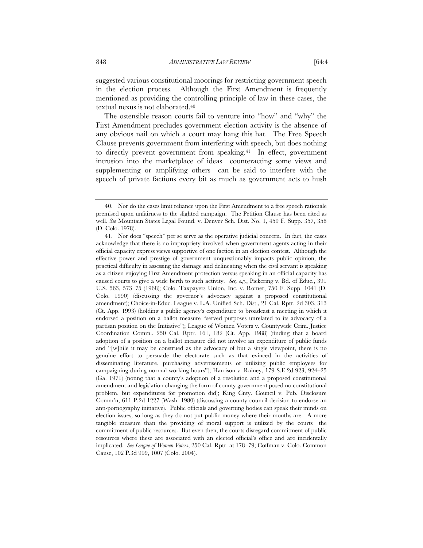suggested various constitutional moorings for restricting government speech in the election process. Although the First Amendment is frequently mentioned as providing the controlling principle of law in these cases, the textual nexus is not elaborated.40

The ostensible reason courts fail to venture into "how" and "why" the First Amendment precludes government election activity is the absence of any obvious nail on which a court may hang this hat. The Free Speech Clause prevents government from interfering with speech, but does nothing to directly prevent government from speaking.<sup>41</sup> In effect, government intrusion into the marketplace of ideas—counteracting some views and supplementing or amplifying others—can be said to interfere with the speech of private factions every bit as much as government acts to hush

 <sup>40.</sup> Nor do the cases limit reliance upon the First Amendment to a free speech rationale premised upon unfairness to the slighted campaign. The Petition Clause has been cited as well. *See* Mountain States Legal Found. v. Denver Sch. Dist. No. 1, 459 F. Supp. 357, 358 (D. Colo. 1978).

<sup>41.</sup> Nor does "speech" per se serve as the operative judicial concern. In fact, the cases acknowledge that there is no impropriety involved when government agents acting in their official capacity express views supportive of one faction in an election contest. Although the effective power and prestige of government unquestionably impacts public opinion, the practical difficulty in assessing the damage and delineating when the civil servant is speaking as a citizen enjoying First Amendment protection versus speaking in an official capacity has caused courts to give a wide berth to such activity. *See, e.g.*, Pickering v. Bd. of Educ., 391 U.S. 563, 573–75 (1968); Colo. Taxpayers Union, Inc. v. Romer, 750 F. Supp. 1041 (D. Colo. 1990) (discussing the governor's advocacy against a proposed constitutional amendment); Choice-in-Educ. League v. L.A. Unified Sch. Dist., 21 Cal. Rptr. 2d 303, 313 (Ct. App. 1993) (holding a public agency's expenditure to broadcast a meeting in which it endorsed a position on a ballot measure "served purposes unrelated to its advocacy of a partisan position on the Initiative"); League of Women Voters v. Countywide Crim. Justice Coordination Comm., 250 Cal. Rptr. 161, 182 (Ct. App. 1988) (finding that a board adoption of a position on a ballot measure did not involve an expenditure of public funds and "[w]hile it may be construed as the advocacy of but a single viewpoint, there is no genuine effort to persuade the electorate such as that evinced in the activities of disseminating literature, purchasing advertisements or utilizing public employees for campaigning during normal working hours"); Harrison v. Rainey, 179 S.E.2d 923, 924–25 (Ga. 1971) (noting that a county's adoption of a resolution and a proposed constitutional amendment and legislation changing the form of county government posed no constitutional problem, but expenditures for promotion did); King Cnty. Council v. Pub. Disclosure Comm'n, 611 P.2d 1227 (Wash. 1980) (discussing a county council decision to endorse an anti-pornography initiative). Public officials and governing bodies can speak their minds on election issues, so long as they do not put public money where their mouths are. A more tangible measure than the providing of moral support is utilized by the courts—the commitment of public resources. But even then, the courts disregard commitment of public resources where these are associated with an elected official's office and are incidentally implicated. *See League of Women Voters*, 250 Cal. Rptr. at 178–79; Coffman v. Colo. Common Cause, 102 P.3d 999, 1007 (Colo. 2004).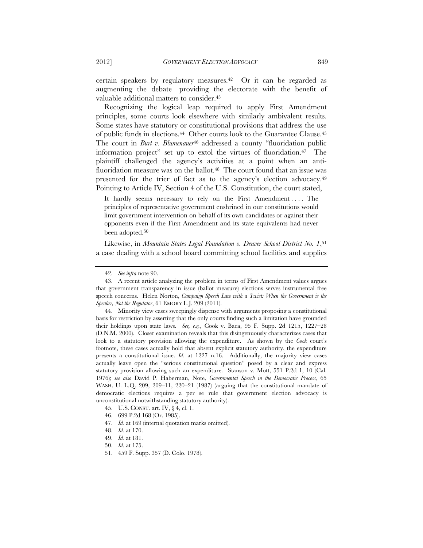certain speakers by regulatory measures.42 Or it can be regarded as augmenting the debate—providing the electorate with the benefit of valuable additional matters to consider.<sup>43</sup>

Recognizing the logical leap required to apply First Amendment principles, some courts look elsewhere with similarly ambivalent results. Some states have statutory or constitutional provisions that address the use of public funds in elections.44 Other courts look to the Guarantee Clause.45 The court in *Burt v. Blumenauer*<sup>46</sup> addressed a county "fluoridation public information project" set up to extol the virtues of fluoridation.47 The plaintiff challenged the agency's activities at a point when an antifluoridation measure was on the ballot.<sup>48</sup> The court found that an issue was presented for the trier of fact as to the agency's election advocacy.49 Pointing to Article IV, Section 4 of the U.S. Constitution, the court stated,

It hardly seems necessary to rely on the First Amendment . . . . The principles of representative government enshrined in our constitutions would limit government intervention on behalf of its own candidates or against their opponents even if the First Amendment and its state equivalents had never been adopted.<sup>50</sup>

Likewise, in *Mountain States Legal Foundation v. Denver School District No. 1*,51 a case dealing with a school board committing school facilities and supplies

47. *Id.* at 169 (internal quotation marks omitted).

 <sup>42.</sup> *See infra* note 90.

 <sup>43.</sup> A recent article analyzing the problem in terms of First Amendment values argues that government transparency in issue (ballot measure) elections serves instrumental free speech concerns. Helen Norton, *Campaign Speech Law with a Twist: When the Government is the Speaker, Not the Regulator*, 61 EMORY L.J. 209 (2011).

 <sup>44.</sup> Minority view cases sweepingly dispense with arguments proposing a constitutional basis for restriction by asserting that the only courts finding such a limitation have grounded their holdings upon state laws. *See, e.g.*, Cook v. Baca, 95 F. Supp. 2d 1215, 1227–28 (D.N.M. 2000). Closer examination reveals that this disingenuously characterizes cases that look to a statutory provision allowing the expenditure. As shown by the *Cook* court's footnote, these cases actually hold that absent explicit statutory authority, the expenditure presents a constitutional issue. *Id.* at 1227 n.16. Additionally, the majority view cases actually leave open the "serious constitutional question" posed by a clear and express statutory provision allowing such an expenditure. Stanson v. Mott, 551 P.2d 1, 10 (Cal. 1976); *see also* David P. Haberman, Note, *Governmental Speech in the Democratic Process*, 65 WASH. U. L.Q. 209, 209–11, 220–21 (1987) (arguing that the constitutional mandate of democratic elections requires a per se rule that government election advocacy is unconstitutional notwithstanding statutory authority).

 <sup>45.</sup> U.S. CONST. art. IV, § 4, cl. 1.

 <sup>46. 699</sup> P.2d 168 (Or. 1985).

 <sup>48.</sup> *Id.* at 170.

 <sup>49.</sup> *Id.* at 181.

 <sup>50.</sup> *Id*. at 175.

 <sup>51. 459</sup> F. Supp. 357 (D. Colo. 1978).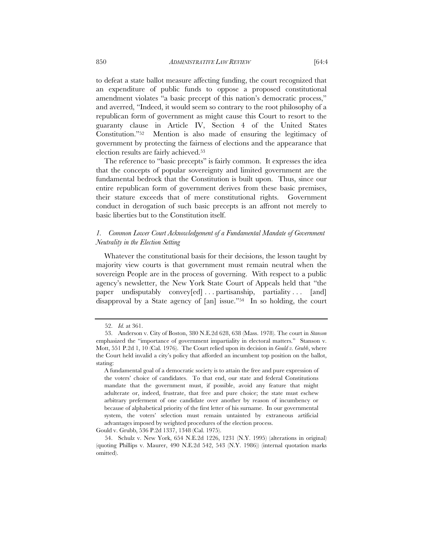to defeat a state ballot measure affecting funding, the court recognized that an expenditure of public funds to oppose a proposed constitutional amendment violates "a basic precept of this nation's democratic process," and averred, "Indeed, it would seem so contrary to the root philosophy of a republican form of government as might cause this Court to resort to the guaranty clause in Article IV, Section 4 of the United States

Constitution."52 Mention is also made of ensuring the legitimacy of government by protecting the fairness of elections and the appearance that election results are fairly achieved.53

The reference to "basic precepts" is fairly common. It expresses the idea that the concepts of popular sovereignty and limited government are the fundamental bedrock that the Constitution is built upon. Thus, since our entire republican form of government derives from these basic premises, their stature exceeds that of mere constitutional rights. Government conduct in derogation of such basic precepts is an affront not merely to basic liberties but to the Constitution itself.

## *1. Common Lower Court Acknowledgement of a Fundamental Mandate of Government Neutrality in the Election Setting*

Whatever the constitutional basis for their decisions, the lesson taught by majority view courts is that government must remain neutral when the sovereign People are in the process of governing. With respect to a public agency's newsletter, the New York State Court of Appeals held that "the paper undisputably convey[ed] . . . partisanship, partiality . . . [and] disapproval by a State agency of [an] issue."54 In so holding, the court

 <sup>52.</sup> *Id.* at 361.

 <sup>53.</sup> Anderson v. City of Boston, 380 N.E.2d 628, 638 (Mass. 1978). The court in *Stanson* emphasized the "importance of government impartiality in electoral matters." Stanson v. Mott, 551 P.2d 1, 10 (Cal. 1976). The Court relied upon its decision in *Gould v. Grubb*, where the Court held invalid a city's policy that afforded an incumbent top position on the ballot, stating:

A fundamental goal of a democratic society is to attain the free and pure expression of the voters' choice of candidates. To that end, our state and federal Constitutions mandate that the government must, if possible, avoid any feature that might adulterate or, indeed, frustrate, that free and pure choice; the state must eschew arbitrary preferment of one candidate over another by reason of incumbency or because of alphabetical priority of the first letter of his surname. In our governmental system, the voters' selection must remain untainted by extraneous artificial advantages imposed by weighted procedures of the election process.

Gould v. Grubb, 536 P.2d 1337, 1348 (Cal. 1975).

 <sup>54.</sup> Schulz v. New York, 654 N.E.2d 1226, 1231 (N.Y. 1995) (alterations in original) (quoting Phillips v. Maurer, 490 N.E.2d 542, 543 (N.Y. 1986)) (internal quotation marks omitted).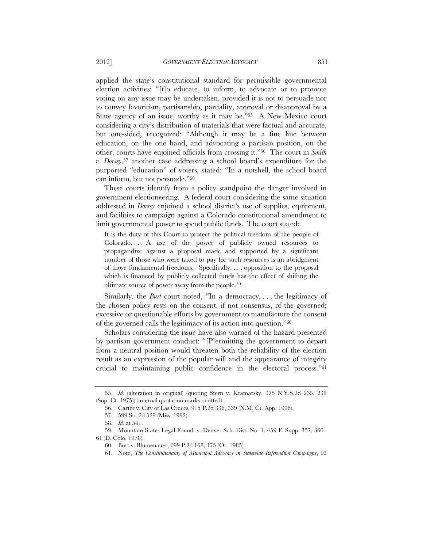applied the state's constitutional standard for permissible governmental election activities: "[t]o educate, to inform, to advocate or to promote voting on any issue may be undertaken, provided it is not to persuade nor to convey favoritism, partisanship, partiality, approval or disapproval by a State agency of an issue, worthy as it may be."55 A New Mexico court considering a city's distribution of materials that were factual and accurate, but one-sided, recognized: "Although it may be a fine line between education, on the one hand, and advocating a partisan position, on the other, courts have enjoined officials from crossing it."56 The court in *Smith v. Dorsey*,57 another case addressing a school board's expenditure for the purported "education" of voters, stated: "In a nutshell, the school board can inform, but not persuade."58

These courts identify from a policy standpoint the danger involved in government electioneering. A federal court considering the same situation addressed in *Dorsey* enjoined a school district's use of supplies, equipment, and facilities to campaign against a Colorado constitutional amendment to limit governmental power to spend public funds. The court stated:

It is the duty of this Court to protect the political freedom of the people of Colorado. . . . A use of the power of publicly owned resources to propagandize against a proposal made and supported by a significant number of those who were taxed to pay for such resources is an abridgment of those fundamental freedoms. Specifically, . . . opposition to the proposal which is financed by publicly collected funds has the effect of shifting the ultimate source of power away from the people.59

Similarly, the *Burt* court noted, "In a democracy, . . . the legitimacy of the chosen policy rests on the consent, if not consensus, of the governed; excessive or questionable efforts by government to manufacture the consent of the governed calls the legitimacy of its action into question."60

Scholars considering the issue have also warned of the hazard presented by partisan government conduct: "[P]ermitting the government to depart from a neutral position would threaten both the reliability of the election result as an expression of the popular will and the appearance of integrity crucial to maintaining public confidence in the electoral process."61

 <sup>55.</sup> *Id.* (alteration in original) (quoting Stern v. Kramarsky, 375 N.Y.S.2d 235, 239 (Sup. Ct. 1975)) (internal quotation marks omitted).

 <sup>56.</sup> Carter v. City of Las Cruces, 915 P.2d 336, 339 (N.M. Ct. App. 1996).

 <sup>57. 599</sup> So. 2d 529 (Miss. 1992).

 <sup>58.</sup> *Id.* at 541.

 <sup>59.</sup> Mountain States Legal Found. v. Denver Sch. Dist. No. 1, 459 F. Supp. 357, 360–

<sup>61 (</sup>D. Colo. 1978).

 <sup>60.</sup> Burt v. Blumenauer, 699 P.2d 168, 175 (Or. 1985).

 <sup>61.</sup> Note, *The Constitutionality of Municipal Advocacy in Statewide Referendum Campaigns*, 93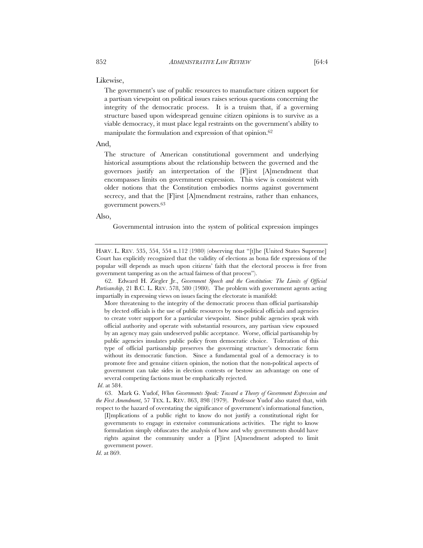Likewise,

The government's use of public resources to manufacture citizen support for a partisan viewpoint on political issues raises serious questions concerning the integrity of the democratic process. It is a truism that, if a governing structure based upon widespread genuine citizen opinions is to survive as a viable democracy, it must place legal restraints on the government's ability to manipulate the formulation and expression of that opinion.62

#### And,

The structure of American constitutional government and underlying historical assumptions about the relationship between the governed and the governors justify an interpretation of the [F]irst [A]mendment that encompasses limits on government expression. This view is consistent with older notions that the Constitution embodies norms against government secrecy, and that the [F]irst [A]mendment restrains, rather than enhances, government powers.63

## Also,

Governmental intrusion into the system of political expression impinges

 62. Edward H. Ziegler Jr., *Government Speech and the Constitution: The Limits of Official Partisanship*, 21 B.C. L. REV. 578, 580 (1980). The problem with government agents acting impartially in expressing views on issues facing the electorate is manifold:

More threatening to the integrity of the democratic process than official partisanship by elected officials is the use of public resources by non-political officials and agencies to create voter support for a particular viewpoint. Since public agencies speak with official authority and operate with substantial resources, any partisan view espoused by an agency may gain undeserved public acceptance. Worse, official partisanship by public agencies insulates public policy from democratic choice. Toleration of this type of official partisanship preserves the governing structure's democratic form without its democratic function. Since a fundamental goal of a democracy is to promote free and genuine citizen opinion, the notion that the non-political aspects of government can take sides in election contests or bestow an advantage on one of several competing factions must be emphatically rejected.

 63. Mark G. Yudof, *When Governments Speak: Toward a Theory of Government Expression and the First Amendment*, 57 TEX. L. REV. 863, 898 (1979). Professor Yudof also stated that, with respect to the hazard of overstating the significance of government's informational function,

[I]mplications of a public right to know do not justify a constitutional right for governments to engage in extensive communications activities. The right to know formulation simply obfuscates the analysis of how and why governments should have rights against the community under a [F]irst [A]mendment adopted to limit government power.

*Id*. at 869.

HARV. L. REV. 535, 554, 554 n.112 (1980) (observing that "[t]he [United States Supreme] Court has explicitly recognized that the validity of elections as bona fide expressions of the popular will depends as much upon citizens' faith that the electoral process is free from government tampering as on the actual fairness of that process").

*Id*. at 584.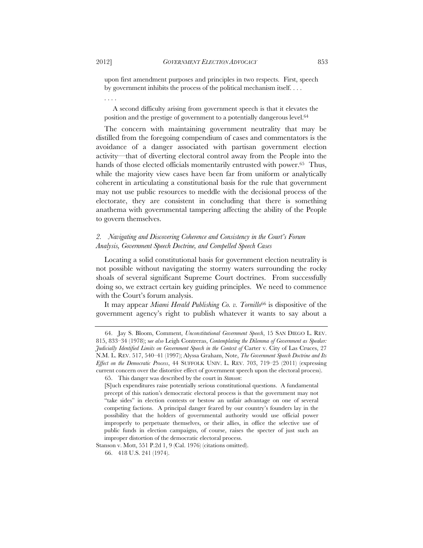upon first amendment purposes and principles in two respects. First, speech by government inhibits the process of the political mechanism itself. . . .

. . . .

A second difficulty arising from government speech is that it elevates the position and the prestige of government to a potentially dangerous level.64

The concern with maintaining government neutrality that may be distilled from the foregoing compendium of cases and commentators is the avoidance of a danger associated with partisan government election activity—that of diverting electoral control away from the People into the hands of those elected officials momentarily entrusted with power.<sup>65</sup> Thus, while the majority view cases have been far from uniform or analytically coherent in articulating a constitutional basis for the rule that government may not use public resources to meddle with the decisional process of the electorate, they are consistent in concluding that there is something anathema with governmental tampering affecting the ability of the People to govern themselves.

## *2. Navigating and Discovering Coherence and Consistency in the Court's Forum Analysis, Government Speech Doctrine, and Compelled Speech Cases*

Locating a solid constitutional basis for government election neutrality is not possible without navigating the stormy waters surrounding the rocky shoals of several significant Supreme Court doctrines. From successfully doing so, we extract certain key guiding principles. We need to commence with the Court's forum analysis.

It may appear *Miami Herald Publishing Co. v. Tornillo*66 is dispositive of the government agency's right to publish whatever it wants to say about a

 <sup>64.</sup> Jay S. Bloom, Comment, *Unconstitutional Government Speech*, 15 SAN DIEGO L. REV. 815, 833–34 (1978); s*ee also* Leigh Contreras, *Contemplating the Dilemma of Government as Speaker: Judicially Identified Limits on Government Speech in the Context of* Carter v. City of Las Cruces, 27 N.M. L. REV. 517, 540–41 (1997); Alyssa Graham, Note, *The Government Speech Doctrine and Its Effect on the Democratic Process*, 44 SUFFOLK UNIV. L. REV. 703, 719–25 (2011) (expressing current concern over the distortive effect of government speech upon the electoral process).

 <sup>65.</sup> This danger was described by the court in *Stanson*:

<sup>[</sup>S]uch expenditures raise potentially serious constitutional questions. A fundamental precept of this nation's democratic electoral process is that the government may not "take sides" in election contests or bestow an unfair advantage on one of several competing factions. A principal danger feared by our country's founders lay in the possibility that the holders of governmental authority would use official power improperly to perpetuate themselves, or their allies, in office the selective use of public funds in election campaigns, of course, raises the specter of just such an improper distortion of the democratic electoral process.

Stanson v. Mott, 551 P.2d 1, 9 (Cal. 1976) (citations omitted).

 <sup>66. 418</sup> U.S. 241 (1974).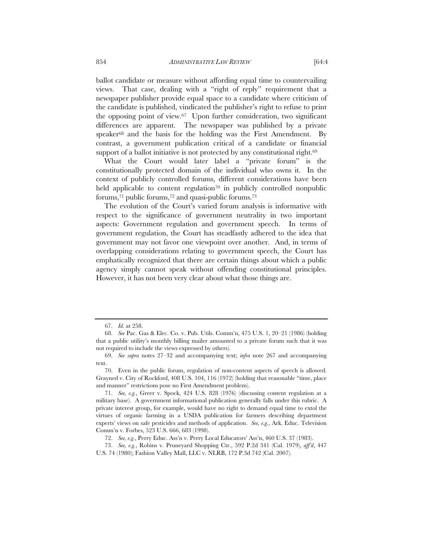ballot candidate or measure without affording equal time to countervailing views. That case, dealing with a "right of reply" requirement that a newspaper publisher provide equal space to a candidate where criticism of the candidate is published, vindicated the publisher's right to refuse to print the opposing point of view.67 Upon further consideration, two significant differences are apparent. The newspaper was published by a private speaker<sup>68</sup> and the basis for the holding was the First Amendment. By contrast, a government publication critical of a candidate or financial support of a ballot initiative is not protected by any constitutional right.<sup>69</sup>

What the Court would later label a "private forum" is the constitutionally protected domain of the individual who owns it. In the context of publicly controlled forums, different considerations have been held applicable to content regulation<sup>70</sup> in publicly controlled nonpublic forums,71 public forums,72 and quasi-public forums.73

The evolution of the Court's varied forum analysis is informative with respect to the significance of government neutrality in two important aspects: Government regulation and government speech. In terms of government regulation, the Court has steadfastly adhered to the idea that government may not favor one viewpoint over another. And, in terms of overlapping considerations relating to government speech, the Court has emphatically recognized that there are certain things about which a public agency simply cannot speak without offending constitutional principles. However, it has not been very clear about what those things are.

 <sup>67.</sup> *Id.* at 258.

 <sup>68.</sup> *See* Pac. Gas & Elec. Co. v. Pub. Utils. Comm'n, 475 U.S. 1, 20–21 (1986) (holding that a public utility's monthly billing mailer amounted to a private forum such that it was not required to include the views expressed by others).

 <sup>69.</sup> *See supra* notes 27–32 and accompanying text; *infra* note 267 and accompanying text.

 <sup>70.</sup> Even in the public forum, regulation of non-content aspects of speech is allowed. Grayned v. City of Rockford, 408 U.S. 104, 116 (1972) (holding that reasonable "time, place and manner" restrictions pose no First Amendment problem).

 <sup>71.</sup> *See, e.g.*, Greer v. Spock, 424 U.S. 828 (1976) (discussing content regulation at a military base). A government informational publication generally falls under this rubric. A private interest group, for example, would have no right to demand equal time to extol the virtues of organic farming in a USDA publication for farmers describing department experts' views on safe pesticides and methods of application. *See, e.g.*, Ark. Educ. Television Comm'n v. Forbes, 523 U.S. 666, 683 (1998).

 <sup>72.</sup> *See, e.g.*, Perry Educ. Ass'n v. Perry Local Educators' Ass'n, 460 U.S. 37 (1983).

 <sup>73.</sup> *See, e.g.*, Robins v. Pruneyard Shopping Ctr., 592 P.2d 341 (Cal. 1979), *aff'd*, 447 U.S. 74 (1980); Fashion Valley Mall, LLC v. NLRB, 172 P.3d 742 (Cal. 2007).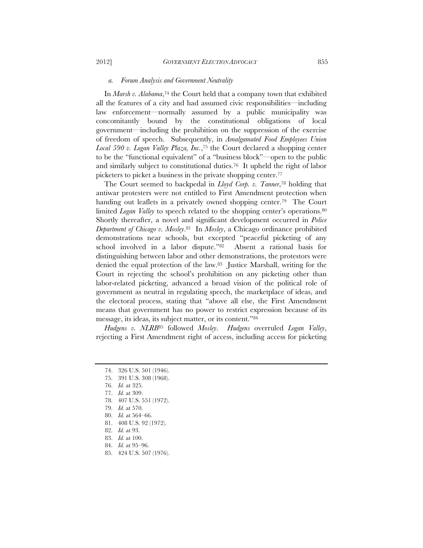## *a. Forum Analysis and Government Neutrality*

In *Marsh v. Alabama*,<sup>74</sup> the Court held that a company town that exhibited all the features of a city and had assumed civic responsibilities—including law enforcement—normally assumed by a public municipality was concomitantly bound by the constitutional obligations of local government—including the prohibition on the suppression of the exercise of freedom of speech. Subsequently, in *Amalgamated Food Employees Union Local 590 v. Logan Valley Plaza, Inc.*,75 the Court declared a shopping center to be the "functional equivalent" of a "business block"—open to the public and similarly subject to constitutional duties.76 It upheld the right of labor picketers to picket a business in the private shopping center.77

The Court seemed to backpedal in *Lloyd Corp. v. Tanner*,78 holding that antiwar protesters were not entitled to First Amendment protection when handing out leaflets in a privately owned shopping center.<sup>79</sup> The Court limited *Logan Valley* to speech related to the shopping center's operations.<sup>80</sup> Shortly thereafter, a novel and significant development occurred in *Police Department of Chicago v. Mosley*.81 In *Mosley*, a Chicago ordinance prohibited demonstrations near schools, but excepted "peaceful picketing of any school involved in a labor dispute."82 Absent a rational basis for distinguishing between labor and other demonstrations, the protestors were denied the equal protection of the law.83 Justice Marshall, writing for the Court in rejecting the school's prohibition on any picketing other than labor-related picketing, advanced a broad vision of the political role of government as neutral in regulating speech, the marketplace of ideas, and the electoral process, stating that "above all else, the First Amendment means that government has no power to restrict expression because of its message, its ideas, its subject matter, or its content."84

*Hudgens v. NLRB*85 followed *Mosley*. *Hudgens* overruled *Logan Valley*, rejecting a First Amendment right of access, including access for picketing

- 75. 391 U.S. 308 (1968).
- 76. *Id.* at 325.
- 77. *Id.* at 309.
- 78. 407 U.S. 551 (1972).
- 79. *Id.* at 570.
- 80. *Id.* at 564–66.
- 81. 408 U.S. 92 (1972).
- 82. *Id.* at 93.
- 83. *Id.* at 100.
- 84. *Id.* at 95–96.
- 85. 424 U.S. 507 (1976).

 <sup>74. 326</sup> U.S. 501 (1946).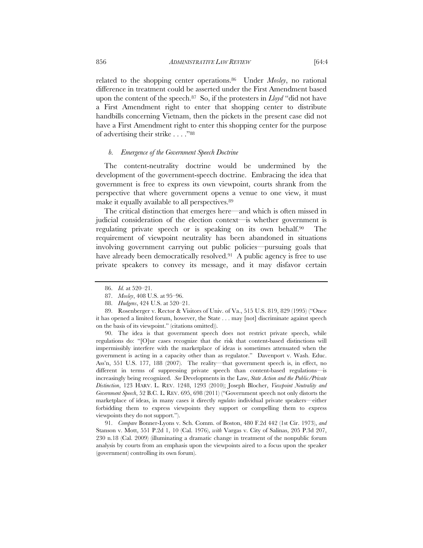related to the shopping center operations.86 Under *Mosley*, no rational difference in treatment could be asserted under the First Amendment based upon the content of the speech.87 So, if the protesters in *Lloyd* "did not have a First Amendment right to enter that shopping center to distribute handbills concerning Vietnam, then the pickets in the present case did not have a First Amendment right to enter this shopping center for the purpose of advertising their strike . . . ."88

#### *b. Emergence of the Government Speech Doctrine*

The content-neutrality doctrine would be undermined by the development of the government-speech doctrine. Embracing the idea that government is free to express its own viewpoint, courts shrank from the perspective that where government opens a venue to one view, it must make it equally available to all perspectives.89

The critical distinction that emerges here—and which is often missed in judicial consideration of the election context—is whether government is regulating private speech or is speaking on its own behalf.<sup>90</sup> The requirement of viewpoint neutrality has been abandoned in situations involving government carrying out public policies—pursuing goals that have already been democratically resolved.<sup>91</sup> A public agency is free to use private speakers to convey its message, and it may disfavor certain

 90. The idea is that government speech does not restrict private speech, while regulations do: "[O]ur cases recognize that the risk that content-based distinctions will impermissibly interfere with the marketplace of ideas is sometimes attenuated when the government is acting in a capacity other than as regulator." Davenport v. Wash. Educ. Ass'n, 551 U.S. 177, 188 (2007). The reality—that government speech is, in effect, no different in terms of suppressing private speech than content-based regulations—is increasingly being recognized. *See* Developments in the Law, *State Action and the Public/Private Distinction*, 123 HARV. L. REV. 1248, 1293 (2010); Joseph Blocher, *Viewpoint Neutrality and Government Speech*, 52 B.C. L. REV. 695, 698 (2011) ("Government speech not only distorts the marketplace of ideas, in many cases it directly *regulates* individual private speakers—either forbidding them to express viewpoints they support or compelling them to express viewpoints they do not support.").

 91. *Compare* Bonner-Lyons v. Sch. Comm. of Boston, 480 F.2d 442 (1st Cir. 1973), *and* Stanson v. Mott, 551 P.2d 1, 10 (Cal. 1976), *with* Vargas v. City of Salinas, 205 P.3d 207, 230 n.18 (Cal. 2009) (illuminating a dramatic change in treatment of the nonpublic forum analysis by courts from an emphasis upon the viewpoints aired to a focus upon the speaker (government) controlling its own forum).

 <sup>86.</sup> *Id.* at 520–21.

 <sup>87.</sup> *Mosley*, 408 U.S. at 95–96.

 <sup>88.</sup> *Hudgens*, 424 U.S. at 520–21.

 <sup>89.</sup> Rosenberger v. Rector & Visitors of Univ. of Va., 515 U.S. 819, 829 (1995) ("Once it has opened a limited forum, however, the State . . . may [not] discriminate against speech on the basis of its viewpoint." (citations omitted)).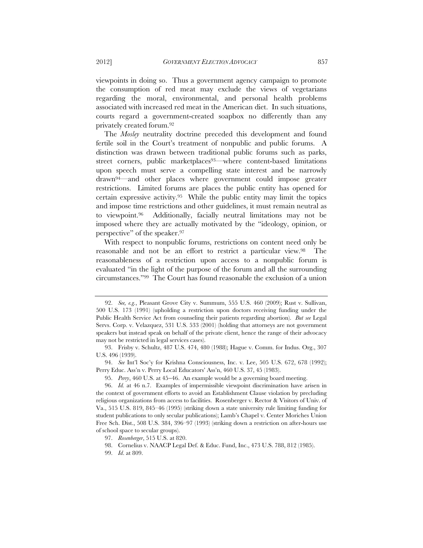viewpoints in doing so. Thus a government agency campaign to promote the consumption of red meat may exclude the views of vegetarians regarding the moral, environmental, and personal health problems associated with increased red meat in the American diet. In such situations, courts regard a government-created soapbox no differently than any privately created forum.92

The *Mosley* neutrality doctrine preceded this development and found fertile soil in the Court's treatment of nonpublic and public forums. A distinction was drawn between traditional public forums such as parks, street corners, public marketplaces<sup>93</sup>—where content-based limitations upon speech must serve a compelling state interest and be narrowly drawn94—and other places where government could impose greater restrictions. Limited forums are places the public entity has opened for certain expressive activity.95 While the public entity may limit the topics and impose time restrictions and other guidelines, it must remain neutral as to viewpoint.96 Additionally, facially neutral limitations may not be imposed where they are actually motivated by the "ideology, opinion, or perspective" of the speaker.97

With respect to nonpublic forums, restrictions on content need only be reasonable and not be an effort to restrict a particular view.98 The reasonableness of a restriction upon access to a nonpublic forum is evaluated "in the light of the purpose of the forum and all the surrounding circumstances."99 The Court has found reasonable the exclusion of a union

 94. *See* Int'l Soc'y for Krishna Consciousness, Inc. v. Lee, 505 U.S. 672, 678 (1992); Perry Educ. Ass'n v. Perry Local Educators' Ass'n, 460 U.S. 37, 45 (1983).

 <sup>92.</sup> *See, e.g.*, Pleasant Grove City v. Summum, 555 U.S. 460 (2009); Rust v. Sullivan, 500 U.S. 173 (1991) (upholding a restriction upon doctors receiving funding under the Public Health Service Act from counseling their patients regarding abortion). *But see* Legal Servs. Corp. v. Velazquez, 531 U.S. 533 (2001) (holding that attorneys are not government speakers but instead speak on behalf of the private client, hence the range of their advocacy may not be restricted in legal services cases).

 <sup>93.</sup> Frisby v. Schultz, 487 U.S. 474, 480 (1988); Hague v. Comm. for Indus. Org., 307 U.S. 496 (1939).

<sup>95.</sup> *Perry*, 460 U.S. at 45–46. An example would be a governing board meeting.

 <sup>96.</sup> *Id.* at 46 n.7. Examples of impermissible viewpoint discrimination have arisen in the context of government efforts to avoid an Establishment Clause violation by precluding religious organizations from access to facilities. Rosenberger v. Rector & Visitors of Univ. of Va., 515 U.S. 819, 845–46 (1995) (striking down a state university rule limiting funding for student publications to only secular publications); Lamb's Chapel v. Center Moriches Union Free Sch. Dist., 508 U.S. 384, 396–97 (1993) (striking down a restriction on after-hours use of school space to secular groups).

 <sup>97.</sup> *Rosenberger*, 515 U.S. at 820.

 <sup>98.</sup> Cornelius v. NAACP Legal Def. & Educ. Fund, Inc., 473 U.S. 788, 812 (1985).

 <sup>99.</sup> *Id*. at 809.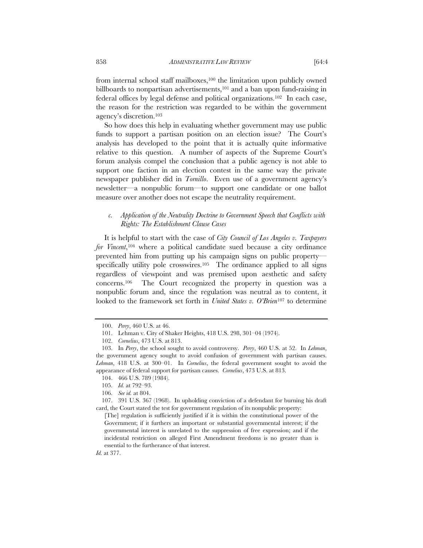from internal school staff mailboxes,<sup>100</sup> the limitation upon publicly owned billboards to nonpartisan advertisements,101 and a ban upon fund-raising in federal offices by legal defense and political organizations.102 In each case, the reason for the restriction was regarded to be within the government agency's discretion.103

So how does this help in evaluating whether government may use public funds to support a partisan position on an election issue? The Court's analysis has developed to the point that it is actually quite informative relative to this question. A number of aspects of the Supreme Court's forum analysis compel the conclusion that a public agency is not able to support one faction in an election contest in the same way the private newspaper publisher did in *Tornillo*. Even use of a government agency's newsletter—a nonpublic forum—to support one candidate or one ballot measure over another does not escape the neutrality requirement.

## *c. Application of the Neutrality Doctrine to Government Speech that Conflicts with Rights: The Establishment Clause Cases*

It is helpful to start with the case of *City Council of Los Angeles v. Taxpayers for Vincent*,104 where a political candidate sued because a city ordinance prevented him from putting up his campaign signs on public property specifically utility pole crosswires.<sup>105</sup> The ordinance applied to all signs regardless of viewpoint and was premised upon aesthetic and safety concerns.106 The Court recognized the property in question was a nonpublic forum and, since the regulation was neutral as to content, it looked to the framework set forth in *United States v. O'Brien*107 to determine

 <sup>100.</sup> *Perry*, 460 U.S. at 46.

 <sup>101.</sup> Lehman v. City of Shaker Heights, 418 U.S. 298, 301–04 (1974).

 <sup>102.</sup> *Cornelius*, 473 U.S. at 813.

 <sup>103.</sup> In *Perry*, the school sought to avoid controversy. *Perry*, 460 U.S. at 52. In *Lehman*, the government agency sought to avoid confusion of government with partisan causes. *Lehman*, 418 U.S. at 300–01. In *Cornelius*, the federal government sought to avoid the appearance of federal support for partisan causes. *Cornelius*, 473 U.S. at 813.

 <sup>104. 466</sup> U.S. 789 (1984).

 <sup>105.</sup> *Id.* at 792–93.

 <sup>106.</sup> *See id.* at 804.

 <sup>107. 391</sup> U.S. 367 (1968). In upholding conviction of a defendant for burning his draft card, the Court stated the test for government regulation of its nonpublic property:

<sup>[</sup>The] regulation is sufficiently justified if it is within the constitutional power of the Government; if it furthers an important or substantial governmental interest; if the governmental interest is unrelated to the suppression of free expression; and if the incidental restriction on alleged First Amendment freedoms is no greater than is essential to the furtherance of that interest.

*Id.* at 377.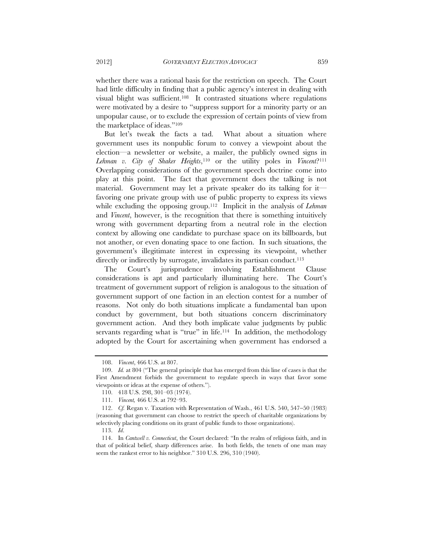whether there was a rational basis for the restriction on speech. The Court had little difficulty in finding that a public agency's interest in dealing with visual blight was sufficient.108 It contrasted situations where regulations were motivated by a desire to "suppress support for a minority party or an unpopular cause, or to exclude the expression of certain points of view from the marketplace of ideas."109

But let's tweak the facts a tad. What about a situation where government uses its nonpublic forum to convey a viewpoint about the election—a newsletter or website, a mailer, the publicly owned signs in *Lehman v. City of Shaker Heights*,110 or the utility poles in *Vincent*?111 Overlapping considerations of the government speech doctrine come into play at this point. The fact that government does the talking is not material. Government may let a private speaker do its talking for it favoring one private group with use of public property to express its views while excluding the opposing group.112 Implicit in the analysis of *Lehman* and *Vincent*, however, is the recognition that there is something intuitively wrong with government departing from a neutral role in the election context by allowing one candidate to purchase space on its billboards, but not another, or even donating space to one faction. In such situations, the government's illegitimate interest in expressing its viewpoint, whether directly or indirectly by surrogate, invalidates its partisan conduct.<sup>113</sup>

The Court's jurisprudence involving Establishment Clause considerations is apt and particularly illuminating here. The Court's treatment of government support of religion is analogous to the situation of government support of one faction in an election contest for a number of reasons. Not only do both situations implicate a fundamental ban upon conduct by government, but both situations concern discriminatory government action. And they both implicate value judgments by public servants regarding what is "true" in life.<sup>114</sup> In addition, the methodology adopted by the Court for ascertaining when government has endorsed a

 <sup>108.</sup> *Vincent*, 466 U.S. at 807.

 <sup>109.</sup> *Id.* at 804 ("The general principle that has emerged from this line of cases is that the First Amendment forbids the government to regulate speech in ways that favor some viewpoints or ideas at the expense of others.").

 <sup>110. 418</sup> U.S. 298, 301–03 (1974).

 <sup>111.</sup> *Vincent,* 466 U.S. at 792–93.

<sup>112.</sup> *Cf.* Regan v. Taxation with Representation of Wash., 461 U.S. 540, 547-50 (1983) (reasoning that government can choose to restrict the speech of charitable organizations by selectively placing conditions on its grant of public funds to those organizations).

 <sup>113.</sup> *Id*.

 <sup>114.</sup> In *Cantwell v. Connecticut*, the Court declared: "In the realm of religious faith, and in that of political belief, sharp differences arise. In both fields, the tenets of one man may seem the rankest error to his neighbor." 310 U.S. 296, 310 (1940).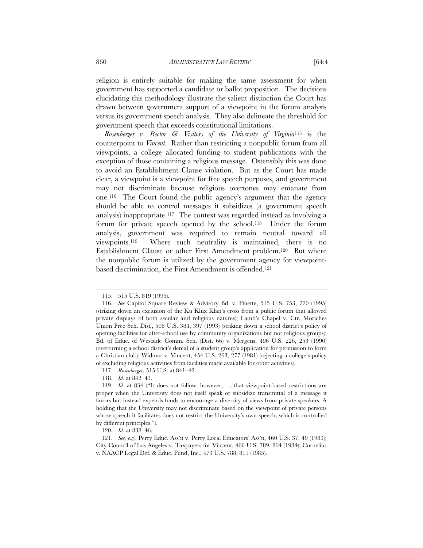religion is entirely suitable for making the same assessment for when government has supported a candidate or ballot proposition. The decisions elucidating this methodology illustrate the salient distinction the Court has drawn between government support of a viewpoint in the forum analysis versus its government speech analysis. They also delineate the threshold for government speech that exceeds constitutional limitations.

*Rosenberger v. Rector & Visitors of the University of Virginia*115 is the counterpoint to *Vincent*. Rather than restricting a nonpublic forum from all viewpoints, a college allocated funding to student publications with the exception of those containing a religious message. Ostensibly this was done to avoid an Establishment Clause violation. But as the Court has made clear, a viewpoint is a viewpoint for free speech purposes, and government may not discriminate because religious overtones may emanate from one.116 The Court found the public agency's argument that the agency should be able to control messages it subsidizes (a government speech analysis) inappropriate.117 The context was regarded instead as involving a forum for private speech opened by the school.118 Under the forum analysis, government was required to remain neutral toward all viewpoints.119 Where such neutrality is maintained, there is no Establishment Clause or other First Amendment problem.120 But where the nonpublic forum is utilized by the government agency for viewpointbased discrimination, the First Amendment is offended.121

 <sup>115. 515</sup> U.S. 819 (1995)*.*

 <sup>116.</sup> *See* Capitol Square Review & Advisory Bd. v. Pinette, 515 U.S. 753, 770 (1995) (striking down an exclusion of the Ku Klux Klan's cross from a public forum that allowed private displays of both secular and religious natures); Lamb's Chapel v. Ctr. Moriches Union Free Sch. Dist*.*, 508 U.S. 384, 397 (1993) (striking down a school district's policy of opening facilities for after-school use by community organizations but not religious groups); Bd. of Educ. of Westside Comm. Sch. (Dist. 66) v. Mergens, 496 U.S. 226, 253 (1990) (overturning a school district's denial of a student group's application for permission to form a Christian club); Widmar v. Vincent, 454 U.S. 263, 277 (1981) (rejecting a college's policy of excluding religious activities from facilities made available for other activities).

 <sup>117.</sup> *Rosenberger*, 515 U.S. at 841–42.

 <sup>118.</sup> *Id.* at 842–43.

 <sup>119.</sup> *Id.* at 834 ("It does not follow, however, . . . that viewpoint-based restrictions are proper when the University does not itself speak or subsidize transmittal of a message it favors but instead expends funds to encourage a diversity of views from private speakers. A holding that the University may not discriminate based on the viewpoint of private persons whose speech it facilitates does not restrict the University's own speech, which is controlled by different principles.").

 <sup>120.</sup> *Id*. at 838–46.

 <sup>121.</sup> *See, e.g.*, Perry Educ. Ass'n v. Perry Local Educators' Ass'n, 460 U.S. 37, 49 (1983); City Council of Los Angeles v. Taxpayers for Vincent, 466 U.S. 789, 804 (1984); Cornelius v. NAACP Legal Def. & Educ. Fund, Inc., 473 U.S. 788, 811 (1985).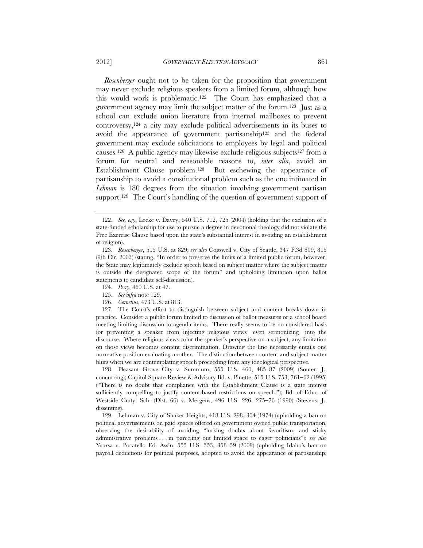*Rosenberger* ought not to be taken for the proposition that government

may never exclude religious speakers from a limited forum, although how this would work is problematic.122 The Court has emphasized that a government agency may limit the subject matter of the forum.123 Just as a school can exclude union literature from internal mailboxes to prevent controversy,124 a city may exclude political advertisements in its buses to avoid the appearance of government partisanship125 and the federal government may exclude solicitations to employees by legal and political causes.<sup>126</sup> A public agency may likewise exclude religious subjects<sup>127</sup> from a forum for neutral and reasonable reasons to, *inter alia*, avoid an Establishment Clause problem.128 But eschewing the appearance of partisanship to avoid a constitutional problem such as the one intimated in *Lehman* is 180 degrees from the situation involving government partisan support.<sup>129</sup> The Court's handling of the question of government support of

 128. Pleasant Grove City v. Summum, 555 U.S. 460, 485–87 (2009) (Souter, J., concurring); Capitol Square Review & Advisory Bd. v. Pinette, 515 U.S. 753, 761–62 (1995) ("There is no doubt that compliance with the Establishment Clause is a state interest sufficiently compelling to justify content-based restrictions on speech."); Bd. of Educ. of Westside Cmty. Sch. (Dist. 66) v. Mergens, 496 U.S. 226, 275-76 (1990) (Stevens, J., dissenting).

 129. Lehman v. City of Shaker Heights, 418 U.S. 298, 304 (1974) (upholding a ban on political advertisements on paid spaces offered on government owned public transportation, observing the desirability of avoiding "lurking doubts about favoritism, and sticky administrative problems . . . in parceling out limited space to eager politicians"); *see also* Ysursa v. Pocatello Ed. Ass'n, 555 U.S. 353, 358–59 (2009) (upholding Idaho's ban on payroll deductions for political purposes, adopted to avoid the appearance of partisanship,

 <sup>122.</sup> *See, e.g.*, Locke v. Davey, 540 U.S. 712, 725 (2004) (holding that the exclusion of a state-funded scholarship for use to pursue a degree in devotional theology did not violate the Free Exercise Clause based upon the state's substantial interest in avoiding an establishment of religion).

 <sup>123.</sup> *Rosenberger*, 515 U.S. at 829; *see also* Cogswell v. City of Seattle, 347 F.3d 809, 815 (9th Cir. 2003) (stating, "In order to preserve the limits of a limited public forum, however, the State may legitimately exclude speech based on subject matter where the subject matter is outside the designated scope of the forum" and upholding limitation upon ballot statements to candidate self-discussion).

 <sup>124.</sup> *Perry*, 460 U.S. at 47.

 <sup>125.</sup> *See infra* note 129.

 <sup>126.</sup> *Cornelius*, 473 U.S. at 813.

 <sup>127.</sup> The Court's effort to distinguish between subject and content breaks down in practice. Consider a public forum limited to discussion of ballot measures or a school board meeting limiting discussion to agenda items. There really seems to be no considered basis for preventing a speaker from injecting religious views—even sermonizing—into the discourse. Where religious views color the speaker's perspective on a subject, any limitation on those views becomes content discrimination. Drawing the line necessarily entails one normative position evaluating another. The distinction between content and subject matter blurs when we are contemplating speech proceeding from any ideological perspective.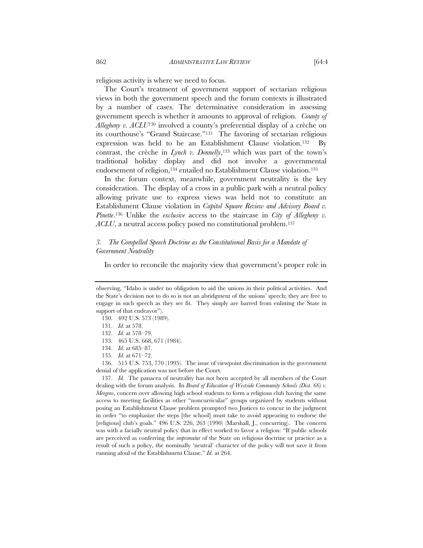religious activity is where we need to focus.

The Court's treatment of government support of sectarian religious views in both the government speech and the forum contexts is illustrated by a number of cases. The determinative consideration in assessing government speech is whether it amounts to approval of religion. *County of Allegheny v. ACLU*130 involved a county's preferential display of a crèche on its courthouse's "Grand Staircase."131 The favoring of sectarian religious expression was held to be an Establishment Clause violation.132 By contrast, the crèche in *Lynch v. Donnelly*,<sup>133</sup> which was part of the town's traditional holiday display and did not involve a governmental endorsement of religion,<sup>134</sup> entailed no Establishment Clause violation.<sup>135</sup>

In the forum context, meanwhile, government neutrality is the key consideration. The display of a cross in a public park with a neutral policy allowing private use to express views was held not to constitute an Establishment Clause violation in *Capitol Square Review and Advisory Board v. Pinette*.136 Unlike the *exclusive* access to the staircase in *City of Allegheny v. ACLU*, a neutral access policy posed no constitutional problem.137

## *3. The Compelled Speech Doctrine as the Constitutional Basis for a Mandate of Government Neutrality*

In order to reconcile the majority view that government's proper role in

 137. *Id.* The panacea of neutrality has not been accepted by all members of the Court dealing with the forum analysis. In *Board of Education of Westside Community Schools (Dist. 66) v. Mergens*, concern over allowing high school students to form a religious club having the same access to meeting facilities as other "noncurricular" groups organized by students without posing an Establishment Clause problem prompted two Justices to concur in the judgment in order "to emphasize the steps [the school] must take to avoid appearing to endorse the [religious] club's goals." 496 U.S. 226, 263 (1990) (Marshall, J., concurring). The concern was with a facially neutral policy that in effect worked to favor a religion: "If public schools are perceived as conferring the *imprimatur* of the State on religious doctrine or practice as a result of such a policy, the nominally 'neutral' character of the policy will not save it from running afoul of the Establishment Clause." *Id*. at 264.

observing, "Idaho is under no obligation to aid the unions in their political activities. And the State's decision not to do so is not an abridgment of the unions' speech; they are free to engage in such speech as they see fit. They simply are barred from enlisting the State in support of that endeavor").

 <sup>130. 492</sup> U.S. 573 (1989).

 <sup>131.</sup> *Id.* at 578.

 <sup>132.</sup> *Id.* at 578–79.

 <sup>133. 465</sup> U.S. 668, 671 (1984).

 <sup>134.</sup> *Id*. at 685–87.

 <sup>135.</sup> *Id.* at 671–72.

 <sup>136. 515</sup> U.S. 753, 770 (1995). The issue of viewpoint discrimination in the government denial of the application was not before the Court.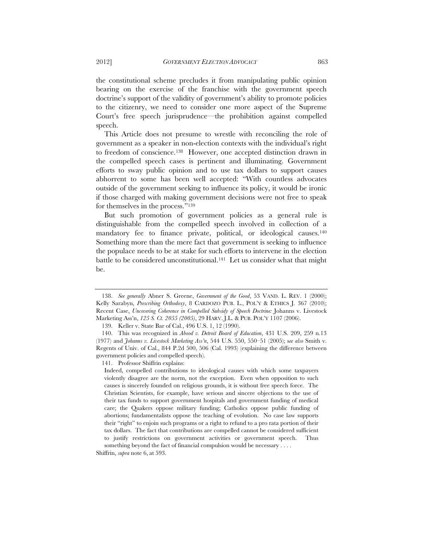the constitutional scheme precludes it from manipulating public opinion bearing on the exercise of the franchise with the government speech doctrine's support of the validity of government's ability to promote policies to the citizenry, we need to consider one more aspect of the Supreme Court's free speech jurisprudence—the prohibition against compelled speech.

This Article does not presume to wrestle with reconciling the role of government as a speaker in non-election contexts with the individual's right to freedom of conscience.138 However, one accepted distinction drawn in the compelled speech cases is pertinent and illuminating. Government efforts to sway public opinion and to use tax dollars to support causes abhorrent to some has been well accepted: "With countless advocates outside of the government seeking to influence its policy, it would be ironic if those charged with making government decisions were not free to speak for themselves in the process."139

But such promotion of government policies as a general rule is distinguishable from the compelled speech involved in collection of a mandatory fee to finance private, political, or ideological causes.<sup>140</sup> Something more than the mere fact that government is seeking to influence the populace needs to be at stake for such efforts to intervene in the election battle to be considered unconstitutional.<sup>141</sup> Let us consider what that might be.

141. Professor Shiffrin explains:

 <sup>138.</sup> *See generally* Abner S. Greene, *Government of the Good*, 53 VAND. L. REV. 1 (2000); Kelly Sarabyn, *Prescribing Orthodoxy*, 8 CARDOZO PUB. L., POL'Y & ETHICS J. 367 (2010); Recent Case, *Uncovering Coherence in Compelled Subsidy of Speech Doctrine:* Johanns v. Livestock Marketing Ass'n, *125 S. Ct. 2055 (2005)*, 29 HARV. J.L. & PUB. POL'Y 1107 (2006).

 <sup>139.</sup> Keller v. State Bar of Cal., 496 U.S. 1, 12 (1990).

 <sup>140.</sup> This was recognized in *Abood v. Detroit Board of Education*, 431 U.S. 209, 259 n.13 (1977) and *Johanns v. Livestock Marketing Ass'n*, 544 U.S. 550, 550–51 (2005); s*ee also* Smith v. Regents of Univ. of Cal., 844 P.2d 500, 506 (Cal. 1993) (explaining the difference between government policies and compelled speech).

Indeed, compelled contributions to ideological causes with which some taxpayers violently disagree are the norm, not the exception. Even when opposition to such causes is sincerely founded on religious grounds, it is without free speech force. The Christian Scientists, for example, have serious and sincere objections to the use of their tax funds to support government hospitals and government funding of medical care; the Quakers oppose military funding; Catholics oppose public funding of abortions; fundamentalists oppose the teaching of evolution. No case law supports their "right" to enjoin such programs or a right to refund to a pro rata portion of their tax dollars. The fact that contributions are compelled cannot be considered sufficient to justify restrictions on government activities or government speech. Thus something beyond the fact of financial compulsion would be necessary . . . .

Shiffrin, *supra* note 6, at 593.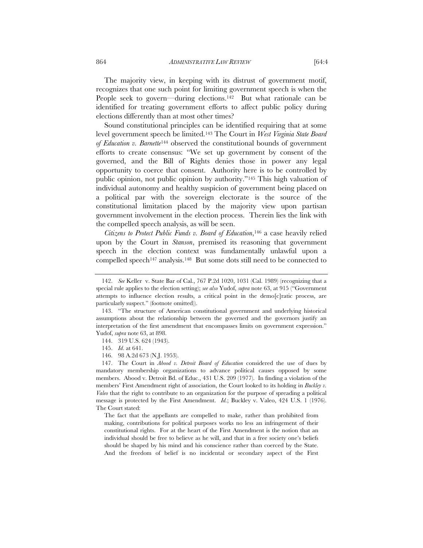The majority view, in keeping with its distrust of government motif, recognizes that one such point for limiting government speech is when the People seek to govern—during elections.<sup>142</sup> But what rationale can be identified for treating government efforts to affect public policy during elections differently than at most other times?

Sound constitutional principles can be identified requiring that at some level government speech be limited.143 The Court in *West Virginia State Board of Education v. Barnette*144 observed the constitutional bounds of government efforts to create consensus: "We set up government by consent of the governed, and the Bill of Rights denies those in power any legal opportunity to coerce that consent. Authority here is to be controlled by public opinion, not public opinion by authority."145 This high valuation of individual autonomy and healthy suspicion of government being placed on a political par with the sovereign electorate is the source of the constitutional limitation placed by the majority view upon partisan government involvement in the election process. Therein lies the link with the compelled speech analysis, as will be seen.

*Citizens to Protect Public Funds v. Board of Education*,146 a case heavily relied upon by the Court in *Stanson*, premised its reasoning that government speech in the election context was fundamentally unlawful upon a compelled speech147 analysis.148 But some dots still need to be connected to

 147. The Court in *Abood v. Detroit Board of Education* considered the use of dues by mandatory membership organizations to advance political causes opposed by some members. Abood v. Detroit Bd. of Educ., 431 U.S. 209 (1977). In finding a violation of the members' First Amendment right of association, the Court looked to its holding in *Buckley v. Valeo* that the right to contribute to an organization for the purpose of spreading a political message is protected by the First Amendment. *Id.*; Buckley v. Valeo, 424 U.S. 1 (1976). The Court stated:

The fact that the appellants are compelled to make, rather than prohibited from making, contributions for political purposes works no less an infringement of their constitutional rights. For at the heart of the First Amendment is the notion that an individual should be free to believe as he will, and that in a free society one's beliefs should be shaped by his mind and his conscience rather than coerced by the State. And the freedom of belief is no incidental or secondary aspect of the First

 <sup>142.</sup> *See* Keller v. State Bar of Cal., 767 P.2d 1020, 1031 (Cal. 1989) (recognizing that a special rule applies to the election setting); *see also* Yudof, *supra* note 63, at 915 ("Government attempts to influence election results, a critical point in the demo[c]ratic process, are particularly suspect." (footnote omitted)).

 <sup>143. &</sup>quot;The structure of American constitutional government and underlying historical assumptions about the relationship between the governed and the governors justify an interpretation of the first amendment that encompasses limits on government expression." Yudof, *supra* note 63, at 898.

 <sup>144. 319</sup> U.S. 624 (1943).

 <sup>145.</sup> *Id*. at 641.

 <sup>146. 98</sup> A.2d 673 (N.J. 1953).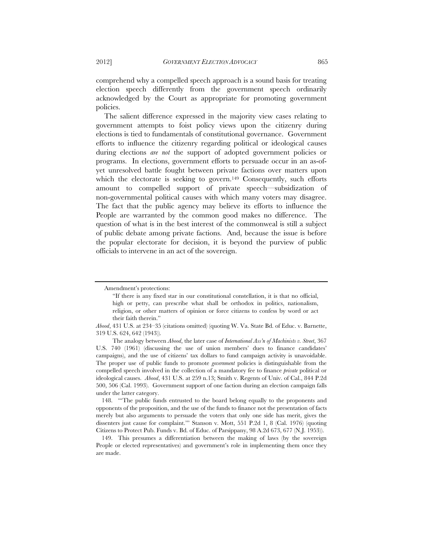comprehend why a compelled speech approach is a sound basis for treating election speech differently from the government speech ordinarily acknowledged by the Court as appropriate for promoting government policies.

The salient difference expressed in the majority view cases relating to government attempts to foist policy views upon the citizenry during elections is tied to fundamentals of constitutional governance. Government efforts to influence the citizenry regarding political or ideological causes during elections *are not* the support of adopted government policies or programs. In elections, government efforts to persuade occur in an as-ofyet unresolved battle fought between private factions over matters upon which the electorate is seeking to govern.<sup>149</sup> Consequently, such efforts amount to compelled support of private speech—subsidization of non-governmental political causes with which many voters may disagree. The fact that the public agency may believe its efforts to influence the People are warranted by the common good makes no difference. The question of what is in the best interest of the commonweal is still a subject of public debate among private factions. And, because the issue is before the popular electorate for decision, it is beyond the purview of public officials to intervene in an act of the sovereign.

 148. "'The public funds entrusted to the board belong equally to the proponents and opponents of the proposition, and the use of the funds to finance not the presentation of facts merely but also arguments to persuade the voters that only one side has merit, gives the dissenters just cause for complaint.'" Stanson v. Mott, 551 P.2d 1, 8 (Cal. 1976) (quoting Citizens to Protect Pub. Funds v. Bd. of Educ. of Parsippany, 98 A.2d 673, 677 (N.J. 1953)).

 149. This presumes a differentiation between the making of laws (by the sovereign People or elected representatives) and government's role in implementing them once they are made.

Amendment's protections:

<sup>&</sup>quot;If there is any fixed star in our constitutional constellation, it is that no official, high or petty, can prescribe what shall be orthodox in politics, nationalism, religion, or other matters of opinion or force citizens to confess by word or act their faith therein."

*Abood*, 431 U.S. at 234–35 (citations omitted) (quoting W. Va. State Bd. of Educ. v. Barnette, 319 U.S. 624, 642 (1943))*.*

The analogy between *Abood*, the later case of *International Ass'n of Machinists v. Street*, 367 U.S. 740 (1961) (discussing the use of union members' dues to finance candidates' campaigns), and the use of citizens' tax dollars to fund campaign activity is unavoidable. The proper use of public funds to promote *government* policies is distinguishable from the compelled speech involved in the collection of a mandatory fee to finance *private* political or ideological causes. *Abood*, 431 U.S. at 259 n.13; Smith v. Regents of Univ. of Cal., 844 P.2d 500, 506 (Cal. 1993). Government support of one faction during an election campaign falls under the latter category.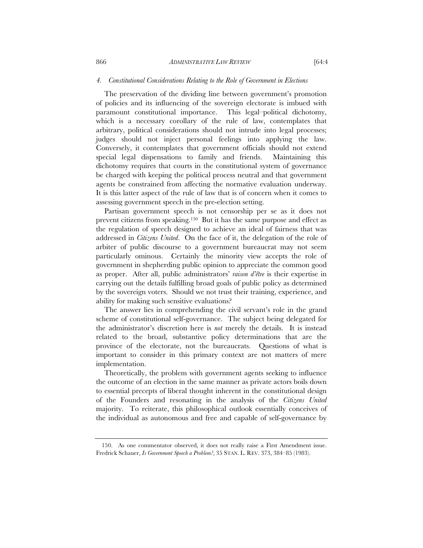#### *4. Constitutional Considerations Relating to the Role of Government in Elections*

The preservation of the dividing line between government's promotion of policies and its influencing of the sovereign electorate is imbued with paramount constitutional importance. This legal–political dichotomy, which is a necessary corollary of the rule of law, contemplates that arbitrary, political considerations should not intrude into legal processes; judges should not inject personal feelings into applying the law. Conversely, it contemplates that government officials should not extend special legal dispensations to family and friends. Maintaining this dichotomy requires that courts in the constitutional system of governance be charged with keeping the political process neutral and that government agents be constrained from affecting the normative evaluation underway. It is this latter aspect of the rule of law that is of concern when it comes to assessing government speech in the pre-election setting.

Partisan government speech is not censorship per se as it does not prevent citizens from speaking.150 But it has the same purpose and effect as the regulation of speech designed to achieve an ideal of fairness that was addressed in *Citizens United*. On the face of it, the delegation of the role of arbiter of public discourse to a government bureaucrat may not seem particularly ominous. Certainly the minority view accepts the role of government in shepherding public opinion to appreciate the common good as proper. After all, public administrators' *raison d'être* is their expertise in carrying out the details fulfilling broad goals of public policy as determined by the sovereign voters. Should we not trust their training, experience, and ability for making such sensitive evaluations?

The answer lies in comprehending the civil servant's role in the grand scheme of constitutional self-governance. The subject being delegated for the administrator's discretion here is *not* merely the details. It is instead related to the broad, substantive policy determinations that are the province of the electorate, not the bureaucrats. Questions of what is important to consider in this primary context are not matters of mere implementation.

Theoretically, the problem with government agents seeking to influence the outcome of an election in the same manner as private actors boils down to essential precepts of liberal thought inherent in the constitutional design of the Founders and resonating in the analysis of the *Citizens United* majority. To reiterate, this philosophical outlook essentially conceives of the individual as autonomous and free and capable of self-governance by

 <sup>150.</sup> As one commentator observed, it does not really raise a First Amendment issue. Fredrick Schauer, *Is Government Speech a Problem?*, 35 STAN. L. REV. 373, 384–85 (1983).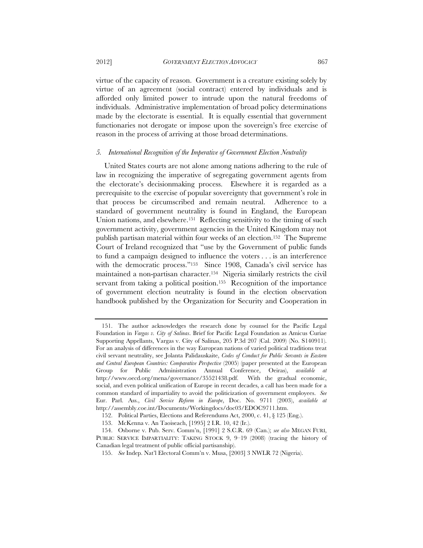2012] *GOVERNMENT ELECTION ADVOCACY* 867

virtue of the capacity of reason. Government is a creature existing solely by virtue of an agreement (social contract) entered by individuals and is afforded only limited power to intrude upon the natural freedoms of individuals. Administrative implementation of broad policy determinations made by the electorate is essential. It is equally essential that government functionaries not derogate or impose upon the sovereign's free exercise of reason in the process of arriving at those broad determinations.

#### *5. International Recognition of the Imperative of Government Election Neutrality*

United States courts are not alone among nations adhering to the rule of law in recognizing the imperative of segregating government agents from the electorate's decisionmaking process. Elsewhere it is regarded as a prerequisite to the exercise of popular sovereignty that government's role in that process be circumscribed and remain neutral. Adherence to a standard of government neutrality is found in England, the European Union nations, and elsewhere.<sup>151</sup> Reflecting sensitivity to the timing of such government activity, government agencies in the United Kingdom may not publish partisan material within four weeks of an election.152 The Supreme Court of Ireland recognized that "use by the Government of public funds to fund a campaign designed to influence the voters . . . is an interference with the democratic process."<sup>153</sup> Since 1908, Canada's civil service has maintained a non-partisan character.154 Nigeria similarly restricts the civil servant from taking a political position.<sup>155</sup> Recognition of the importance of government election neutrality is found in the election observation handbook published by the Organization for Security and Cooperation in

 <sup>151.</sup> The author acknowledges the research done by counsel for the Pacific Legal Foundation in *Vargas v. City of Salinas*. Brief for Pacific Legal Foundation as Amicus Curiae Supporting Appellants, Vargas v. City of Salinas, 205 P.3d 207 (Cal. 2009) (No. S140911). For an analysis of differences in the way European nations of varied political traditions treat civil servant neutrality, see Jolanta Palidauskaite, *Codes of Conduct for Public Servants in Eastern and Central European Countries: Comparative Perspective* (2005) (paper presented at the European Group for Public Administration Annual Conference, Oeiras), *available at*  http://www.oecd.org/mena/governance/35521438.pdf. With the gradual economic, social, and even political unification of Europe in recent decades, a call has been made for a common standard of impartiality to avoid the politicization of government employees. *See*  Eur. Parl. Ass., *Civil Service Reform in Europe*, Doc. No. 9711 (2003), *available at*  http://assembly.coe.int/Documents/Workingdocs/doc03/EDOC9711.htm.

 <sup>152.</sup> Political Parties, Elections and Referendums Act, 2000, c. 41, § 125 (Eng.).

 <sup>153.</sup> McKenna v. An Taoiseach, [1995] 2 I.R. 10, 42 (Ir.).

 <sup>154.</sup> Osborne v. Pub. Serv. Comm'n, [1991] 2 S.C.R. 69 (Can.); *see also* MEGAN FURI,

PUBLIC SERVICE IMPARTIALITY: TAKING STOCK 9, 9-19 (2008) (tracing the history of Canadian legal treatment of public official partisanship).

 <sup>155.</sup> *See* Indep. Nat'l Electoral Comm'n v. Musa, [2003] 3 NWLR 72 (Nigeria).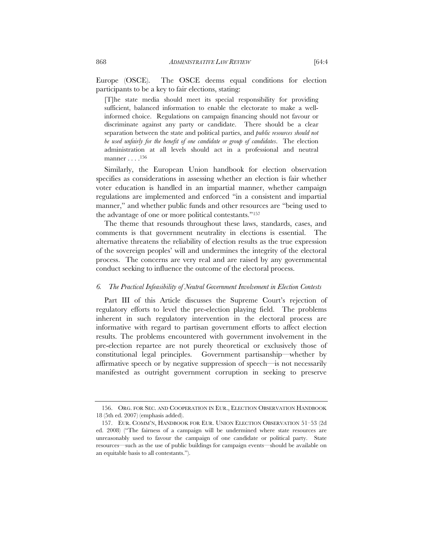Europe (OSCE). The OSCE deems equal conditions for election participants to be a key to fair elections, stating:

[T]he state media should meet its special responsibility for providing sufficient, balanced information to enable the electorate to make a wellinformed choice. Regulations on campaign financing should not favour or discriminate against any party or candidate. There should be a clear separation between the state and political parties, and *public resources should not be used unfairly for the benefit of one candidate or group of candidates*. The election administration at all levels should act in a professional and neutral manner . . . .156

Similarly, the European Union handbook for election observation specifies as considerations in assessing whether an election is fair whether voter education is handled in an impartial manner, whether campaign regulations are implemented and enforced "in a consistent and impartial manner," and whether public funds and other resources are "being used to the advantage of one or more political contestants."157

The theme that resounds throughout these laws, standards, cases, and comments is that government neutrality in elections is essential. The alternative threatens the reliability of election results as the true expression of the sovereign peoples' will and undermines the integrity of the electoral process. The concerns are very real and are raised by any governmental conduct seeking to influence the outcome of the electoral process.

#### *6. The Practical Infeasibility of Neutral Government Involvement in Election Contests*

Part III of this Article discusses the Supreme Court's rejection of regulatory efforts to level the pre-election playing field. The problems inherent in such regulatory intervention in the electoral process are informative with regard to partisan government efforts to affect election results. The problems encountered with government involvement in the pre-election repartee are not purely theoretical or exclusively those of constitutional legal principles. Government partisanship—whether by affirmative speech or by negative suppression of speech—is not necessarily manifested as outright government corruption in seeking to preserve

 <sup>156.</sup> ORG. FOR SEC. AND COOPERATION IN EUR., ELECTION OBSERVATION HANDBOOK 18 (5th ed. 2007) (emphasis added).

 <sup>157.</sup> EUR. COMM'N, HANDBOOK FOR EUR. UNION ELECTION OBSERVATION 51–53 (2d ed. 2008) ("The fairness of a campaign will be undermined where state resources are unreasonably used to favour the campaign of one candidate or political party. State resources—such as the use of public buildings for campaign events—should be available on an equitable basis to all contestants.").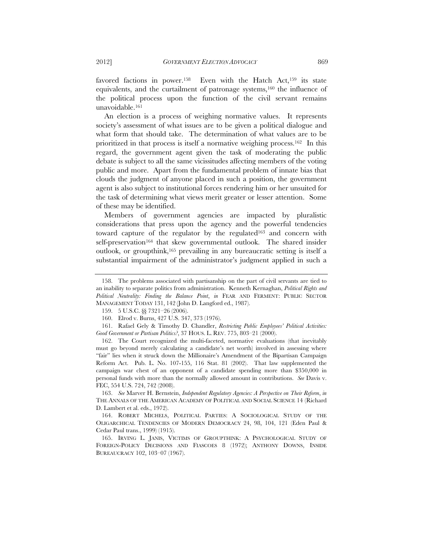favored factions in power.158Even with the Hatch Act,159 its state equivalents, and the curtailment of patronage systems,160 the influence of the political process upon the function of the civil servant remains unavoidable.161

An election is a process of weighing normative values. It represents society's assessment of what issues are to be given a political dialogue and what form that should take.The determination of what values are to be prioritized in that process is itself a normative weighing process.162 In this regard, the government agent given the task of moderating the public debate is subject to all the same vicissitudes affecting members of the voting public and more. Apart from the fundamental problem of innate bias that clouds the judgment of anyone placed in such a position, the government agent is also subject to institutional forces rendering him or her unsuited for the task of determining what views merit greater or lesser attention. Some of these may be identified.

Members of government agencies are impacted by pluralistic considerations that press upon the agency and the powerful tendencies toward capture of the regulator by the regulated<sup>163</sup> and concern with self-preservation<sup>164</sup> that skew governmental outlook. The shared insider outlook, or groupthink,165 prevailing in any bureaucratic setting is itself a substantial impairment of the administrator's judgment applied in such a

 163. *See* Marver H. Bernstein, *Independent Regulatory Agencies: A Perspective on Their Reform*, *in* THE ANNALS OF THE AMERICAN ACADEMY OF POLITICAL AND SOCIAL SCIENCE 14 (Richard D. Lambert et al. eds., 1972).

 164. ROBERT MICHELS, POLITICAL PARTIES: A SOCIOLOGICAL STUDY OF THE OLIGARCHICAL TENDENCIES OF MODERN DEMOCRACY 24, 98, 104, 121 (Eden Paul & Cedar Paul trans., 1999) (1915).

 165. IRVING L. JANIS, VICTIMS OF GROUPTHINK: A PSYCHOLOGICAL STUDY OF FOREIGN-POLICY DECISIONS AND FIASCOES 8 (1972); ANTHONY DOWNS, INSIDE BUREAUCRACY 102, 103–07 (1967).

 <sup>158.</sup> The problems associated with partisanship on the part of civil servants are tied to an inability to separate politics from administration. Kenneth Kernaghan, *Political Rights and Political Neutrality: Finding the Balance Point*, *in* FEAR AND FERMENT: PUBLIC SECTOR MANAGEMENT TODAY 131, 142 (John D. Langford ed., 1987).

 <sup>159. 5</sup> U.S.C. §§ 7321–26 (2006).

 <sup>160.</sup> Elrod v. Burns, 427 U.S. 347, 373 (1976).

 <sup>161.</sup> Rafael Gely & Timothy D. Chandler, *Restricting Public Employees' Political Activities: Good Government or Partisan Politics?*, 37 HOUS. L. REV. 775, 803–21 (2000).

 <sup>162.</sup> The Court recognized the multi-faceted, normative evaluations (that inevitably must go beyond merely calculating a candidate's net worth) involved in assessing where "fair" lies when it struck down the Millionaire's Amendment of the Bipartisan Campaign Reform Act. Pub. L. No. 107-155, 116 Stat. 81 (2002). That law supplemented the campaign war chest of an opponent of a candidate spending more than \$350,000 in personal funds with more than the normally allowed amount in contributions. *See* Davis v. FEC, 554 U.S. 724, 742 (2008).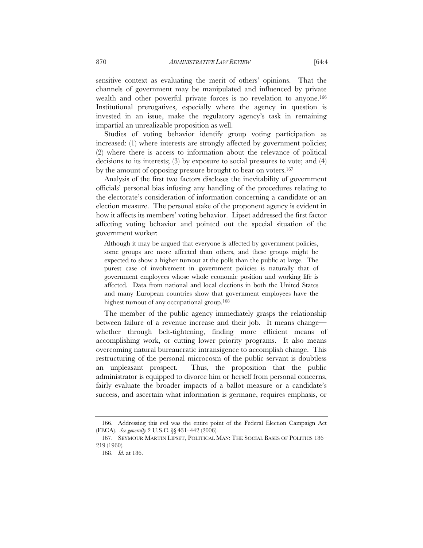sensitive context as evaluating the merit of others' opinions. That the channels of government may be manipulated and influenced by private wealth and other powerful private forces is no revelation to anyone.<sup>166</sup> Institutional prerogatives, especially where the agency in question is invested in an issue, make the regulatory agency's task in remaining impartial an unrealizable proposition as well.

Studies of voting behavior identify group voting participation as increased: (1) where interests are strongly affected by government policies; (2) where there is access to information about the relevance of political decisions to its interests; (3) by exposure to social pressures to vote; and (4) by the amount of opposing pressure brought to bear on voters.167

Analysis of the first two factors discloses the inevitability of government officials' personal bias infusing any handling of the procedures relating to the electorate's consideration of information concerning a candidate or an election measure.The personal stake of the proponent agency is evident in how it affects its members' voting behavior. Lipset addressed the first factor affecting voting behavior and pointed out the special situation of the government worker:

Although it may be argued that everyone is affected by government policies, some groups are more affected than others, and these groups might be expected to show a higher turnout at the polls than the public at large. The purest case of involvement in government policies is naturally that of government employees whose whole economic position and working life is affected. Data from national and local elections in both the United States and many European countries show that government employees have the highest turnout of any occupational group.168

The member of the public agency immediately grasps the relationship between failure of a revenue increase and their job. It means change whether through belt-tightening, finding more efficient means of accomplishing work, or cutting lower priority programs. It also means overcoming natural bureaucratic intransigence to accomplish change. This restructuring of the personal microcosm of the public servant is doubtless an unpleasant prospect. Thus, the proposition that the public administrator is equipped to divorce him or herself from personal concerns, fairly evaluate the broader impacts of a ballot measure or a candidate's success, and ascertain what information is germane, requires emphasis, or

 <sup>166.</sup> Addressing this evil was the entire point of the Federal Election Campaign Act (FECA). *See generally* 2 U.S.C. §§ 431–442 (2006).

 <sup>167.</sup> SEYMOUR MARTIN LIPSET, POLITICAL MAN: THE SOCIAL BASES OF POLITICS 186– 219 (1960).

 <sup>168.</sup> *Id*. at 186.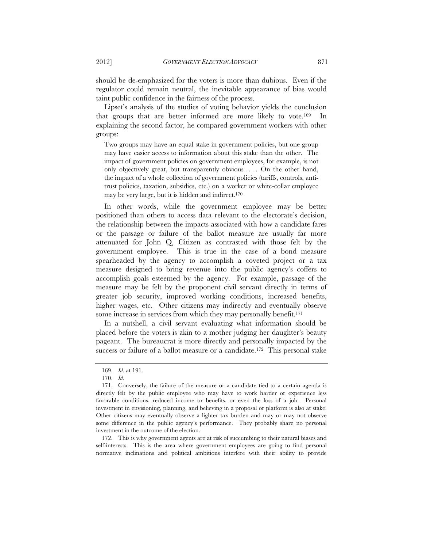should be de-emphasized for the voters is more than dubious. Even if the regulator could remain neutral, the inevitable appearance of bias would taint public confidence in the fairness of the process.

Lipset's analysis of the studies of voting behavior yields the conclusion that groups that are better informed are more likely to vote.169 In explaining the second factor, he compared government workers with other groups:

Two groups may have an equal stake in government policies, but one group may have easier access to information about this stake than the other. The impact of government policies on government employees, for example, is not only objectively great, but transparently obvious . . . . On the other hand, the impact of a whole collection of government policies (tariffs, controls, antitrust policies, taxation, subsidies, etc.) on a worker or white-collar employee may be very large, but it is hidden and indirect.170

In other words, while the government employee may be better positioned than others to access data relevant to the electorate's decision, the relationship between the impacts associated with how a candidate fares or the passage or failure of the ballot measure are usually far more attenuated for John Q. Citizen as contrasted with those felt by the government employee. This is true in the case of a bond measure spearheaded by the agency to accomplish a coveted project or a tax measure designed to bring revenue into the public agency's coffers to accomplish goals esteemed by the agency. For example, passage of the measure may be felt by the proponent civil servant directly in terms of greater job security, improved working conditions, increased benefits, higher wages, etc. Other citizens may indirectly and eventually observe some increase in services from which they may personally benefit.<sup>171</sup>

In a nutshell, a civil servant evaluating what information should be placed before the voters is akin to a mother judging her daughter's beauty pageant. The bureaucrat is more directly and personally impacted by the success or failure of a ballot measure or a candidate.<sup>172</sup> This personal stake

 172. This is why government agents are at risk of succumbing to their natural biases and self-interests. This is the area where government employees are going to find personal normative inclinations and political ambitions interfere with their ability to provide

 <sup>169.</sup> *Id*. at 191.

 <sup>170.</sup> *Id*.

<sup>171.</sup> Conversely, the failure of the measure or a candidate tied to a certain agenda is directly felt by the public employee who may have to work harder or experience less favorable conditions, reduced income or benefits, or even the loss of a job. Personal investment in envisioning, planning, and believing in a proposal or platform is also at stake. Other citizens may eventually observe a lighter tax burden and may or may not observe some difference in the public agency's performance. They probably share no personal investment in the outcome of the election.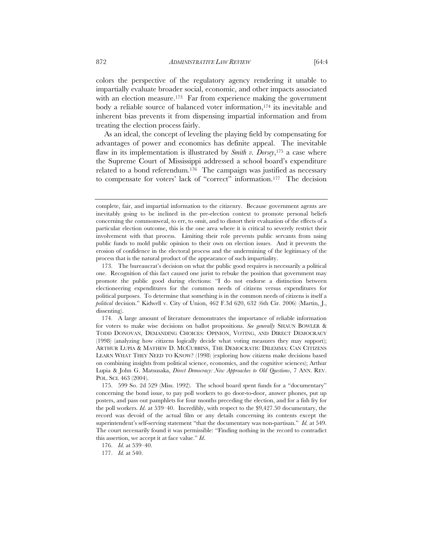colors the perspective of the regulatory agency rendering it unable to impartially evaluate broader social, economic, and other impacts associated with an election measure.<sup>173</sup> Far from experience making the government body a reliable source of balanced voter information,174 its inevitable and inherent bias prevents it from dispensing impartial information and from treating the election process fairly.

As an ideal, the concept of leveling the playing field by compensating for advantages of power and economics has definite appeal. The inevitable flaw in its implementation is illustrated by *Smith v. Dorsey*,175 a case where the Supreme Court of Mississippi addressed a school board's expenditure related to a bond referendum.176 The campaign was justified as necessary to compensate for voters' lack of "correct" information.177 The decision

 174. A large amount of literature demonstrates the importance of reliable information for voters to make wise decisions on ballot propositions. *See generally* SHAUN BOWLER & TODD DONOVAN, DEMANDING CHOICES: OPINION, VOTING, AND DIRECT DEMOCRACY (1998) (analyzing how citizens logically decide what voting measures they may support); ARTHUR LUPIA & MATHEW D. MCCUBBINS, THE DEMOCRATIC DILEMMA: CAN CITIZENS LEARN WHAT THEY NEED TO KNOW? (1998) (exploring how citizens make decisions based on combining insights from political science, economics, and the cognitive sciences); Arthur Lupia & John G. Matsusaka, *Direct Democracy: New Approaches to Old Questions*, 7 ANN. REV. POL. SCI. 463 (2004).

 175. 599 So. 2d 529 (Miss. 1992). The school board spent funds for a "documentary" concerning the bond issue, to pay poll workers to go door-to-door, answer phones, put up posters, and pass out pamphlets for four months preceding the election, and for a fish fry for the poll workers. *Id*. at 539–40. Incredibly, with respect to the \$9,427.50 documentary, the record was devoid of the actual film or any details concerning its contents except the superintendent's self-serving statement "that the documentary was non-partisan." *Id.* at 549. The court necessarily found it was permissible: "Finding nothing in the record to contradict this assertion, we accept it at face value." *Id*.

176. *Id.* at 539–40.

complete, fair, and impartial information to the citizenry. Because government agents are inevitably going to be inclined in the pre-election context to promote personal beliefs concerning the commonweal, to err, to omit, and to distort their evaluation of the effects of a particular election outcome, this is the one area where it is critical to severely restrict their involvement with that process. Limiting their role prevents public servants from using public funds to mold public opinion to their own on election issues. And it prevents the erosion of confidence in the electoral process and the undermining of the legitimacy of the process that is the natural product of the appearance of such impartiality.

 <sup>173.</sup> The bureaucrat's decision on what the public good requires is necessarily a political one. Recognition of this fact caused one jurist to rebuke the position that government may promote the public good during elections: "I do not endorse a distinction between electioneering expenditures for the common needs of citizens versus expenditures for political purposes. To determine that something is in the common needs of citizens is itself a *political* decision." Kidwell v. City of Union, 462 F.3d 620, 632 (6th Cir. 2006) (Martin, J., dissenting).

 <sup>177.</sup> *Id.* at 540.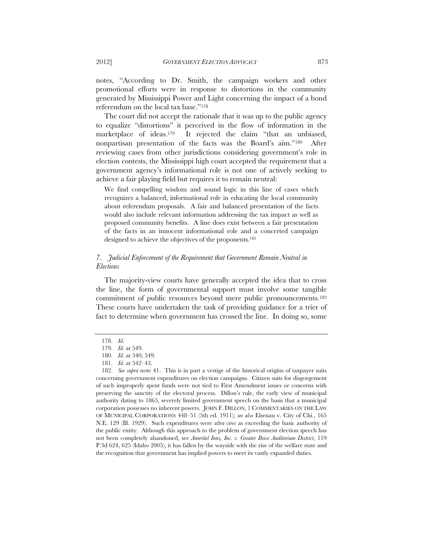notes, "According to Dr. Smith, the campaign workers and other promotional efforts were in response to distortions in the community generated by Mississippi Power and Light concerning the impact of a bond referendum on the local tax base."178

The court did not accept the rationale that it was up to the public agency to equalize "distortions" it perceived in the flow of information in the marketplace of ideas.<sup>179</sup> It rejected the claim "that an unbiased, nonpartisan presentation of the facts was the Board's aim."180 After reviewing cases from other jurisdictions considering government's role in election contests, the Mississippi high court accepted the requirement that a government agency's informational role is not one of actively seeking to achieve a fair playing field but requires it to remain neutral:

We find compelling wisdom and sound logic in this line of cases which recognizes a balanced, informational role in educating the local community about referendum proposals. A fair and balanced presentation of the facts would also include relevant information addressing the tax impact as well as proposed community benefits. A line does exist between a fair presentation of the facts in an innocent informational role and a concerted campaign designed to achieve the objectives of the proponents.181

# *7. Judicial Enforcement of the Requirement that Government Remain Neutral in Elections*

The majority-view courts have generally accepted the idea that to cross the line, the form of governmental support must involve some tangible commitment of public resources beyond mere public pronouncements.182 These courts have undertaken the task of providing guidance for a trier of fact to determine when government has crossed the line. In doing so, some

 <sup>178.</sup> *Id*.

 <sup>179.</sup> *Id.* at 549.

 <sup>180.</sup> *Id*. at 540, 549.

 <sup>181.</sup> *Id*. at 542–43.

 <sup>182.</sup> *See supra* note 41. This is in part a vestige of the historical origins of taxpayer suits concerning government expenditures on election campaigns. Citizen suits for disgorgement of such improperly spent funds were not tied to First Amendment issues or concerns with preserving the sanctity of the electoral process. Dillon's rule, the early view of municipal authority dating to 1865, severely limited government speech on the basis that a municipal corporation possesses no inherent powers. JOHN F. DILLON, 1 COMMENTARIES ON THE LAW OF MUNICIPAL CORPORATIONS 448–51 (5th ed. 1911); *see also* Elsenau v. City of Chi., 165 N.E. 129 (Ill. 1929). Such expenditures were *ultra vires* as exceeding the basic authority of the public entity. Although this approach to the problem of government election speech has not been completely abandoned, see *Ameritel Inns, Inc. v. Greater Boise Auditorium District*, 119 P.3d 624, 625 (Idaho 2005), it has fallen by the wayside with the rise of the welfare state and the recognition that government has implied powers to meet its vastly expanded duties.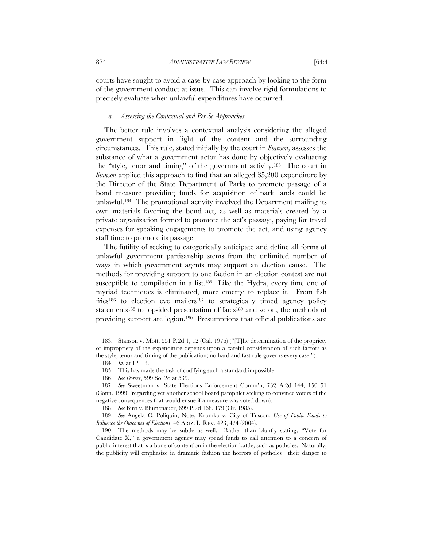courts have sought to avoid a case-by-case approach by looking to the form of the government conduct at issue. This can involve rigid formulations to precisely evaluate when unlawful expenditures have occurred.

#### *a. Assessing the Contextual and Per Se Approaches*

The better rule involves a contextual analysis considering the alleged government support in light of the content and the surrounding circumstances. This rule, stated initially by the court in *Stanson*, assesses the substance of what a government actor has done by objectively evaluating the "style, tenor and timing" of the government activity.183 The court in *Stanson* applied this approach to find that an alleged \$5,200 expenditure by the Director of the State Department of Parks to promote passage of a bond measure providing funds for acquisition of park lands could be unlawful.184 The promotional activity involved the Department mailing its own materials favoring the bond act, as well as materials created by a private organization formed to promote the act's passage, paying for travel expenses for speaking engagements to promote the act, and using agency staff time to promote its passage.

The futility of seeking to categorically anticipate and define all forms of unlawful government partisanship stems from the unlimited number of ways in which government agents may support an election cause. The methods for providing support to one faction in an election contest are not susceptible to compilation in a list.<sup>185</sup> Like the Hydra, every time one of myriad techniques is eliminated, more emerge to replace it. From fish fries<sup>186</sup> to election eve mailers<sup>187</sup> to strategically timed agency policy statements<sup>188</sup> to lopsided presentation of facts<sup>189</sup> and so on, the methods of providing support are legion.190 Presumptions that official publications are

 <sup>183.</sup> Stanson v. Mott, 551 P.2d 1, 12 (Cal. 1976) ("[T]he determination of the propriety or impropriety of the expenditure depends upon a careful consideration of such factors as the style, tenor and timing of the publication; no hard and fast rule governs every case.").

 <sup>184.</sup> *Id.* at 12–13.

 <sup>185.</sup> This has made the task of codifying such a standard impossible.

 <sup>186.</sup> *See Dorsey*, 599 So. 2d at 539.

 <sup>187.</sup> *See* Sweetman v. State Elections Enforcement Comm'n, 732 A.2d 144, 150–51 (Conn. 1999) (regarding yet another school board pamphlet seeking to convince voters of the negative consequences that would ensue if a measure was voted down).

 <sup>188.</sup> *See* Burt v. Blumenauer, 699 P.2d 168, 179 (Or. 1985).

 <sup>189.</sup> *See* Angela C. Poliquin, Note, Kromko v. City of Tuscon*: Use of Public Funds to Influence the Outcomes of Elections*, 46 ARIZ. L. REV. 423, 424 (2004).

 <sup>190.</sup> The methods may be subtle as well. Rather than bluntly stating, "Vote for Candidate X," a government agency may spend funds to call attention to a concern of public interest that is a bone of contention in the election battle, such as potholes. Naturally, the publicity will emphasize in dramatic fashion the horrors of potholes—their danger to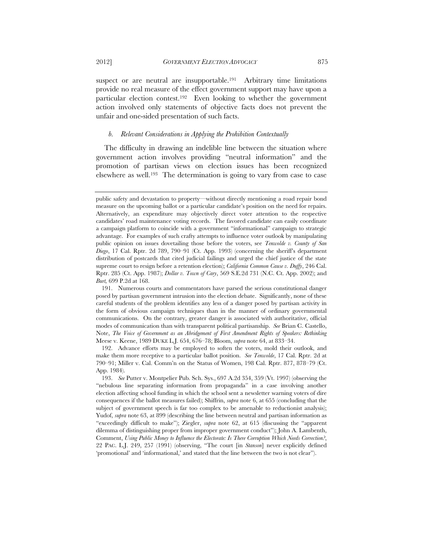2012] *GOVERNMENT ELECTION ADVOCACY* 875

suspect or are neutral are insupportable.<sup>191</sup> Arbitrary time limitations provide no real measure of the effect government support may have upon a particular election contest.192 Even looking to whether the government action involved only statements of objective facts does not prevent the unfair and one-sided presentation of such facts.

#### *b. Relevant Considerations in Applying the Prohibition Contextually*

The difficulty in drawing an indelible line between the situation where government action involves providing "neutral information" and the promotion of partisan views on election issues has been recognized elsewhere as well.193 The determination is going to vary from case to case

 192. Advance efforts may be employed to soften the voters, mold their outlook, and make them more receptive to a particular ballot position. *See Tenwolde*, 17 Cal. Rptr. 2d at 790–91; Miller v. Cal. Comm'n on the Status of Women, 198 Cal. Rptr. 877, 878–79 (Ct. App. 1984).

public safety and devastation to property—without directly mentioning a road repair bond measure on the upcoming ballot or a particular candidate's position on the need for repairs. Alternatively, an expenditure may objectively direct voter attention to the respective candidates' road maintenance voting records. The favored candidate can easily coordinate a campaign platform to coincide with a government "informational" campaign to strategic advantage. For examples of such crafty attempts to influence voter outlook by manipulating public opinion on issues dovetailing those before the voters, see *Tenwolde v. County of San Diego*, 17 Cal. Rptr. 2d 789, 790–91 (Ct. App. 1993) (concerning the sheriff's department distribution of postcards that cited judicial failings and urged the chief justice of the state supreme court to resign before a retention election); *California Common Cause v. Duffy*, 246 Cal. Rptr. 285 (Ct. App. 1987); *Dollar v. Town of Cary*, 569 S.E.2d 731 (N.C. Ct. App. 2002); and *Burt,* 699 P.2d at 168.

 <sup>191.</sup> Numerous courts and commentators have parsed the serious constitutional danger posed by partisan government intrusion into the election debate. Significantly, none of these careful students of the problem identifies any less of a danger posed by partisan activity in the form of obvious campaign techniques than in the manner of ordinary governmental communications. On the contrary, greater danger is associated with authoritative, official modes of communication than with transparent political partisanship. *See* Brian C. Castello, Note, *The Voice of Government as an Abridgement of First Amendment Rights of Speakers: Rethinking*  Meese v. Keene, 1989 DUKE L.J. 654, 676–78; Bloom, *supra* note 64, at 833–34.

 <sup>193.</sup> *See* Putter v. Montpelier Pub. Sch. Sys., 697 A.2d 354, 359 (Vt. 1997) (observing the "nebulous line separating information from propaganda" in a case involving another election affecting school funding in which the school sent a newsletter warning voters of dire consequences if the ballot measures failed); Shiffrin, *supra* note 6, at 655 (concluding that the subject of government speech is far too complex to be amenable to reductionist analysis); Yudof, *supra* note 63, at 899 (describing the line between neutral and partisan information as "exceedingly difficult to make"); Ziegler, *supra* note 62, at 615 (discussing the "apparent dilemma of distinguishing proper from improper government conduct"); John A. Lambenth, Comment, *Using Public Money to Influence the Electorate: Is There Corruption Which Needs Correction?*, 22 PAC. L.J. 249, 257 (1991) (observing, "The court [in *Stanson*] never explicitly defined 'promotional' and 'informational,' and stated that the line between the two is not clear").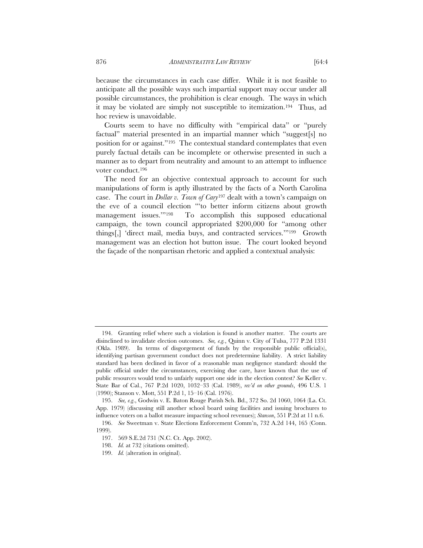because the circumstances in each case differ. While it is not feasible to anticipate all the possible ways such impartial support may occur under all possible circumstances, the prohibition is clear enough. The ways in which it may be violated are simply not susceptible to itemization.194 Thus, ad hoc review is unavoidable.

Courts seem to have no difficulty with "empirical data" or "purely factual" material presented in an impartial manner which "suggest[s] no position for or against."195 The contextual standard contemplates that even purely factual details can be incomplete or otherwise presented in such a manner as to depart from neutrality and amount to an attempt to influence voter conduct.196

The need for an objective contextual approach to account for such manipulations of form is aptly illustrated by the facts of a North Carolina case. The court in *Dollar v. Town of Cary*197 dealt with a town's campaign on the eve of a council election "'to better inform citizens about growth management issues.'"198 To accomplish this supposed educational campaign, the town council appropriated \$200,000 for "among other things[,] 'direct mail, media buys, and contracted services.'"199 Growth management was an election hot button issue. The court looked beyond the façade of the nonpartisan rhetoric and applied a contextual analysis:

 <sup>194.</sup> Granting relief where such a violation is found is another matter. The courts are disinclined to invalidate election outcomes. *See, e.g.*, Quinn v. City of Tulsa, 777 P.2d 1331 (Okla. 1989). In terms of disgorgement of funds by the responsible public official(s), identifying partisan government conduct does not predetermine liability. A strict liability standard has been declined in favor of a reasonable man negligence standard: should the public official under the circumstances, exercising due care, have known that the use of public resources would tend to unfairly support one side in the election contest? *See* Keller v. State Bar of Cal., 767 P.2d 1020, 1032–33 (Cal. 1989), *rev'd on other grounds*, 496 U.S. 1 (1990); Stanson v. Mott, 551 P.2d 1, 15–16 (Cal. 1976).

 <sup>195.</sup> *See, e.g*., Godwin v. E. Baton Rouge Parish Sch. Bd., 372 So. 2d 1060, 1064 (La. Ct. App. 1979) (discussing still another school board using facilities and issuing brochures to influence voters on a ballot measure impacting school revenues); *Stanson*, 551 P.2d at 11 n.6.

 <sup>196.</sup> *See* Sweetman v. State Elections Enforcement Comm'n, 732 A.2d 144, 165 (Conn. 1999).

 <sup>197. 569</sup> S.E.2d 731 (N.C. Ct. App. 2002).

 <sup>198.</sup> *Id.* at 732 (citations omitted).

 <sup>199.</sup> *Id.* (alteration in original).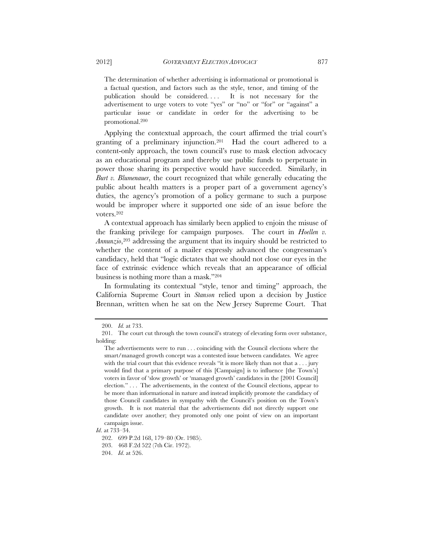The determination of whether advertising is informational or promotional is a factual question, and factors such as the style, tenor, and timing of the publication should be considered. . . . It is not necessary for the advertisement to urge voters to vote "yes" or "no" or "for" or "against" a particular issue or candidate in order for the advertising to be promotional.200

Applying the contextual approach, the court affirmed the trial court's granting of a preliminary injunction.201 Had the court adhered to a content-only approach, the town council's ruse to mask election advocacy as an educational program and thereby use public funds to perpetuate in power those sharing its perspective would have succeeded. Similarly, in *Burt v. Blumenauer*, the court recognized that while generally educating the public about health matters is a proper part of a government agency's duties, the agency's promotion of a policy germane to such a purpose would be improper where it supported one side of an issue before the voters.202

A contextual approach has similarly been applied to enjoin the misuse of the franking privilege for campaign purposes. The court in *Hoellen v. Annunzio*,203 addressing the argument that its inquiry should be restricted to whether the content of a mailer expressly advanced the congressman's candidacy, held that "logic dictates that we should not close our eyes in the face of extrinsic evidence which reveals that an appearance of official business is nothing more than a mask."204

In formulating its contextual "style, tenor and timing" approach, the California Supreme Court in *Stanson* relied upon a decision by Justice Brennan, written when he sat on the New Jersey Supreme Court. That

 <sup>200.</sup> *Id.* at 733.

 <sup>201.</sup> The court cut through the town council's strategy of elevating form over substance, holding:

The advertisements were to run . . . coinciding with the Council elections where the smart/managed growth concept was a contested issue between candidates. We agree with the trial court that this evidence reveals "it is more likely than not that  $a \dots$  jury would find that a primary purpose of this [Campaign] is to influence [the Town's] voters in favor of 'slow growth' or 'managed growth' candidates in the [2001 Council] election." . . . The advertisements, in the context of the Council elections, appear to be more than informational in nature and instead implicitly promote the candidacy of those Council candidates in sympathy with the Council's position on the Town's growth. It is not material that the advertisements did not directly support one candidate over another; they promoted only one point of view on an important campaign issue.

*Id*. at 733–34.

 <sup>202. 699</sup> P.2d 168, 179–80 (Or. 1985).

 <sup>203. 468</sup> F.2d 522 (7th Cir. 1972).

 <sup>204.</sup> *Id*. at 526.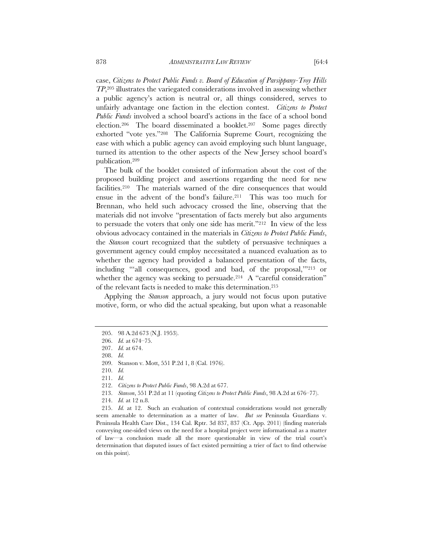case, *Citizens to Protect Public Funds v. Board of Education of Parsippany-Troy Hills TP*,205 illustrates the variegated considerations involved in assessing whether a public agency's action is neutral or, all things considered, serves to unfairly advantage one faction in the election contest. *Citizens to Protect Public Funds* involved a school board's actions in the face of a school bond election.206 The board disseminated a booklet.207 Some pages directly exhorted "vote yes."208 The California Supreme Court, recognizing the ease with which a public agency can avoid employing such blunt language, turned its attention to the other aspects of the New Jersey school board's publication.209

The bulk of the booklet consisted of information about the cost of the proposed building project and assertions regarding the need for new facilities.210 The materials warned of the dire consequences that would ensue in the advent of the bond's failure.211 This was too much for Brennan, who held such advocacy crossed the line, observing that the materials did not involve "presentation of facts merely but also arguments to persuade the voters that only one side has merit."212 In view of the less obvious advocacy contained in the materials in *Citizens to Protect Public Funds*, the *Stanson* court recognized that the subtlety of persuasive techniques a government agency could employ necessitated a nuanced evaluation as to whether the agency had provided a balanced presentation of the facts, including "'all consequences, good and bad, of the proposal,'"213 or whether the agency was seeking to persuade.<sup>214</sup> A "careful consideration" of the relevant facts is needed to make this determination.215

Applying the *Stanson* approach, a jury would not focus upon putative motive, form, or who did the actual speaking, but upon what a reasonable

 <sup>205. 98</sup> A.2d 673 (N.J. 1953).

 <sup>206.</sup> *Id.* at 674–75.

 <sup>207.</sup> *Id.* at 674.

 <sup>208.</sup> *Id.*

 <sup>209.</sup> Stanson v. Mott, 551 P.2d 1, 8 (Cal. 1976).

 <sup>210.</sup> *Id.* 

 <sup>211.</sup> *Id.*

 <sup>212.</sup> *Citizens to Protect Public Funds*, 98 A.2d at 677.

 <sup>213.</sup> *Stanson*, 551 P.2d at 11 (quoting *Citizens to Protect Public Funds*, 98 A.2d at 676–77).

 <sup>214.</sup> *Id.* at 12 n.8.

 <sup>215.</sup> *Id.* at 12. Such an evaluation of contextual considerations would not generally seem amenable to determination as a matter of law. *But see* Peninsula Guardians v. Peninsula Health Care Dist., 134 Cal. Rptr. 3d 837, 837 (Ct. App. 2011) (finding materials conveying one-sided views on the need for a hospital project were informational as a matter of law—a conclusion made all the more questionable in view of the trial court's determination that disputed issues of fact existed permitting a trier of fact to find otherwise on this point).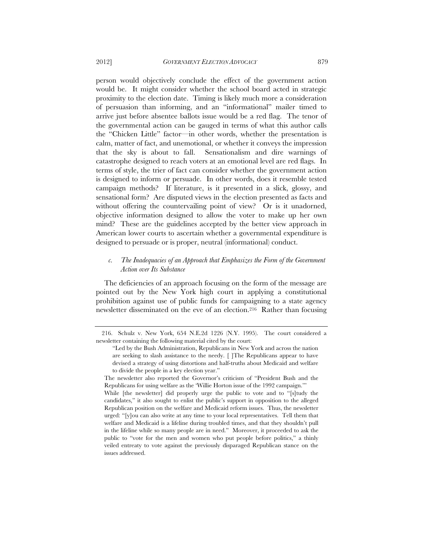person would objectively conclude the effect of the government action would be. It might consider whether the school board acted in strategic proximity to the election date. Timing is likely much more a consideration of persuasion than informing, and an "informational" mailer timed to arrive just before absentee ballots issue would be a red flag. The tenor of the governmental action can be gauged in terms of what this author calls the "Chicken Little" factor—in other words, whether the presentation is calm, matter of fact, and unemotional, or whether it conveys the impression that the sky is about to fall. Sensationalism and dire warnings of catastrophe designed to reach voters at an emotional level are red flags. In terms of style, the trier of fact can consider whether the government action is designed to inform or persuade. In other words, does it resemble tested campaign methods? If literature, is it presented in a slick, glossy, and sensational form? Are disputed views in the election presented as facts and without offering the countervailing point of view? Or is it unadorned, objective information designed to allow the voter to make up her own mind? These are the guidelines accepted by the better view approach in American lower courts to ascertain whether a governmental expenditure is designed to persuade or is proper, neutral (informational) conduct.

# *c. The Inadequacies of an Approach that Emphasizes the Form of the Government Action over Its Substance*

The deficiencies of an approach focusing on the form of the message are pointed out by the New York high court in applying a constitutional prohibition against use of public funds for campaigning to a state agency newsletter disseminated on the eve of an election.216 Rather than focusing

 <sup>216.</sup> Schulz v. New York, 654 N.E.2d 1226 (N.Y. 1995). The court considered a newsletter containing the following material cited by the court:

<sup>&</sup>quot;Led by the Bush Administration, Republicans in New York and across the nation are seeking to slash assistance to the needy. [ ]The Republicans appear to have devised a strategy of using distortions and half-truths about Medicaid and welfare to divide the people in a key election year."

The newsletter also reported the Governor's criticism of "President Bush and the Republicans for using welfare as the 'Willie Horton issue of the 1992 campaign.'"

While [the newsletter] did properly urge the public to vote and to "[s]tudy the candidates," it also sought to enlist the public's support in opposition to the alleged Republican position on the welfare and Medicaid reform issues. Thus, the newsletter urged: "[y]ou can also write at any time to your local representatives. Tell them that welfare and Medicaid is a lifeline during troubled times, and that they shouldn't pull in the lifeline while so many people are in need." Moreover, it proceeded to ask the public to "vote for the men and women who put people before politics," a thinly veiled entreaty to vote against the previously disparaged Republican stance on the issues addressed.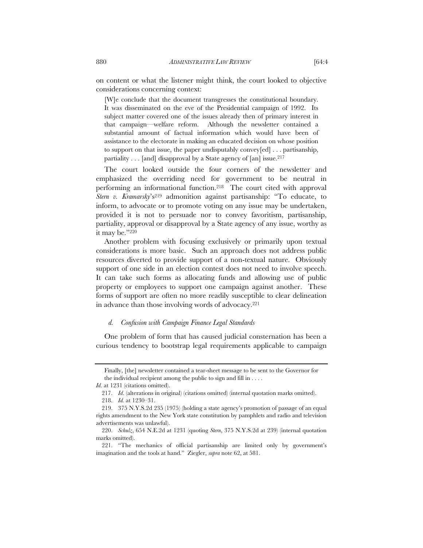on content or what the listener might think, the court looked to objective considerations concerning context:

[W]e conclude that the document transgresses the constitutional boundary. It was disseminated on the eve of the Presidential campaign of 1992. Its subject matter covered one of the issues already then of primary interest in that campaign—welfare reform. Although the newsletter contained a substantial amount of factual information which would have been of assistance to the electorate in making an educated decision on whose position to support on that issue, the paper undisputably convey[ed] . . . partisanship, partiality  $\ldots$  [and] disapproval by a State agency of [an] issue.<sup>217</sup>

The court looked outside the four corners of the newsletter and emphasized the overriding need for government to be neutral in performing an informational function.218 The court cited with approval *Stern v. Kramarsky*'s219 admonition against partisanship: "To educate, to inform, to advocate or to promote voting on any issue may be undertaken, provided it is not to persuade nor to convey favoritism, partisanship, partiality, approval or disapproval by a State agency of any issue, worthy as it may be."220

Another problem with focusing exclusively or primarily upon textual considerations is more basic. Such an approach does not address public resources diverted to provide support of a non-textual nature. Obviously support of one side in an election contest does not need to involve speech. It can take such forms as allocating funds and allowing use of public property or employees to support one campaign against another. These forms of support are often no more readily susceptible to clear delineation in advance than those involving words of advocacy.221

#### *d. Confusion with Campaign Finance Legal Standards*

One problem of form that has caused judicial consternation has been a curious tendency to bootstrap legal requirements applicable to campaign

Finally, [the] newsletter contained a tear-sheet message to be sent to the Governor for the individual recipient among the public to sign and fill in . . . .

*Id.* at 1231 (citations omitted).

 <sup>217.</sup> *Id*. (alterations in original) (citations omitted) (internal quotation marks omitted).

 <sup>218.</sup> *Id.* at 1230–31.

 <sup>219. 375</sup> N.Y.S.2d 235 (1975) (holding a state agency's promotion of passage of an equal rights amendment to the New York state constitution by pamphlets and radio and television advertisements was unlawful).

 <sup>220.</sup> *Schulz*, 654 N.E.2d at 1231 (quoting *Stern*, 375 N.Y.S.2d at 239) (internal quotation marks omitted).

 <sup>221. &</sup>quot;The mechanics of official partisanship are limited only by government's imagination and the tools at hand." Ziegler, *supra* note 62, at 581.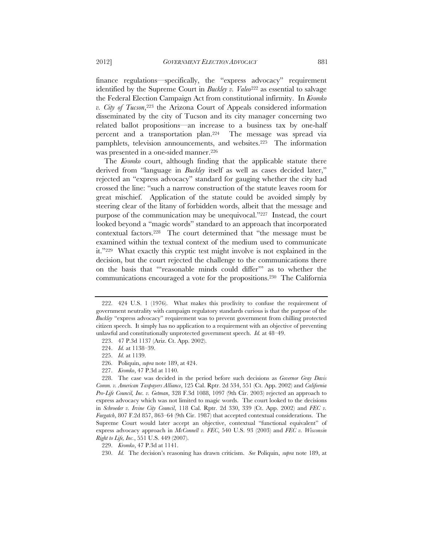finance regulations—specifically, the "express advocacy" requirement identified by the Supreme Court in *Buckley v. Valeo*<sup>222</sup> as essential to salvage the Federal Election Campaign Act from constitutional infirmity. In *Kromko v. City of Tucson*,223 the Arizona Court of Appeals considered information disseminated by the city of Tucson and its city manager concerning two related ballot propositions—an increase to a business tax by one-half percent and a transportation plan.224 The message was spread via pamphlets, television announcements, and websites.225 The information was presented in a one-sided manner.<sup>226</sup>

The *Kromko* court, although finding that the applicable statute there derived from "language in *Buckley* itself as well as cases decided later," rejected an "express advocacy" standard for gauging whether the city had crossed the line: "such a narrow construction of the statute leaves room for great mischief. Application of the statute could be avoided simply by steering clear of the litany of forbidden words, albeit that the message and purpose of the communication may be unequivocal."227 Instead, the court looked beyond a "magic words" standard to an approach that incorporated contextual factors.228 The court determined that "the message must be examined within the textual context of the medium used to communicate it."229 What exactly this cryptic test might involve is not explained in the decision, but the court rejected the challenge to the communications there on the basis that "'reasonable minds could differ'" as to whether the communications encouraged a vote for the propositions.230 The California

227. *Kromko*, 47 P.3d at 1140.

 228. The case was decided in the period before such decisions as *Governor Gray Davis Comm. v. American Taxpayers Alliance*, 125 Cal. Rptr. 2d 534, 551 (Ct. App. 2002) and *California Pro-Life Council, Inc. v. Getman*, 328 F.3d 1088, 1097 (9th Cir. 2003) rejected an approach to express advocacy which was not limited to magic words. The court looked to the decisions in *Schroeder v. Irvine City Council*, 118 Cal. Rptr. 2d 330, 339 (Ct. App. 2002) and *FEC v. Furgatch*, 807 F.2d 857, 863–64 (9th Cir. 1987) that accepted contextual considerations. The Supreme Court would later accept an objective, contextual "functional equivalent" of express advocacy approach in *McConnell v. FEC*, 540 U.S. 93 (2003) and *FEC v. Wisconsin Right to Life, Inc.*, 551 U.S. 449 (2007).

 <sup>222. 424</sup> U.S. 1 (1976). What makes this proclivity to confuse the requirement of government neutrality with campaign regulatory standards curious is that the purpose of the *Buckley* "express advocacy" requirement was to prevent government from chilling protected citizen speech. It simply has no application to a requirement with an objective of preventing unlawful and constitutionally unprotected government speech. *Id.* at 48–49.

 <sup>223. 47</sup> P.3d 1137 (Ariz. Ct. App. 2002).

 <sup>224.</sup> *Id.* at 1138–39.

 <sup>225.</sup> *Id.* at 1139.

 <sup>226.</sup> Poliquin, *supra* note 189, at 424.

 <sup>229.</sup> *Kromko*, 47 P.3d at 1141.

 <sup>230.</sup> *Id.* The decision's reasoning has drawn criticism. *See* Poliquin, *supra* note 189, at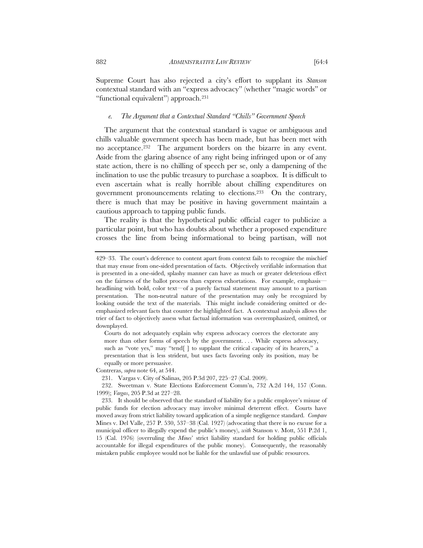Supreme Court has also rejected a city's effort to supplant its *Stanson* contextual standard with an "express advocacy" (whether "magic words" or "functional equivalent") approach.<sup>231</sup>

#### *e. The Argument that a Contextual Standard "Chills" Government Speech*

The argument that the contextual standard is vague or ambiguous and chills valuable government speech has been made, but has been met with no acceptance.232 The argument borders on the bizarre in any event. Aside from the glaring absence of any right being infringed upon or of any state action, there is no chilling of speech per se, only a dampening of the inclination to use the public treasury to purchase a soapbox. It is difficult to even ascertain what is really horrible about chilling expenditures on government pronouncements relating to elections.233 On the contrary, there is much that may be positive in having government maintain a cautious approach to tapping public funds.

The reality is that the hypothetical public official eager to publicize a particular point, but who has doubts about whether a proposed expenditure crosses the line from being informational to being partisan, will not

Courts do not adequately explain why express advocacy coerces the electorate any more than other forms of speech by the government. . . . While express advocacy, such as "vote yes," may "tend[ ] to supplant the critical capacity of its hearers," a presentation that is less strident, but uses facts favoring only its position, may be equally or more persuasive.

Contreras, *supra* note 64, at 544.

231. Vargas v. City of Salinas, 205 P.3d 207, 225–27 (Cal. 2009).

 232. Sweetman v. State Elections Enforcement Comm'n, 732 A.2d 144, 157 (Conn. 1999); *Vargas*, 205 P.3d at 227–28.

<sup>429–33.</sup> The court's deference to content apart from context fails to recognize the mischief that may ensue from one-sided presentation of facts. Objectively verifiable information that is presented in a one-sided, splashy manner can have as much or greater deleterious effect on the fairness of the ballot process than express exhortations. For example, emphasis headlining with bold, color text—of a purely factual statement may amount to a partisan presentation. The non-neutral nature of the presentation may only be recognized by looking outside the text of the materials. This might include considering omitted or deemphasized relevant facts that counter the highlighted fact. A contextual analysis allows the trier of fact to objectively assess what factual information was overemphasized, omitted, or downplayed.

 <sup>233.</sup> It should be observed that the standard of liability for a public employee's misuse of public funds for election advocacy may involve minimal deterrent effect. Courts have moved away from strict liability toward application of a simple negligence standard. *Compare*  Mines v. Del Valle, 257 P. 530, 537–38 (Cal. 1927) (advocating that there is no excuse for a municipal officer to illegally expend the public's money), *with* Stanson v. Mott, 551 P.2d 1, 15 (Cal. 1976) (overruling the *Mines*' strict liability standard for holding public officials accountable for illegal expenditures of the public money). Consequently, the reasonably mistaken public employee would not be liable for the unlawful use of public resources.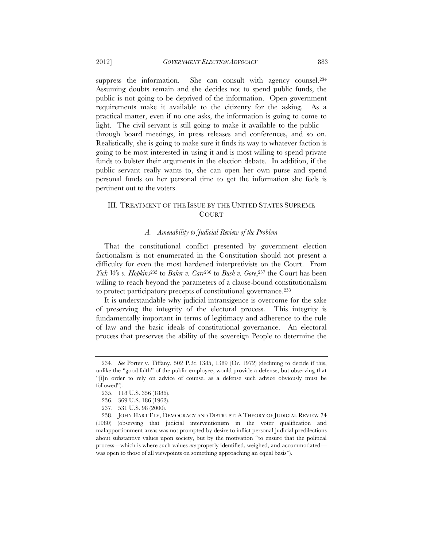suppress the information. She can consult with agency counsel.<sup>234</sup> Assuming doubts remain and she decides not to spend public funds, the public is not going to be deprived of the information. Open government requirements make it available to the citizenry for the asking. As a practical matter, even if no one asks, the information is going to come to light. The civil servant is still going to make it available to the public through board meetings, in press releases and conferences, and so on. Realistically, she is going to make sure it finds its way to whatever faction is going to be most interested in using it and is most willing to spend private funds to bolster their arguments in the election debate. In addition, if the public servant really wants to, she can open her own purse and spend personal funds on her personal time to get the information she feels is pertinent out to the voters.

# III. TREATMENT OF THE ISSUE BY THE UNITED STATES SUPREME COURT

# *A. Amenability to Judicial Review of the Problem*

That the constitutional conflict presented by government election factionalism is not enumerated in the Constitution should not present a difficulty for even the most hardened interpretivists on the Court. From *Yick Wo v. Hopkins*<sup>235</sup> to *Baker v. Carr*<sup>236</sup> to *Bush v. Gore*,<sup>237</sup> the Court has been willing to reach beyond the parameters of a clause-bound constitutionalism to protect participatory precepts of constitutional governance.238

It is understandable why judicial intransigence is overcome for the sake of preserving the integrity of the electoral process. This integrity is fundamentally important in terms of legitimacy and adherence to the rule of law and the basic ideals of constitutional governance. An electoral process that preserves the ability of the sovereign People to determine the

 <sup>234.</sup> *See* Porter v. Tiffany, 502 P.2d 1385, 1389 (Or. 1972) (declining to decide if this, unlike the "good faith" of the public employee, would provide a defense, but observing that "[i]n order to rely on advice of counsel as a defense such advice obviously must be followed").

 <sup>235. 118</sup> U.S. 356 (1886).

 <sup>236. 369</sup> U.S. 186 (1962).

 <sup>237. 531</sup> U.S. 98 (2000).

 <sup>238.</sup> JOHN HART ELY, DEMOCRACY AND DISTRUST: A THEORY OF JUDICIAL REVIEW 74 (1980) (observing that judicial interventionism in the voter qualification and malapportionment areas was not prompted by desire to inflict personal judicial predilections about substantive values upon society, but by the motivation "to ensure that the political process—which is where such values *are* properly identified, weighed, and accommodated was open to those of all viewpoints on something approaching an equal basis").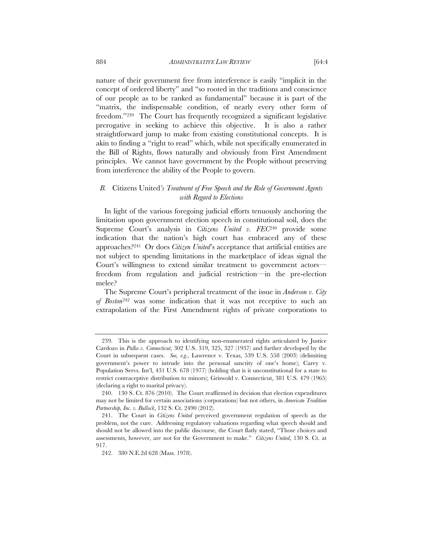nature of their government free from interference is easily "implicit in the concept of ordered liberty" and "so rooted in the traditions and conscience of our people as to be ranked as fundamental" because it is part of the "matrix, the indispensable condition, of nearly every other form of freedom."239 The Court has frequently recognized a significant legislative prerogative in seeking to achieve this objective. It is also a rather straightforward jump to make from existing constitutional concepts. It is akin to finding a "right to read" which, while not specifically enumerated in the Bill of Rights, flows naturally and obviously from First Amendment principles. We cannot have government by the People without preserving from interference the ability of the People to govern.

## *B.* Citizens United*'s Treatment of Free Speech and the Role of Government Agents with Regard to Elections*

In light of the various foregoing judicial efforts tenuously anchoring the limitation upon government election speech in constitutional soil, does the Supreme Court's analysis in *Citizens United v. FEC*240 provide some indication that the nation's high court has embraced any of these approaches?241 Or does *Citizen United*'s acceptance that artificial entities are not subject to spending limitations in the marketplace of ideas signal the Court's willingness to extend similar treatment to government actors freedom from regulation and judicial restriction—in the pre-election melee?

The Supreme Court's peripheral treatment of the issue in *Anderson v. City of Boston*242 was some indication that it was not receptive to such an extrapolation of the First Amendment rights of private corporations to

 <sup>239.</sup> This is the approach to identifying non-enumerated rights articulated by Justice Cardozo in *Palko v. Connecticut*, 302 U.S. 319, 325, 327 (1937) and further developed by the Court in subsequent cases. *See, e.g.*, Lawrence v. Texas, 539 U.S. 558 (2003) (delimiting government's power to intrude into the personal sanctity of one's home); Carey v. Population Servs. Int'l, 431 U.S. 678 (1977) (holding that is it unconstitutional for a state to restrict contraceptive distribution to minors); Griswold v. Connecticut, 381 U.S. 479 (1965) (declaring a right to marital privacy).

 <sup>240. 130</sup> S. Ct. 876 (2010). The Court reaffirmed its decision that election expenditures may not be limited for certain associations (corporations) but not others, in *American Tradition Partnership, Inc. v. Bullock*, 132 S. Ct. 2490 (2012).

 <sup>241.</sup> The Court in *Citizens United* perceived government regulation of speech as the problem, not the cure. Addressing regulatory valuations regarding what speech should and should not be allowed into the public discourse, the Court flatly stated, "Those choices and assessments, however, are not for the Government to make." *Citizens United*, 130 S. Ct. at 917.

 <sup>242. 380</sup> N.E.2d 628 (Mass. 1978).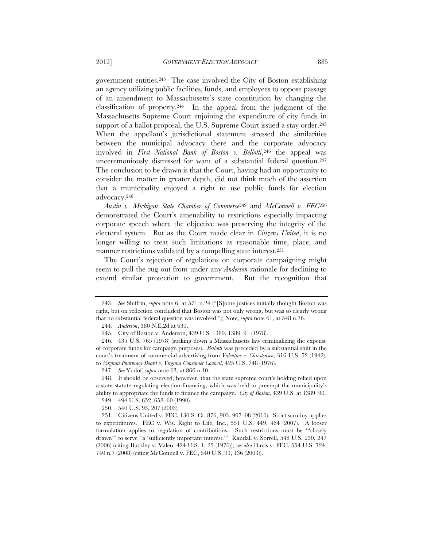government entities.243 The case involved the City of Boston establishing an agency utilizing public facilities, funds, and employees to oppose passage of an amendment to Massachusetts's state constitution by changing the classification of property.<sup>244</sup> In the appeal from the judgment of the Massachusetts Supreme Court enjoining the expenditure of city funds in support of a ballot proposal, the U.S. Supreme Court issued a stay order.<sup>245</sup> When the appellant's jurisdictional statement stressed the similarities between the municipal advocacy there and the corporate advocacy involved in *First National Bank of Boston v. Bellotti*,<sup>246</sup> the appeal was unceremoniously dismissed for want of a substantial federal question.247 The conclusion to be drawn is that the Court, having had an opportunity to consider the matter in greater depth, did not think much of the assertion that a municipality enjoyed a right to use public funds for election advocacy.248

*Austin v. Michigan State Chamber of Commerce*249 and *McConnell v. FEC*<sup>250</sup> demonstrated the Court's amenability to restrictions especially impacting corporate speech where the objective was preserving the integrity of the electoral system. But as the Court made clear in *Citizens United*, it is no longer willing to treat such limitations as reasonable time, place, and manner restrictions validated by a compelling state interest.251

The Court's rejection of regulations on corporate campaigning might seem to pull the rug out from under any *Anderson* rationale for declining to extend similar protection to government. But the recognition that

 <sup>243.</sup> *See* Shiffrin, *supra* note 6, at 571 n.24 ("[S]ome justices initially thought Boston was right, but on reflection concluded that Boston was not only wrong, but was so clearly wrong that no substantial federal question was involved."); Note, *supra* note 61, at 548 n.76.

 <sup>244.</sup> *Anderson*, 380 N.E.2d at 630.

 <sup>245.</sup> City of Boston v. Anderson, 439 U.S. 1389, 1389–91 (1978).

 <sup>246. 435</sup> U.S. 765 (1978) (striking down a Massachusetts law criminalizing the expense of corporate funds for campaign purposes). *Bellotti* was preceded by a substantial shift in the court's treatment of commercial advertising from *Valentine v. Chrestensen,* 316 U.S. 52 (1942), to *Virginia Pharmacy Board v. Virginia Consumer Council*, 425 U.S. 748 (1976).

 <sup>247.</sup> *See* Yudof, *supra* note 63, at 866 n.10.

 <sup>248.</sup> It should be observed, however, that the state supreme court's holding relied upon a state statute regulating election financing, which was held to preempt the municipality's ability to appropriate the funds to finance the campaign. *City of Boston*, 439 U.S. at 1389–90.

 <sup>249. 494</sup> U.S. 652, 658–60 (1990).

 <sup>250. 540</sup> U.S. 93, 207 (2003).

 <sup>251.</sup> Citizens United v. FEC, 130 S. Ct. 876, 903, 907–08 (2010). Strict scrutiny applies to expenditures. FEC v. Wis. Right to Life, Inc., 551 U.S. 449, 464 (2007). A looser formulation applies to regulation of contributions. Such restrictions must be "'closely drawn'" to serve "a 'sufficiently important interest.'" Randall v. Sorrell, 548 U.S. 230, 247 (2006) (citing Buckley v. Valeo, 424 U.S. 1, 25 (1976)); *see also* Davis v. FEC, 554 U.S. 724, 740 n.7 (2008) (citing McConnell v. FEC, 540 U.S. 93, 136 (2003)).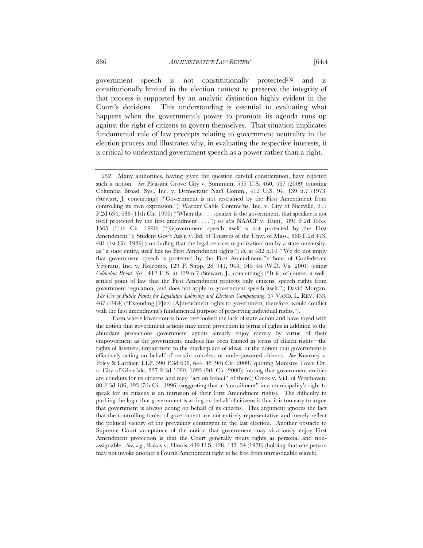government speech is not constitutionally protected252 and is constitutionally limited in the election context to preserve the integrity of that process is supported by an analytic distinction highly evident in the Court's decisions. This understanding is essential to evaluating what happens when the government's power to promote its agenda runs up against the right of citizens to govern themselves. That situation implicates fundamental rule of law precepts relating to government neutrality in the election process and illustrates why, in evaluating the respective interests, it is critical to understand government speech as a power rather than a right.

Even where lower courts have overlooked the lack of state action and have toyed with the notion that government actions may merit protection in terms of rights in addition to the abundant protections government agents already enjoy merely by virtue of their empowerment as the government, analysis has been framed in terms of citizen rights—the rights of listeners, impairment to the marketplace of ideas, or the notion that government is effectively acting on behalf of certain voiceless or underpowered citizens. *See* Kearney v. Foley & Lardner, LLP, 590 F.3d 638, 644–45 (9th Cir. 2009) (quoting Manistee Town Ctr. v. City of Glendale, 227 F.3d 1090, 1093 (9th Cir. 2000)) (noting that government entities are conduits for its citizens and may "act on behalf" of them); Creek v. Vill. of Westhaven, 80 F.3d 186, 193 (7th Cir. 1996) (suggesting that a "curtailment" in a municipality's right to speak for its citizens is an intrusion of their First Amendment rights). The difficulty in pushing the logic that government is acting on behalf of citizens is that it is too easy to argue that government is always acting on behalf of its citizens. This argument ignores the fact that the controlling forces of government are not entirely representative and merely reflect the political victory of the prevailing contingent in the last election. Another obstacle to Supreme Court acceptance of the notion that government may vicariously enjoy First Amendment protection is that the Court generally treats rights as personal and nonassignable. *See, e.g.*, Rakas v. Illinois, 439 U.S. 128, 133–34 (1978) (holding that one person may not invoke another's Fourth Amendment right to be free from unreasonable search).

 <sup>252.</sup> Many authorities, having given the question careful consideration, have rejected such a notion. *See* Pleasant Grove City v. Summum, 555 U.S. 460, 467 (2009) (quoting Columbia Broad. Sys., Inc. v. Democratic Nat'l Comm., 412 U.S. 94, 139 n.7 (1973) (Stewart, J. concurring)) ("Government is not restrained by the First Amendment from controlling its own expression."); Warner Cable Commc'ns, Inc. v. City of Niceville, 911 F.2d 634, 638 (11th Cir. 1990) ("When the . . . speaker is the government, that speaker is not itself protected by the first amendment . . . ."); *see also* NAACP v. Hunt, 891 F.2d 1555, 1565 (11th Cir. 1990) ("[G]overnment speech itself is not protected by the First Amendment."); Student Gov't Ass'n v. Bd. of Trustees of the Univ. of Mass., 868 F.2d 473, 481 (1st Cir. 1989) (concluding that the legal services organization run by a state university, as "a state entity, itself has no First Amendment rights"); *id.* at 482 n.10 ("We do not imply that government speech is protected by the First Amendment."); Sons of Confederate Veterans, Inc. v. Holcomb, 129 F. Supp. 2d 941, 944, 945–46 (W.D. Va. 2001) (citing *Columbia Broad. Sys.*, 412 U.S. at 139 n.7 (Stewart, J., concurring)) ("It is, of course, a wellsettled point of law that the First Amendment protects only citizens' speech rights from government regulation, and does not apply to government speech itself."); David Morgan, *The Use of Public Funds for Legislative Lobbying and Electoral Campaigning*, 37 VAND. L. REV. 433, 467 (1984) ("Extending [F]irst [A]mendment rights to government, therefore, would conflict with the first amendment's fundamental purpose of preserving individual rights.").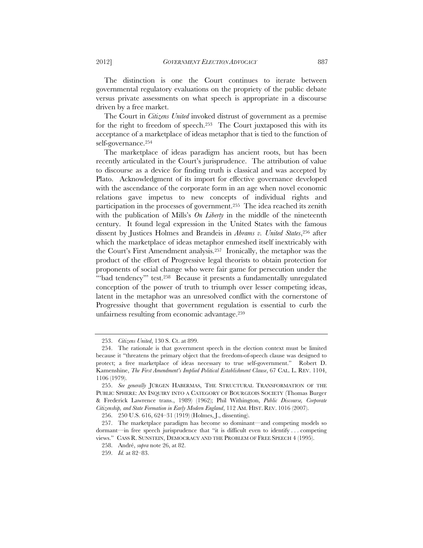The distinction is one the Court continues to iterate between governmental regulatory evaluations on the propriety of the public debate versus private assessments on what speech is appropriate in a discourse driven by a free market.

The Court in *Citizens United* invoked distrust of government as a premise for the right to freedom of speech.253 The Court juxtaposed this with its acceptance of a marketplace of ideas metaphor that is tied to the function of self-governance.254

The marketplace of ideas paradigm has ancient roots, but has been recently articulated in the Court's jurisprudence. The attribution of value to discourse as a device for finding truth is classical and was accepted by Plato. Acknowledgment of its import for effective governance developed with the ascendance of the corporate form in an age when novel economic relations gave impetus to new concepts of individual rights and participation in the processes of government.255 The idea reached its zenith with the publication of Mills's *On Liberty* in the middle of the nineteenth century. It found legal expression in the United States with the famous dissent by Justices Holmes and Brandeis in *Abrams v. United States*,256 after which the marketplace of ideas metaphor enmeshed itself inextricably with the Court's First Amendment analysis.257 Ironically, the metaphor was the product of the effort of Progressive legal theorists to obtain protection for proponents of social change who were fair game for persecution under the "bad tendency" test.<sup>258</sup> Because it presents a fundamentally unregulated conception of the power of truth to triumph over lesser competing ideas, latent in the metaphor was an unresolved conflict with the cornerstone of Progressive thought that government regulation is essential to curb the unfairness resulting from economic advantage.259

 <sup>253.</sup> *Citizens United*, 130 S. Ct. at 899.

 <sup>254.</sup> The rationale is that government speech in the election context must be limited because it "threatens the primary object that the freedom-of-speech clause was designed to protect; a free marketplace of ideas necessary to true self-government." Robert D. Kamenshine, *The First Amendment's Implied Political Establishment Clause*, 67 CAL. L. REV. 1104, 1106 (1979).

 <sup>255.</sup> *See generally* JÜRGEN HABERMAS, THE STRUCTURAL TRANSFORMATION OF THE PUBLIC SPHERE: AN INQUIRY INTO A CATEGORY OF BOURGEOIS SOCIETY (Thomas Burger & Frederick Lawrence trans., 1989) (1962); Phil Withington, *Public Discourse, Corporate Citizenship, and State Formation in Early Modern England*, 112 AM. HIST. REV. 1016 (2007).

 <sup>256. 250</sup> U.S. 616, 624–31 (1919) (Holmes, J., dissenting).

 <sup>257.</sup> The marketplace paradigm has become so dominant—and competing models so dormant—in free speech jurisprudence that "it is difficult even to identify . . . competing views." CASS R. SUNSTEIN, DEMOCRACY AND THE PROBLEM OF FREE SPEECH 4 (1995).

 <sup>258.</sup> André, *supra* note 26, at 82.

 <sup>259.</sup> *Id.* at 82–83.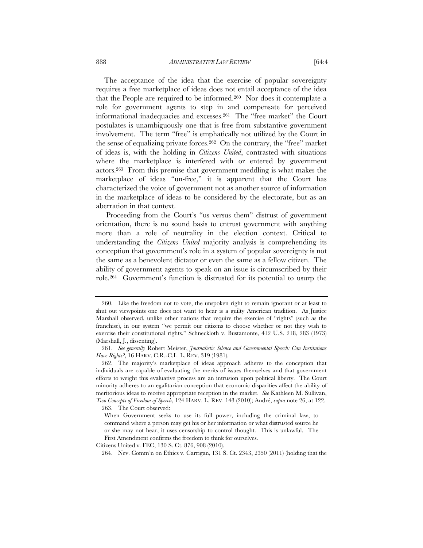The acceptance of the idea that the exercise of popular sovereignty requires a free marketplace of ideas does not entail acceptance of the idea that the People are required to be informed.260 Nor does it contemplate a role for government agents to step in and compensate for perceived informational inadequacies and excesses.261 The "free market" the Court postulates is unambiguously one that is free from substantive government involvement. The term "free" is emphatically not utilized by the Court in the sense of equalizing private forces.262 On the contrary, the "free" market of ideas is, with the holding in *Citizens United*, contrasted with situations where the marketplace is interfered with or entered by government

actors.263 From this premise that government meddling is what makes the marketplace of ideas "un-free," it is apparent that the Court has characterized the voice of government not as another source of information in the marketplace of ideas to be considered by the electorate, but as an aberration in that context.

 Proceeding from the Court's "us versus them" distrust of government orientation, there is no sound basis to entrust government with anything more than a role of neutrality in the election context. Critical to understanding the *Citizens United* majority analysis is comprehending its conception that government's role in a system of popular sovereignty is not the same as a benevolent dictator or even the same as a fellow citizen. The ability of government agents to speak on an issue is circumscribed by their role.264 Government's function is distrusted for its potential to usurp the

Citizens United v. FEC, 130 S. Ct. 876, 908 (2010).

 <sup>260.</sup> Like the freedom not to vote, the unspoken right to remain ignorant or at least to shut out viewpoints one does not want to hear is a guilty American tradition. As Justice Marshall observed, unlike other nations that require the exercise of "rights" (such as the franchise), in our system "we permit our citizens to choose whether or not they wish to exercise their constitutional rights." Schneckloth v. Bustamonte, 412 U.S. 218, 283 (1973) (Marshall, J., dissenting).

 <sup>261.</sup> *See generally* Robert Meister, *Journalistic Silence and Governmental Speech: Can Institutions Have Rights?*, 16 HARV. C.R.-C.L. L. REV. 319 (1981).

 <sup>262.</sup> The majority's marketplace of ideas approach adheres to the conception that individuals are capable of evaluating the merits of issues themselves and that government efforts to weight this evaluative process are an intrusion upon political liberty. The Court minority adheres to an egalitarian conception that economic disparities affect the ability of meritorious ideas to receive appropriate reception in the market. *See* Kathleen M. Sullivan, *Two Concepts of Freedom of Speech*, 124 HARV. L. REV. 143 (2010); André, *supra* note 26, at 122. 263. The Court observed:

When Government seeks to use its full power, including the criminal law, to command where a person may get his or her information or what distrusted source he or she may not hear, it uses censorship to control thought. This is unlawful. The First Amendment confirms the freedom to think for ourselves.

 <sup>264.</sup> Nev. Comm'n on Ethics v. Carrigan, 131 S. Ct. 2343, 2350 (2011) (holding that the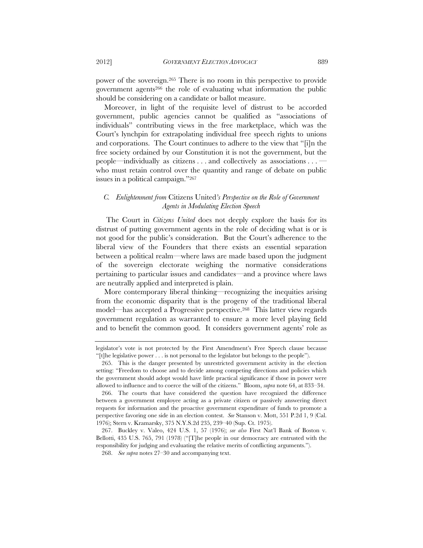power of the sovereign.265 There is no room in this perspective to provide government agents266 the role of evaluating what information the public should be considering on a candidate or ballot measure.

Moreover, in light of the requisite level of distrust to be accorded government, public agencies cannot be qualified as "associations of individuals" contributing views in the free marketplace, which was the Court's lynchpin for extrapolating individual free speech rights to unions and corporations. The Court continues to adhere to the view that "[i]n the free society ordained by our Constitution it is not the government, but the people—individually as citizens . . . and collectively as associations . . . who must retain control over the quantity and range of debate on public issues in a political campaign."267

## *C. Enlightenment from* Citizens United*'s Perspective on the Role of Government Agents in Modulating Election Speech*

 The Court in *Citizens United* does not deeply explore the basis for its distrust of putting government agents in the role of deciding what is or is not good for the public's consideration. But the Court's adherence to the liberal view of the Founders that there exists an essential separation between a political realm—where laws are made based upon the judgment of the sovereign electorate weighing the normative considerations pertaining to particular issues and candidates—and a province where laws are neutrally applied and interpreted is plain.

More contemporary liberal thinking—recognizing the inequities arising from the economic disparity that is the progeny of the traditional liberal model—has accepted a Progressive perspective.268 This latter view regards government regulation as warranted to ensure a more level playing field and to benefit the common good. It considers government agents' role as

legislator's vote is not protected by the First Amendment's Free Speech clause because "[t]he legislative power . . . is not personal to the legislator but belongs to the people").

 <sup>265.</sup> This is the danger presented by unrestricted government activity in the election setting: "Freedom to choose and to decide among competing directions and policies which the government should adopt would have little practical significance if those in power were allowed to influence and to coerce the will of the citizens." Bloom, *supra* note 64, at 833–34.

 <sup>266.</sup> The courts that have considered the question have recognized the difference between a government employee acting as a private citizen or passively answering direct requests for information and the proactive government expenditure of funds to promote a perspective favoring one side in an election contest. *See* Stanson v. Mott, 551 P.2d 1, 9 (Cal. 1976); Stern v. Kramarsky, 375 N.Y.S.2d 235, 239–40 (Sup. Ct. 1975).

 <sup>267.</sup> Buckley v. Valeo, 424 U.S. 1, 57 (1976); *see also* First Nat'l Bank of Boston v. Bellotti, 435 U.S. 765, 791 (1978) ("[T]he people in our democracy are entrusted with the responsibility for judging and evaluating the relative merits of conflicting arguments.").

 <sup>268.</sup> *See supra* notes 27–30 and accompanying text.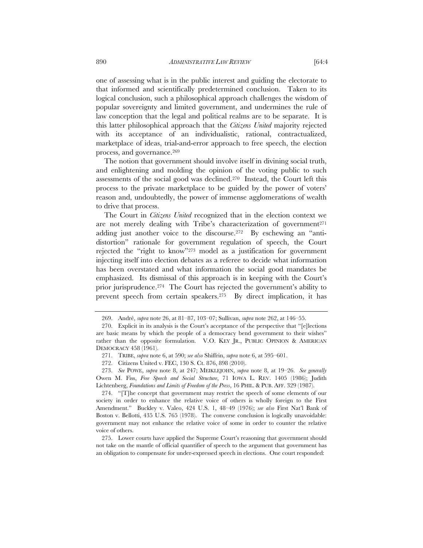one of assessing what is in the public interest and guiding the electorate to that informed and scientifically predetermined conclusion. Taken to its logical conclusion, such a philosophical approach challenges the wisdom of popular sovereignty and limited government, and undermines the rule of law conception that the legal and political realms are to be separate. It is this latter philosophical approach that the *Citizens United* majority rejected with its acceptance of an individualistic, rational, contractualized, marketplace of ideas, trial-and-error approach to free speech, the election process, and governance.269

The notion that government should involve itself in divining social truth, and enlightening and molding the opinion of the voting public to such assessments of the social good was declined.270 Instead, the Court left this process to the private marketplace to be guided by the power of voters' reason and, undoubtedly, the power of immense agglomerations of wealth to drive that process.

The Court in *Citizens United* recognized that in the election context we are not merely dealing with Tribe's characterization of government<sup>271</sup> adding just another voice to the discourse.<sup>272</sup> By eschewing an "antidistortion" rationale for government regulation of speech, the Court rejected the "right to know"273 model as a justification for government injecting itself into election debates as a referee to decide what information has been overstated and what information the social good mandates be emphasized. Its dismissal of this approach is in keeping with the Court's prior jurisprudence.274 The Court has rejected the government's ability to prevent speech from certain speakers.275 By direct implication, it has

 <sup>269.</sup> André, *supra* note 26, at 81–87, 103–07; Sullivan, *supra* note 262, at 146–55.

 <sup>270.</sup> Explicit in its analysis is the Court's acceptance of the perspective that "[e]lections are basic means by which the people of a democracy bend government to their wishes" rather than the opposite formulation. V.O. KEY JR., PUBLIC OPINION & AMERICAN DEMOCRACY 458 (1961).

 <sup>271.</sup> TRIBE, *supra* note 6, at 590; *see also* Shiffrin, *supra* note 6, at 595–601.

 <sup>272.</sup> Citizens United v. FEC, 130 S. Ct. 876, 898 (2010).

 <sup>273.</sup> *See* POWE, *supra* note 8, at 247; MEIKLEJOHN, *supra* note 8, at 19–26. *See generally* Owen M. Fiss, *Free Speech and Social Structure*, 71 IOWA L. REV. 1405 (1986); Judith Lichtenberg, *Foundations and Limits of Freedom of the Press*, 16 PHIL. & PUB. AFF. 329 (1987).

 <sup>274. &</sup>quot;[T]he concept that government may restrict the speech of some elements of our society in order to enhance the relative voice of others is wholly foreign to the First Amendment." Buckley v. Valeo, 424 U.S. 1, 48–49 (1976); *see also* First Nat'l Bank of Boston v. Bellotti, 435 U.S. 765 (1978). The converse conclusion is logically unavoidable: government may not enhance the relative voice of some in order to counter the relative voice of others.

 <sup>275.</sup> Lower courts have applied the Supreme Court's reasoning that government should not take on the mantle of official quantifier of speech to the argument that government has an obligation to compensate for under-expressed speech in elections. One court responded: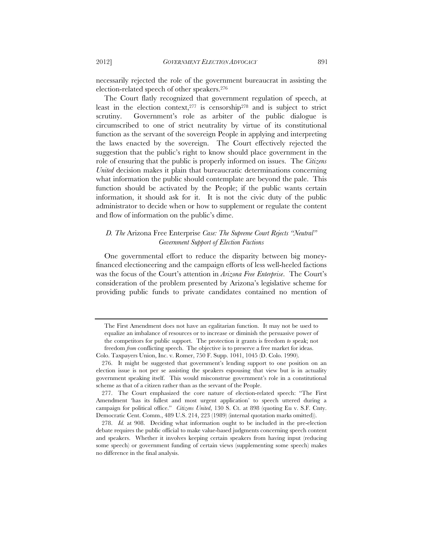necessarily rejected the role of the government bureaucrat in assisting the election-related speech of other speakers.276

The Court flatly recognized that government regulation of speech, at least in the election context,277 is censorship278 and is subject to strict scrutiny. Government's role as arbiter of the public dialogue is circumscribed to one of strict neutrality by virtue of its constitutional function as the servant of the sovereign People in applying and interpreting the laws enacted by the sovereign. The Court effectively rejected the suggestion that the public's right to know should place government in the role of ensuring that the public is properly informed on issues. The *Citizens United* decision makes it plain that bureaucratic determinations concerning what information the public should contemplate are beyond the pale. This function should be activated by the People; if the public wants certain information, it should ask for it. It is not the civic duty of the public administrator to decide when or how to supplement or regulate the content and flow of information on the public's dime.

# *D. The* Arizona Free Enterprise *Case: The Supreme Court Rejects "Neutral" Government Support of Election Factions*

One governmental effort to reduce the disparity between big moneyfinanced electioneering and the campaign efforts of less well-heeled factions was the focus of the Court's attention in *Arizona Free Enterprise*. The Court's consideration of the problem presented by Arizona's legislative scheme for providing public funds to private candidates contained no mention of

The First Amendment does not have an egalitarian function. It may not be used to equalize an imbalance of resources or to increase or diminish the persuasive power of the competitors for public support. The protection it grants is freedom *to* speak; not freedom *from* conflicting speech. The objective is to preserve a free market for ideas.

Colo. Taxpayers Union, Inc. v. Romer, 750 F. Supp. 1041, 1045 (D. Colo. 1990).

 <sup>276.</sup> It might be suggested that government's lending support to one position on an election issue is not per se assisting the speakers espousing that view but is in actuality government speaking itself. This would misconstrue government's role in a constitutional scheme as that of a citizen rather than as the servant of the People.

 <sup>277.</sup> The Court emphasized the core nature of election-related speech: "The First Amendment 'has its fullest and most urgent application' to speech uttered during a campaign for political office." *Citizens United*, 130 S. Ct. at 898 (quoting Eu v. S.F. Cnty. Democratic Cent. Comm., 489 U.S. 214, 223 (1989) (internal quotation marks omitted)).

 <sup>278.</sup> *Id.* at 908. Deciding what information ought to be included in the pre-election debate requires the public official to make value-based judgments concerning speech content and speakers. Whether it involves keeping certain speakers from having input (reducing some speech) or government funding of certain views (supplementing some speech) makes no difference in the final analysis.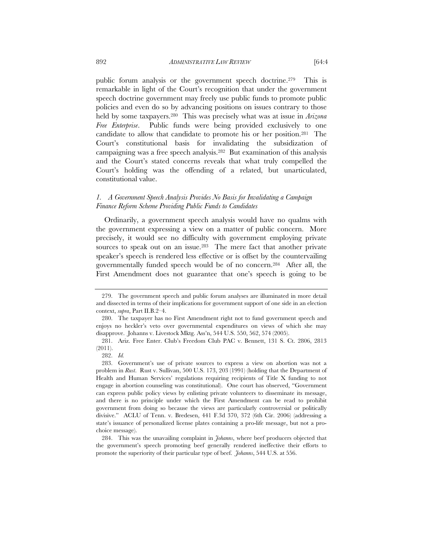public forum analysis or the government speech doctrine.279 This is remarkable in light of the Court's recognition that under the government speech doctrine government may freely use public funds to promote public policies and even do so by advancing positions on issues contrary to those held by some taxpayers.280 This was precisely what was at issue in *Arizona Free Enterprise*. Public funds were being provided exclusively to one candidate to allow that candidate to promote his or her position.281 The Court's constitutional basis for invalidating the subsidization of campaigning was a free speech analysis.282 But examination of this analysis and the Court's stated concerns reveals that what truly compelled the Court's holding was the offending of a related, but unarticulated, constitutional value.

### *1. A Government Speech Analysis Provides No Basis for Invalidating a Campaign Finance Reform Scheme Providing Public Funds to Candidates*

Ordinarily, a government speech analysis would have no qualms with the government expressing a view on a matter of public concern. More precisely, it would see no difficulty with government employing private sources to speak out on an issue.<sup>283</sup> The mere fact that another private speaker's speech is rendered less effective or is offset by the countervailing governmentally funded speech would be of no concern.284 After all, the First Amendment does not guarantee that one's speech is going to be

 <sup>279.</sup> The government speech and public forum analyses are illuminated in more detail and dissected in terms of their implications for government support of one side in an election context, *supra*, Part II.B.2–4.

 <sup>280.</sup> The taxpayer has no First Amendment right not to fund government speech and enjoys no heckler's veto over governmental expenditures on views of which she may disapprove. Johanns v. Livestock Mktg. Ass'n, 544 U.S. 550, 562, 574 (2005).

 <sup>281.</sup> Ariz. Free Enter. Club's Freedom Club PAC v. Bennett, 131 S. Ct. 2806, 2813 (2011).

 <sup>282.</sup> *Id.*

 <sup>283.</sup> Government's use of private sources to express a view on abortion was not a problem in *Rust*. Rust v. Sullivan, 500 U.S. 173, 203 (1991) (holding that the Department of Health and Human Services' regulations requiring recipients of Title X funding to not engage in abortion counseling was constitutional). One court has observed, "Government can express public policy views by enlisting private volunteers to disseminate its message, and there is no principle under which the First Amendment can be read to prohibit government from doing so because the views are particularly controversial or politically divisive." ACLU of Tenn. v. Bredesen, 441 F.3d 370, 372 (6th Cir. 2006) (addressing a state's issuance of personalized license plates containing a pro-life message, but not a prochoice message).

 <sup>284.</sup> This was the unavailing complaint in *Johanns*, where beef producers objected that the government's speech promoting beef generally rendered ineffective their efforts to promote the superiority of their particular type of beef. *Johanns*, 544 U.S. at 556.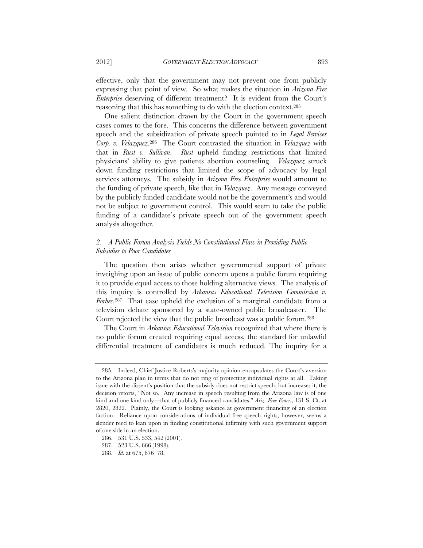effective, only that the government may not prevent one from publicly expressing that point of view. So what makes the situation in *Arizona Free Enterprise* deserving of different treatment? It is evident from the Court's reasoning that this has something to do with the election context.285

One salient distinction drawn by the Court in the government speech cases comes to the fore. This concerns the difference between government speech and the subsidization of private speech pointed to in *Legal Services Corp. v. Velazquez*.286 The Court contrasted the situation in *Velazquez* with that in *Rust v. Sullivan*. *Rust* upheld funding restrictions that limited physicians' ability to give patients abortion counseling. *Velazquez* struck down funding restrictions that limited the scope of advocacy by legal services attorneys. The subsidy in *Arizona Free Enterprise* would amount to the funding of private speech, like that in *Velazquez*. Any message conveyed by the publicly funded candidate would not be the government's and would not be subject to government control. This would seem to take the public funding of a candidate's private speech out of the government speech analysis altogether.

### *2. A Public Forum Analysis Yields No Constitutional Flaw in Providing Public Subsidies to Poor Candidates*

The question then arises whether governmental support of private inveighing upon an issue of public concern opens a public forum requiring it to provide equal access to those holding alternative views. The analysis of this inquiry is controlled by *Arkansas Educational Television Commission v. Forbes*.287 That case upheld the exclusion of a marginal candidate from a television debate sponsored by a state-owned public broadcaster. The Court rejected the view that the public broadcast was a public forum.288

The Court in *Arkansas Educational Television* recognized that where there is no public forum created requiring equal access, the standard for unlawful differential treatment of candidates is much reduced. The inquiry for a

 <sup>285.</sup> Indeed, Chief Justice Roberts's majority opinion encapsulates the Court's aversion to the Arizona plan in terms that do not ring of protecting individual rights at all. Taking issue with the dissent's position that the subsidy does not restrict speech, but increases it, the decision retorts, "Not so. Any increase in speech resulting from the Arizona law is of one kind and one kind only—that of publicly financed candidates." *Ariz. Free Enter.*, 131 S. Ct. at 2820, 2822. Plainly, the Court is looking askance at government financing of an election faction. Reliance upon considerations of individual free speech rights, however, seems a slender reed to lean upon in finding constitutional infirmity with such government support of one side in an election.

 <sup>286. 531</sup> U.S. 533, 542 (2001).

 <sup>287. 523</sup> U.S. 666 (1998).

 <sup>288.</sup> *Id*. at 675, 676–78.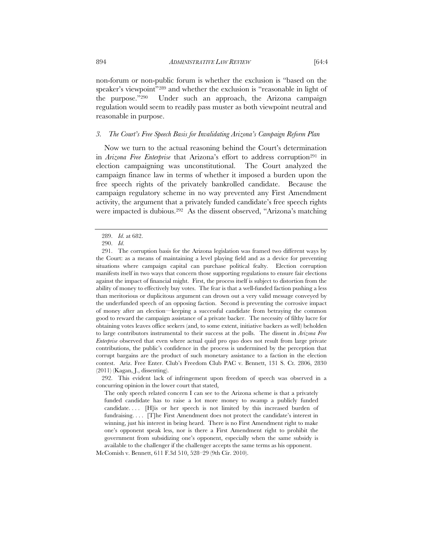non-forum or non-public forum is whether the exclusion is "based on the speaker's viewpoint"<sup>289</sup> and whether the exclusion is "reasonable in light of the purpose."290 Under such an approach, the Arizona campaign regulation would seem to readily pass muster as both viewpoint neutral and reasonable in purpose.

### *3. The Court's Free Speech Basis for Invalidating Arizona's Campaign Reform Plan*

Now we turn to the actual reasoning behind the Court's determination in *Arizona Free Enterprise* that Arizona's effort to address corruption<sup>291</sup> in election campaigning was unconstitutional. The Court analyzed the campaign finance law in terms of whether it imposed a burden upon the free speech rights of the privately bankrolled candidate. Because the campaign regulatory scheme in no way prevented any First Amendment activity, the argument that a privately funded candidate's free speech rights were impacted is dubious.292 As the dissent observed, "Arizona's matching

 <sup>289.</sup> *Id*. at 682.

 <sup>290.</sup> *Id*.

 <sup>291.</sup> The corruption basis for the Arizona legislation was framed two different ways by the Court: as a means of maintaining a level playing field and as a device for preventing situations where campaign capital can purchase political fealty. Election corruption manifests itself in two ways that concern those supporting regulations to ensure fair elections against the impact of financial might. First, the process itself is subject to distortion from the ability of money to effectively buy votes. The fear is that a well-funded faction pushing a less than meritorious or duplicitous argument can drown out a very valid message conveyed by the underfunded speech of an opposing faction. Second is preventing the corrosive impact of money after an election—keeping a successful candidate from betraying the common good to reward the campaign assistance of a private backer. The necessity of filthy lucre for obtaining votes leaves office seekers (and, to some extent, initiative backers as well) beholden to large contributors instrumental to their success at the polls. The dissent in *Arizona Free Enterprise* observed that even where actual quid pro quo does not result from large private contributions, the public's confidence in the process is undermined by the perception that corrupt bargains are the product of such monetary assistance to a faction in the election contest. Ariz. Free Enter. Club's Freedom Club PAC v. Bennett, 131 S. Ct. 2806, 2830 (2011) (Kagan, J., dissenting).

 <sup>292.</sup> This evident lack of infringement upon freedom of speech was observed in a concurring opinion in the lower court that stated,

The only speech related concern I can see to the Arizona scheme is that a privately funded candidate has to raise a lot more money to swamp a publicly funded candidate. . . . [H]is or her speech is not limited by this increased burden of fundraising. . . . [T]he First Amendment does not protect the candidate's interest in winning, just his interest in being heard. There is no First Amendment right to make one's opponent speak less, nor is there a First Amendment right to prohibit the government from subsidizing one's opponent, especially when the same subsidy is available to the challenger if the challenger accepts the same terms as his opponent.

McComish v. Bennett, 611 F.3d 510, 528–29 (9th Cir. 2010).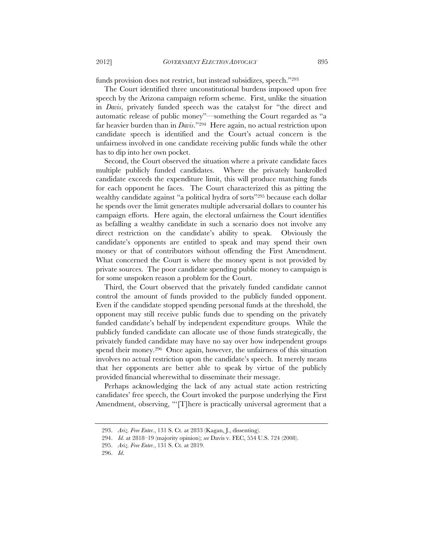funds provision does not restrict, but instead subsidizes, speech."293

The Court identified three unconstitutional burdens imposed upon free speech by the Arizona campaign reform scheme. First, unlike the situation in *Davis*, privately funded speech was the catalyst for "the direct and automatic release of public money"—something the Court regarded as "a far heavier burden than in *Davis*."294 Here again, no actual restriction upon candidate speech is identified and the Court's actual concern is the unfairness involved in one candidate receiving public funds while the other has to dip into her own pocket.

Second, the Court observed the situation where a private candidate faces multiple publicly funded candidates. Where the privately bankrolled candidate exceeds the expenditure limit, this will produce matching funds for each opponent he faces. The Court characterized this as pitting the wealthy candidate against "a political hydra of sorts"295 because each dollar he spends over the limit generates multiple adversarial dollars to counter his campaign efforts. Here again, the electoral unfairness the Court identifies as befalling a wealthy candidate in such a scenario does not involve any direct restriction on the candidate's ability to speak. Obviously the candidate's opponents are entitled to speak and may spend their own money or that of contributors without offending the First Amendment. What concerned the Court is where the money spent is not provided by private sources. The poor candidate spending public money to campaign is for some unspoken reason a problem for the Court.

Third, the Court observed that the privately funded candidate cannot control the amount of funds provided to the publicly funded opponent. Even if the candidate stopped spending personal funds at the threshold, the opponent may still receive public funds due to spending on the privately funded candidate's behalf by independent expenditure groups. While the publicly funded candidate can allocate use of those funds strategically, the privately funded candidate may have no say over how independent groups spend their money.296 Once again, however, the unfairness of this situation involves no actual restriction upon the candidate's speech. It merely means that her opponents are better able to speak by virtue of the publicly provided financial wherewithal to disseminate their message.

Perhaps acknowledging the lack of any actual state action restricting candidates' free speech, the Court invoked the purpose underlying the First Amendment, observing, "There is practically universal agreement that a

 <sup>293.</sup> *Ariz. Free Enter.*, 131 S. Ct. at 2833 (Kagan, J., dissenting).

 <sup>294.</sup> *Id*. at 2818–19 (majority opinion); *see* Davis v. FEC, 554 U.S. 724 (2008).

 <sup>295.</sup> *Ariz. Free Enter.*, 131 S. Ct. at 2819.

 <sup>296.</sup> *Id*.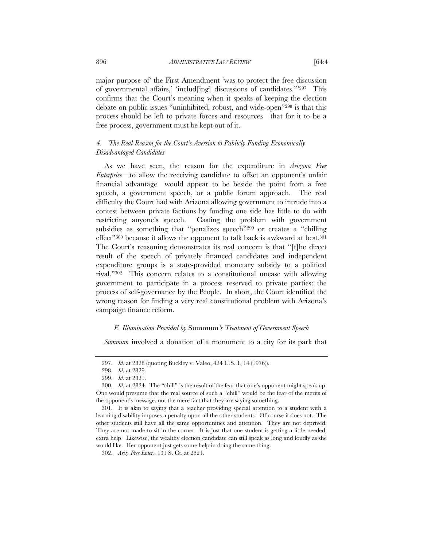major purpose of' the First Amendment 'was to protect the free discussion of governmental affairs,' 'includ[ing] discussions of candidates.'"297 This confirms that the Court's meaning when it speaks of keeping the election debate on public issues "uninhibited, robust, and wide-open"298 is that this process should be left to private forces and resources—that for it to be a free process, government must be kept out of it.

## *4. The Real Reason for the Court's Aversion to Publicly Funding Economically Disadvantaged Candidates*

As we have seen, the reason for the expenditure in *Arizona Free Enterprise*—to allow the receiving candidate to offset an opponent's unfair financial advantage—would appear to be beside the point from a free speech, a government speech, or a public forum approach. The real difficulty the Court had with Arizona allowing government to intrude into a contest between private factions by funding one side has little to do with restricting anyone's speech. Casting the problem with government subsidies as something that "penalizes speech"299 or creates a "chilling effect"300 because it allows the opponent to talk back is awkward at best.301 The Court's reasoning demonstrates its real concern is that "[t]he direct result of the speech of privately financed candidates and independent expenditure groups is a state-provided monetary subsidy to a political rival."302 This concern relates to a constitutional unease with allowing government to participate in a process reserved to private parties: the process of self-governance by the People. In short, the Court identified the wrong reason for finding a very real constitutional problem with Arizona's campaign finance reform.

#### *E. Illumination Provided by* Summum*'s Treatment of Government Speech*

*Summum* involved a donation of a monument to a city for its park that

 <sup>297.</sup> *Id*. at 2828 (quoting Buckley v. Valeo, 424 U.S. 1, 14 (1976)).

 <sup>298.</sup> *Id*. at 2829.

 <sup>299.</sup> *Id*. at 2821.

 <sup>300.</sup> *Id*. at 2824. The "chill" is the result of the fear that one's opponent might speak up. One would presume that the real source of such a "chill" would be the fear of the merits of the opponent's message, not the mere fact that they are saying something.

 <sup>301.</sup> It is akin to saying that a teacher providing special attention to a student with a learning disability imposes a penalty upon all the other students. Of course it does not. The other students still have all the same opportunities and attention. They are not deprived. They are not made to sit in the corner. It is just that one student is getting a little needed, extra help. Likewise, the wealthy election candidate can still speak as long and loudly as she would like. Her opponent just gets some help in doing the same thing.

 <sup>302.</sup> *Ariz. Free Enter.*, 131 S. Ct. at 2821.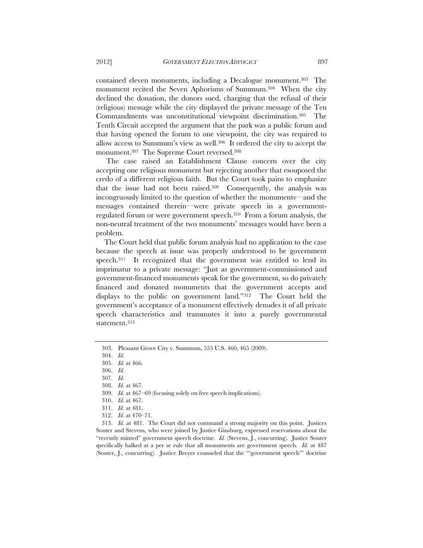contained eleven monuments, including a Decalogue monument.303 The monument recited the Seven Aphorisms of Summum.304 When the city declined the donation, the donors sued, charging that the refusal of their (religious) message while the city displayed the private message of the Ten Commandments was unconstitutional viewpoint discrimination.305 The Tenth Circuit accepted the argument that the park was a public forum and that having opened the forum to one viewpoint, the city was required to allow access to Summum's view as well.306 It ordered the city to accept the monument.307 The Supreme Court reversed.308

 The case raised an Establishment Clause concern over the city accepting one religious monument but rejecting another that esouposed the credo of a different religious faith. But the Court took pains to emphasize that the issue had not been raised.309 Consequently, the analysis was incongruously limited to the question of whether the monuments—and the messages contained therein—were private speech in a governmentregulated forum or were government speech.310 From a forum analysis, the non-neutral treatment of the two monuments' messages would have been a problem.

The Court held that public forum analysis had no application to the case because the speech at issue was properly understood to be government speech.311 It recognized that the government was entitled to lend its imprimatur to a private message: "Just as government-commissioned and government-financed monuments speak for the government, so do privately financed and donated monuments that the government accepts and displays to the public on government land."312 The Court held the government's acceptance of a monument effectively denudes it of all private speech characteristics and transmutes it into a purely governmental statement.313

 <sup>303.</sup> Pleasant Grove City v. Summum, 555 U.S. 460, 465 (2009).

 <sup>304.</sup> *Id.*

 <sup>305.</sup> *Id.* at 466.

 <sup>306.</sup> *Id.*

 <sup>307.</sup> *Id.* 

 <sup>308.</sup> *Id.* at 467.

 <sup>309.</sup> *Id.* at 467–69 (focusing solely on free speech implications).

 <sup>310.</sup> *Id.* at 467.

 <sup>311.</sup> *Id.* at 481.

 <sup>312.</sup> *Id.* at 470–71.

 <sup>313.</sup> *Id.* at 481. The Court did not command a strong majority on this point. Justices Souter and Stevens, who were joined by Justice Ginsburg, expressed reservations about the "recently minted" government speech doctrine. *Id.* (Stevens, J., concurring). Justice Souter specifically balked at a per se rule that all monuments are government speech. *Id.* at 487 (Souter, J., concurring). Justice Breyer counseled that the "'government speech'" doctrine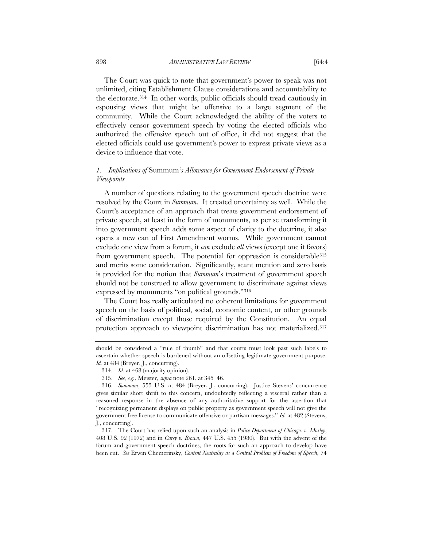898 *ADMINISTRATIVE LAW REVIEW* [64:4

The Court was quick to note that government's power to speak was not unlimited, citing Establishment Clause considerations and accountability to the electorate.314 In other words, public officials should tread cautiously in espousing views that might be offensive to a large segment of the community. While the Court acknowledged the ability of the voters to effectively censor government speech by voting the elected officials who authorized the offensive speech out of office, it did not suggest that the elected officials could use government's power to express private views as a device to influence that vote.

# *1. Implications of* Summum*'s Allowance for Government Endorsement of Private Viewpoints*

A number of questions relating to the government speech doctrine were resolved by the Court in *Summum*. It created uncertainty as well. While the Court's acceptance of an approach that treats government endorsement of private speech, at least in the form of monuments, as per se transforming it into government speech adds some aspect of clarity to the doctrine, it also opens a new can of First Amendment worms. While government cannot exclude one view from a forum, it *can* exclude *all* views (except one it favors) from government speech. The potential for oppression is considerable<sup>315</sup> and merits some consideration. Significantly, scant mention and zero basis is provided for the notion that *Summum*'s treatment of government speech should not be construed to allow government to discriminate against views expressed by monuments "on political grounds."316

The Court has really articulated no coherent limitations for government speech on the basis of political, social, economic content, or other grounds of discrimination except those required by the Constitution. An equal protection approach to viewpoint discrimination has not materialized.317

should be considered a "rule of thumb" and that courts must look past such labels to ascertain whether speech is burdened without an offsetting legitimate government purpose. *Id.* at 484 (Breyer, J., concurring).

 <sup>314.</sup> *Id.* at 468 (majority opinion).

 <sup>315.</sup> *See, e.g.*, Meister, *supra* note 261, at 345–46.

 <sup>316.</sup> *Summum*, 555 U.S. at 484 (Breyer, J., concurring). Justice Stevens' concurrence gives similar short shrift to this concern, undoubtedly reflecting a visceral rather than a reasoned response in the absence of any authoritative support for the assertion that "recognizing permanent displays on public property as government speech will not give the government free license to communicate offensive or partisan messages." *Id.* at 482 (Stevens, J., concurring).

 <sup>317.</sup> The Court has relied upon such an analysis in *Police Department of Chicago. v. Mosley*, 408 U.S. 92 (1972) and in *Carey v. Brown*, 447 U.S. 455 (1980). But with the advent of the forum and government speech doctrines, the roots for such an approach to develop have been cut. *See* Erwin Chemerinsky, *Content Neutrality as a Central Problem of Freedom of Speech*, 74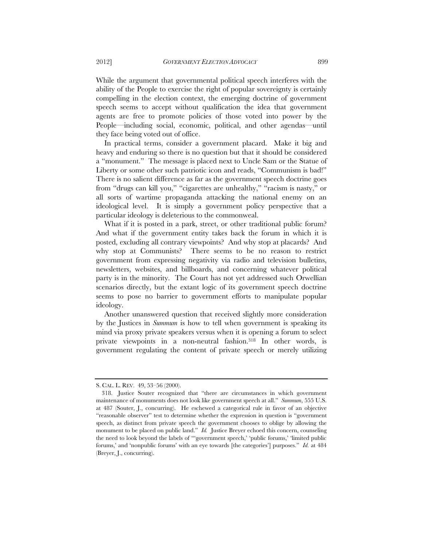While the argument that governmental political speech interferes with the ability of the People to exercise the right of popular sovereignty is certainly compelling in the election context, the emerging doctrine of government speech seems to accept without qualification the idea that government agents are free to promote policies of those voted into power by the People—including social, economic, political, and other agendas—until they face being voted out of office.

In practical terms, consider a government placard. Make it big and heavy and enduring so there is no question but that it should be considered a "monument." The message is placed next to Uncle Sam or the Statue of Liberty or some other such patriotic icon and reads, "Communism is bad!" There is no salient difference as far as the government speech doctrine goes from "drugs can kill you," "cigarettes are unhealthy," "racism is nasty," or all sorts of wartime propaganda attacking the national enemy on an ideological level. It is simply a government policy perspective that a particular ideology is deleterious to the commonweal.

What if it is posted in a park, street, or other traditional public forum? And what if the government entity takes back the forum in which it is posted, excluding all contrary viewpoints? And why stop at placards? And why stop at Communists? There seems to be no reason to restrict government from expressing negativity via radio and television bulletins, newsletters, websites, and billboards, and concerning whatever political party is in the minority. The Court has not yet addressed such Orwellian scenarios directly, but the extant logic of its government speech doctrine seems to pose no barrier to government efforts to manipulate popular ideology.

Another unanswered question that received slightly more consideration by the Justices in *Summum* is how to tell when government is speaking its mind via proxy private speakers versus when it is opening a forum to select private viewpoints in a non-neutral fashion.318 In other words, is government regulating the content of private speech or merely utilizing

S. CAL. L. REV. 49, 53–56 (2000).

 <sup>318.</sup> Justice Souter recognized that "there are circumstances in which government maintenance of monuments does not look like government speech at all." *Summum*, 555 U.S. at 487 (Souter, J., concurring). He eschewed a categorical rule in favor of an objective "reasonable observer" test to determine whether the expression in question is "government speech, as distinct from private speech the government chooses to oblige by allowing the monument to be placed on public land." *Id.* Justice Breyer echoed this concern, counseling the need to look beyond the labels of "'government speech,' 'public forums,' 'limited public forums,' and 'nonpublic forums' with an eye towards [the categories'] purposes." *Id.* at 484 (Breyer, J., concurring).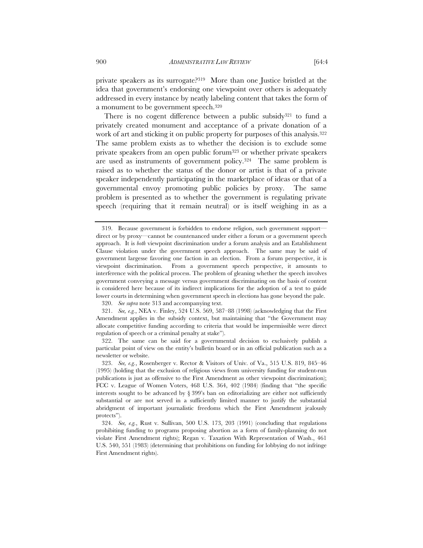private speakers as its surrogate?319 More than one Justice bristled at the idea that government's endorsing one viewpoint over others is adequately addressed in every instance by neatly labeling content that takes the form of a monument to be government speech.320

There is no cogent difference between a public subsidy<sup>321</sup> to fund a privately created monument and acceptance of a private donation of a work of art and sticking it on public property for purposes of this analysis.<sup>322</sup> The same problem exists as to whether the decision is to exclude some private speakers from an open public forum323 or whether private speakers are used as instruments of government policy.324 The same problem is raised as to whether the status of the donor or artist is that of a private speaker independently participating in the marketplace of ideas or that of a governmental envoy promoting public policies by proxy. The same problem is presented as to whether the government is regulating private speech (requiring that it remain neutral) or is itself weighing in as a

320. *See supra* note 313 and accompanying text.

 321. *See, e.g.*, NEA v. Finley, 524 U.S. 569, 587–88 (1998) (acknowledging that the First Amendment applies in the subsidy context, but maintaining that "the Government may allocate competitive funding according to criteria that would be impermissible were direct regulation of speech or a criminal penalty at stake").

 322. The same can be said for a governmental decision to exclusively publish a particular point of view on the entity's bulletin board or in an official publication such as a newsletter or website.

 <sup>319.</sup> Because government is forbidden to endorse religion, such government support direct or by proxy—cannot be countenanced under either a forum or a government speech approach. It is *both* viewpoint discrimination under a forum analysis and an Establishment Clause violation under the government speech approach. The same may be said of government largesse favoring one faction in an election. From a forum perspective, it is viewpoint discrimination. From a government speech perspective, it amounts to interference with the political process. The problem of gleaning whether the speech involves government conveying a message versus government discriminating on the basis of content is considered here because of its indirect implications for the adoption of a test to guide lower courts in determining when government speech in elections has gone beyond the pale.

 <sup>323.</sup> *See, e.g.*, Rosenberger v. Rector & Visitors of Univ. of Va., 515 U.S. 819, 845–46 (1995) (holding that the exclusion of religious views from university funding for student-run publications is just as offensive to the First Amendment as other viewpoint discrimination); FCC v. League of Women Voters, 468 U.S. 364, 402 (1984) (finding that "the specific interests sought to be advanced by  $\S 399'$  ban on editorializing are either not sufficiently substantial or are not served in a sufficiently limited manner to justify the substantial abridgment of important journalistic freedoms which the First Amendment jealously protects").

 <sup>324.</sup> *See, e.g.*, Rust v. Sullivan, 500 U.S. 173, 203 (1991) (concluding that regulations prohibiting funding to programs proposing abortion as a form of family-planning do not violate First Amendment rights); Regan v. Taxation With Representation of Wash., 461 U.S. 540, 551 (1983) (determining that prohibitions on funding for lobbying do not infringe First Amendment rights).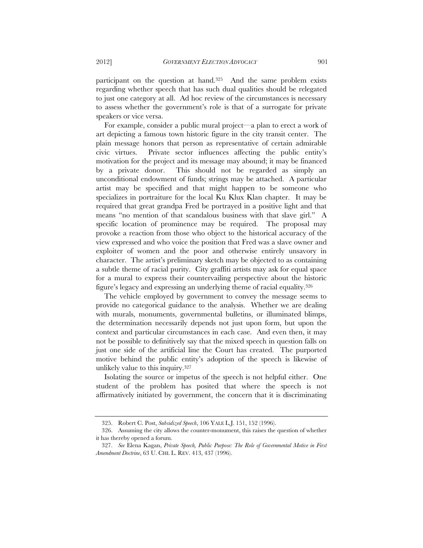participant on the question at hand.325 And the same problem exists regarding whether speech that has such dual qualities should be relegated to just one category at all. Ad hoc review of the circumstances is necessary to assess whether the government's role is that of a surrogate for private speakers or vice versa.

For example, consider a public mural project—a plan to erect a work of art depicting a famous town historic figure in the city transit center. The plain message honors that person as representative of certain admirable civic virtues. Private sector influences affecting the public entity's motivation for the project and its message may abound; it may be financed by a private donor. This should not be regarded as simply an unconditional endowment of funds; strings may be attached. A particular artist may be specified and that might happen to be someone who specializes in portraiture for the local Ku Klux Klan chapter. It may be required that great grandpa Fred be portrayed in a positive light and that means "no mention of that scandalous business with that slave girl." A specific location of prominence may be required. The proposal may provoke a reaction from those who object to the historical accuracy of the view expressed and who voice the position that Fred was a slave owner and exploiter of women and the poor and otherwise entirely unsavory in character. The artist's preliminary sketch may be objected to as containing a subtle theme of racial purity. City graffiti artists may ask for equal space for a mural to express their countervailing perspective about the historic figure's legacy and expressing an underlying theme of racial equality.326

The vehicle employed by government to convey the message seems to provide no categorical guidance to the analysis. Whether we are dealing with murals, monuments, governmental bulletins, or illuminated blimps, the determination necessarily depends not just upon form, but upon the context and particular circumstances in each case. And even then, it may not be possible to definitively say that the mixed speech in question falls on just one side of the artificial line the Court has created. The purported motive behind the public entity's adoption of the speech is likewise of unlikely value to this inquiry.327

Isolating the source or impetus of the speech is not helpful either. One student of the problem has posited that where the speech is not affirmatively initiated by government, the concern that it is discriminating

 <sup>325.</sup> Robert C. Post, *Subsidized Speech*, 106 YALE L.J. 151, 152 (1996).

 <sup>326.</sup> Assuming the city allows the counter-monument, this raises the question of whether it has thereby opened a forum.

 <sup>327.</sup> *See* Elena Kagan, *Private Speech, Public Purpose: The Role of Governmental Motive in First Amendment Doctrine*, 63 U. CHI. L. REV. 413, 437 (1996).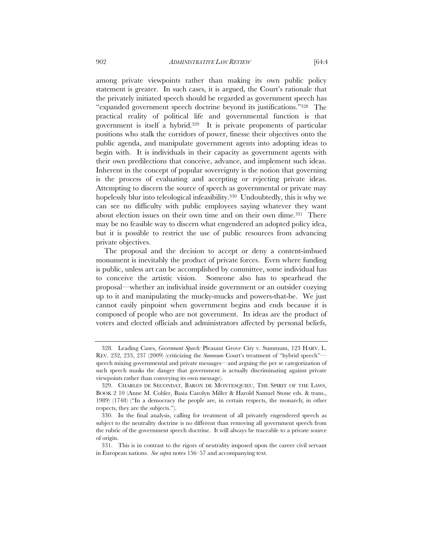among private viewpoints rather than making its own public policy statement is greater. In such cases, it is argued, the Court's rationale that the privately initiated speech should be regarded as government speech has

"expanded government speech doctrine beyond its justifications."328 The practical reality of political life and governmental function is that government is itself a hybrid.329 It is private proponents of particular positions who stalk the corridors of power, finesse their objectives onto the public agenda, and manipulate government agents into adopting ideas to begin with. It is individuals in their capacity as government agents with their own predilections that conceive, advance, and implement such ideas. Inherent in the concept of popular sovereignty is the notion that governing is the process of evaluating and accepting or rejecting private ideas. Attempting to discern the source of speech as governmental or private may hopelessly blur into teleological infeasibility.<sup>330</sup> Undoubtedly, this is why we can see no difficulty with public employees saying whatever they want about election issues on their own time and on their own dime.331 There may be no feasible way to discern what engendered an adopted policy idea, but it is possible to restrict the use of public resources from advancing private objectives.

The proposal and the decision to accept or deny a content-imbued monument is inevitably the product of private forces. Even where funding is public, unless art can be accomplished by committee, some individual has to conceive the artistic vision. Someone also has to spearhead the proposal—whether an individual inside government or an outsider cozying up to it and manipulating the mucky-mucks and powers-that-be. We just cannot easily pinpoint when government begins and ends because it is composed of people who are not government. Its ideas are the product of voters and elected officials and administrators affected by personal beliefs,

 <sup>328.</sup> Leading Cases, *Government Speech:* Pleasant Grove City v. Summum, 123 HARV. L. REV. 232, 233, 237 (2009) (criticizing the *Summum* Court's treatment of "hybrid speech" speech mixing governmental and private messages—and arguing the per se categorization of such speech masks the danger that government is actually discriminating against private viewpoints rather than conveying its own message).

 <sup>329.</sup> CHARLES DE SECONDAT, BARON DE MONTESQUIEU, THE SPIRIT OF THE LAWS, BOOK 2 10 (Anne M. Cohler, Basia Carolyn Miller & Harold Samuel Stone eds. & trans., 1989) (1748) ("In a democracy the people are, in certain respects, the monarch; in other respects, they are the subjects.").

 <sup>330.</sup> In the final analysis, calling for treatment of all privately engendered speech as subject to the neutrality doctrine is no different than removing all government speech from the rubric of the government speech doctrine. It will always be traceable to a private source of origin.

 <sup>331.</sup> This is in contrast to the rigors of neutrality imposed upon the career civil servant in European nations. *See supra* notes 156–57 and accompanying text.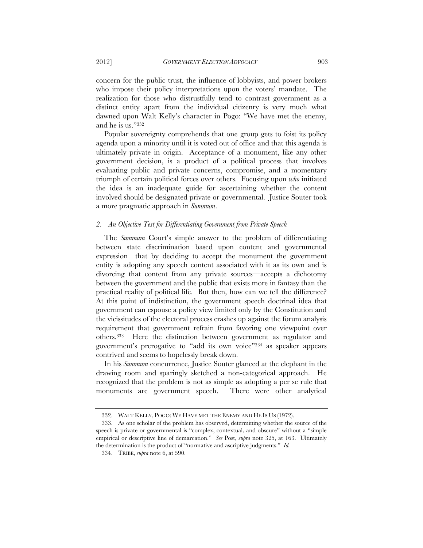concern for the public trust, the influence of lobbyists, and power brokers who impose their policy interpretations upon the voters' mandate. The realization for those who distrustfully tend to contrast government as a distinct entity apart from the individual citizenry is very much what dawned upon Walt Kelly's character in Pogo: "We have met the enemy, and he is us."332

Popular sovereignty comprehends that one group gets to foist its policy agenda upon a minority until it is voted out of office and that this agenda is ultimately private in origin. Acceptance of a monument, like any other government decision, is a product of a political process that involves evaluating public and private concerns, compromise, and a momentary triumph of certain political forces over others. Focusing upon *who* initiated the idea is an inadequate guide for ascertaining whether the content involved should be designated private or governmental. Justice Souter took a more pragmatic approach in *Summum*.

#### *2. An Objective Test for Differentiating Government from Private Speech*

The *Summum* Court's simple answer to the problem of differentiating between state discrimination based upon content and governmental expression—that by deciding to accept the monument the government entity is adopting any speech content associated with it as its own and is divorcing that content from any private sources—accepts a dichotomy between the government and the public that exists more in fantasy than the practical reality of political life. But then, how can we tell the difference? At this point of indistinction, the government speech doctrinal idea that government can espouse a policy view limited only by the Constitution and the vicissitudes of the electoral process crashes up against the forum analysis requirement that government refrain from favoring one viewpoint over others.333 Here the distinction between government as regulator and government's prerogative to "add its own voice"334 as speaker appears contrived and seems to hopelessly break down.

In his *Summum* concurrence, Justice Souter glanced at the elephant in the drawing room and sparingly sketched a non-categorical approach. He recognized that the problem is not as simple as adopting a per se rule that monuments are government speech. There were other analytical

 <sup>332.</sup> WALT KELLY, POGO: WE HAVE MET THE ENEMY AND HE IS US (1972).

 <sup>333.</sup> As one scholar of the problem has observed, determining whether the source of the speech is private or governmental is "complex, contextual, and obscure" without a "simple empirical or descriptive line of demarcation." *See* Post, *supra* note 325, at 163. Ultimately the determination is the product of "normative and ascriptive judgments." *Id.*

 <sup>334.</sup> TRIBE, *supra* note 6, at 590.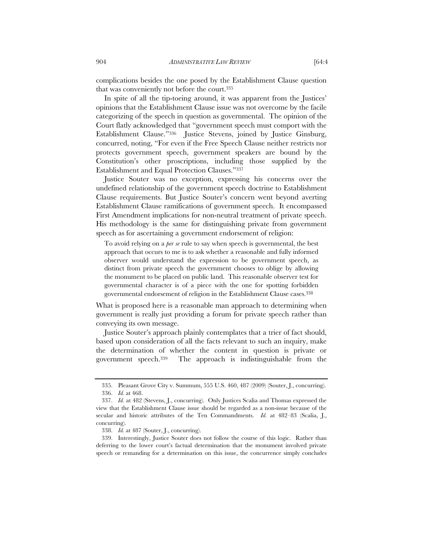complications besides the one posed by the Establishment Clause question that was conveniently not before the court.335

In spite of all the tip-toeing around, it was apparent from the Justices' opinions that the Establishment Clause issue was not overcome by the facile categorizing of the speech in question as governmental. The opinion of the Court flatly acknowledged that "government speech must comport with the Establishment Clause."336 Justice Stevens, joined by Justice Ginsburg, concurred, noting, "For even if the Free Speech Clause neither restricts nor protects government speech, government speakers are bound by the Constitution's other proscriptions, including those supplied by the Establishment and Equal Protection Clauses."337

Justice Souter was no exception, expressing his concerns over the undefined relationship of the government speech doctrine to Establishment Clause requirements. But Justice Souter's concern went beyond averting Establishment Clause ramifications of government speech. It encompassed First Amendment implications for non-neutral treatment of private speech. His methodology is the same for distinguishing private from government speech as for ascertaining a government endorsement of religion:

To avoid relying on a *per se* rule to say when speech is governmental, the best approach that occurs to me is to ask whether a reasonable and fully informed observer would understand the expression to be government speech, as distinct from private speech the government chooses to oblige by allowing the monument to be placed on public land. This reasonable observer test for governmental character is of a piece with the one for spotting forbidden governmental endorsement of religion in the Establishment Clause cases.338

What is proposed here is a reasonable man approach to determining when government is really just providing a forum for private speech rather than conveying its own message.

Justice Souter's approach plainly contemplates that a trier of fact should, based upon consideration of all the facts relevant to such an inquiry, make the determination of whether the content in question is private or government speech.339 The approach is indistinguishable from the

 <sup>335.</sup> Pleasant Grove City v. Summum, 555 U.S. 460, 487 (2009) (Souter, J., concurring). 336. *Id.* at 468.

 <sup>337.</sup> *Id.* at 482 (Stevens, J., concurring). Only Justices Scalia and Thomas expressed the

view that the Establishment Clause issue should be regarded as a non-issue because of the secular and historic attributes of the Ten Commandments. *Id.* at 482–83 (Scalia, J., concurring).

 <sup>338.</sup> *Id.* at 487 (Souter, J., concurring).

 <sup>339.</sup> Interestingly, Justice Souter does not follow the course of this logic. Rather than deferring to the lower court's factual determination that the monument involved private speech or remanding for a determination on this issue, the concurrence simply concludes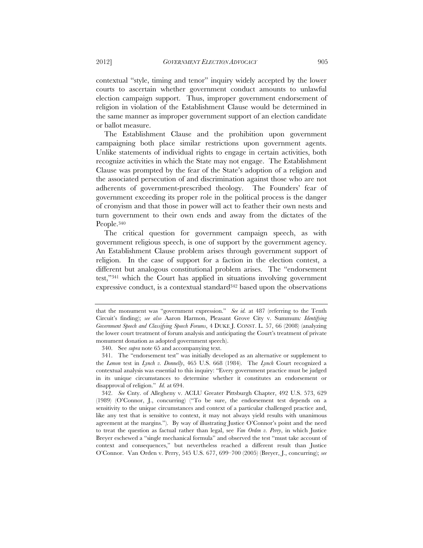contextual "style, timing and tenor" inquiry widely accepted by the lower courts to ascertain whether government conduct amounts to unlawful election campaign support. Thus, improper government endorsement of religion in violation of the Establishment Clause would be determined in the same manner as improper government support of an election candidate or ballot measure.

The Establishment Clause and the prohibition upon government campaigning both place similar restrictions upon government agents. Unlike statements of individual rights to engage in certain activities, both recognize activities in which the State may not engage. The Establishment Clause was prompted by the fear of the State's adoption of a religion and the associated persecution of and discrimination against those who are not adherents of government-prescribed theology. The Founders' fear of government exceeding its proper role in the political process is the danger of cronyism and that those in power will act to feather their own nests and turn government to their own ends and away from the dictates of the People.340

The critical question for government campaign speech, as with government religious speech, is one of support by the government agency. An Establishment Clause problem arises through government support of religion. In the case of support for a faction in the election contest, a different but analogous constitutional problem arises. The "endorsement test,"341 which the Court has applied in situations involving government expressive conduct, is a contextual standard<sup>342</sup> based upon the observations

that the monument was "government expression." *See id.* at 487 (referring to the Tenth Circuit's finding); *see also* Aaron Harmon, Pleasant Grove City v. Summum*: Identifying Government Speech and Classifying Speech Forums*, 4 DUKE J. CONST. L. 57, 66 (2008) (analyzing the lower court treatment of forum analysis and anticipating the Court's treatment of private monument donation as adopted government speech).

 <sup>340.</sup> See *supra* note 65 and accompanying text.

 <sup>341.</sup> The "endorsement test" was initially developed as an alternative or supplement to the *Lemon* test in *Lynch v. Donnelly*, 465 U.S. 668 (1984). The *Lynch* Court recognized a contextual analysis was essential to this inquiry: "Every government practice must be judged in its unique circumstances to determine whether it constitutes an endorsement or disapproval of religion." *Id.* at 694.

 <sup>342.</sup> *See* Cnty. of Allegheny v. ACLU Greater Pittsburgh Chapter, 492 U.S. 573, 629 (1989) (O'Connor, J., concurring) ("To be sure, the endorsement test depends on a sensitivity to the unique circumstances and context of a particular challenged practice and, like any test that is sensitive to context, it may not always yield results with unanimous agreement at the margins."). By way of illustrating Justice O'Connor's point and the need to treat the question as factual rather than legal, see *Van Orden v. Perry*, in which Justice Breyer eschewed a "single mechanical formula" and observed the test "must take account of context and consequences," but nevertheless reached a different result than Justice O'Connor. Van Orden v. Perry, 545 U.S. 677, 699–700 (2005) (Breyer, J., concurring); *see*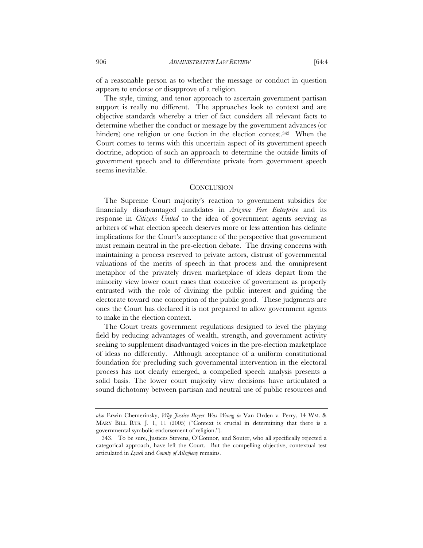of a reasonable person as to whether the message or conduct in question appears to endorse or disapprove of a religion.

The style, timing, and tenor approach to ascertain government partisan support is really no different. The approaches look to context and are objective standards whereby a trier of fact considers all relevant facts to determine whether the conduct or message by the government advances (or hinders) one religion or one faction in the election contest.<sup>343</sup> When the Court comes to terms with this uncertain aspect of its government speech doctrine, adoption of such an approach to determine the outside limits of government speech and to differentiate private from government speech seems inevitable.

### **CONCLUSION**

The Supreme Court majority's reaction to government subsidies for financially disadvantaged candidates in *Arizona Free Enterprise* and its response in *Citizens United* to the idea of government agents serving as arbiters of what election speech deserves more or less attention has definite implications for the Court's acceptance of the perspective that government must remain neutral in the pre-election debate. The driving concerns with maintaining a process reserved to private actors, distrust of governmental valuations of the merits of speech in that process and the omnipresent metaphor of the privately driven marketplace of ideas depart from the minority view lower court cases that conceive of government as properly entrusted with the role of divining the public interest and guiding the electorate toward one conception of the public good. These judgments are ones the Court has declared it is not prepared to allow government agents to make in the election context.

The Court treats government regulations designed to level the playing field by reducing advantages of wealth, strength, and government activity seeking to supplement disadvantaged voices in the pre-election marketplace of ideas no differently. Although acceptance of a uniform constitutional foundation for precluding such governmental intervention in the electoral process has not clearly emerged, a compelled speech analysis presents a solid basis. The lower court majority view decisions have articulated a sound dichotomy between partisan and neutral use of public resources and

*also* Erwin Chemerinsky, *Why Justice Breyer Was Wrong in* Van Orden v. Perry, 14 WM. & MARY BILL RTS. J. 1, 11 (2005) ("Context is crucial in determining that there is a governmental symbolic endorsement of religion.").

 <sup>343.</sup> To be sure, Justices Stevens, O'Connor, and Souter, who all specifically rejected a categorical approach, have left the Court. But the compelling objective, contextual test articulated in *Lynch* and *County of Allegheny* remains.